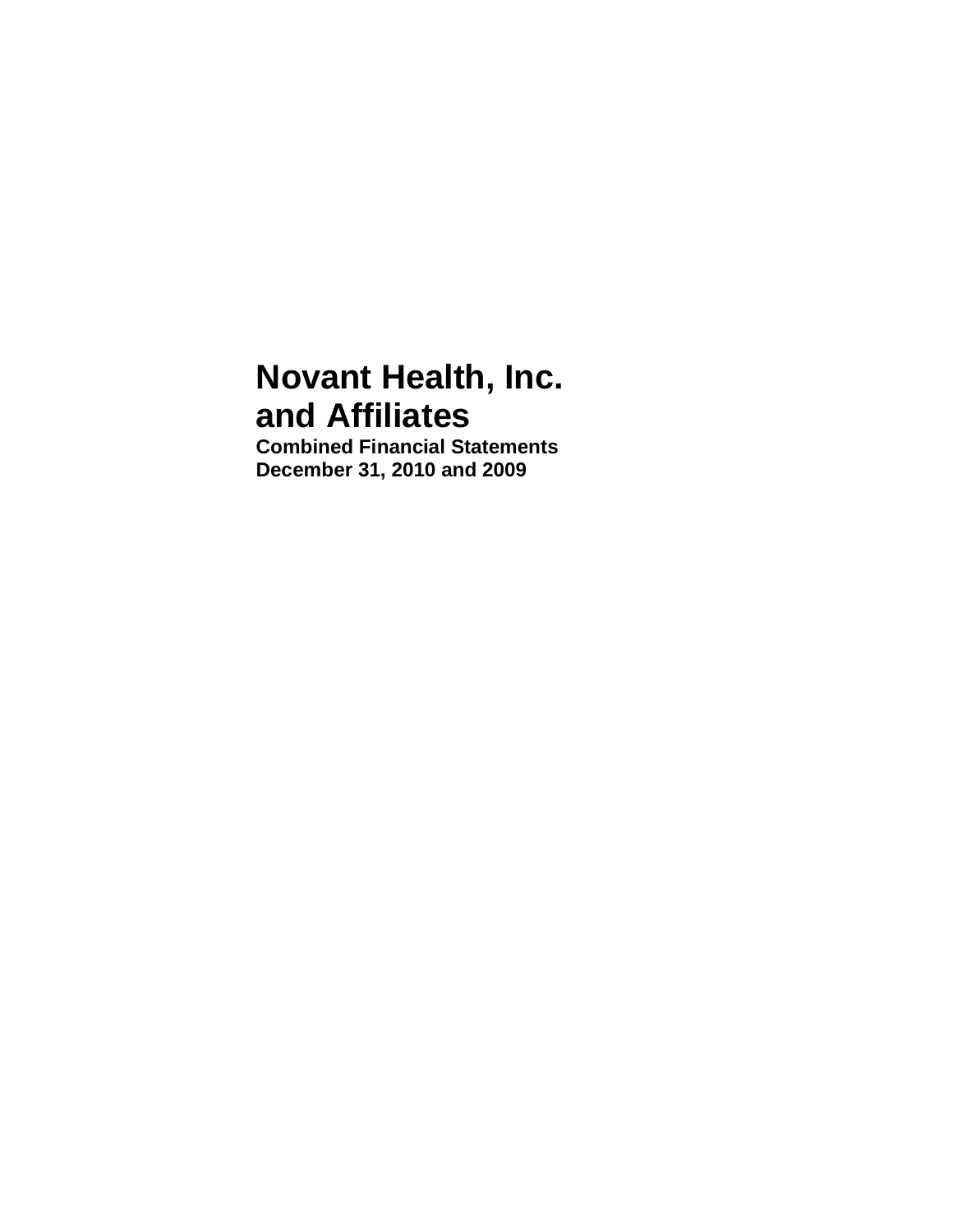# **Novant Health, Inc. and Affiliates**

**Combined Financial Statements December 31, 2010 and 2009**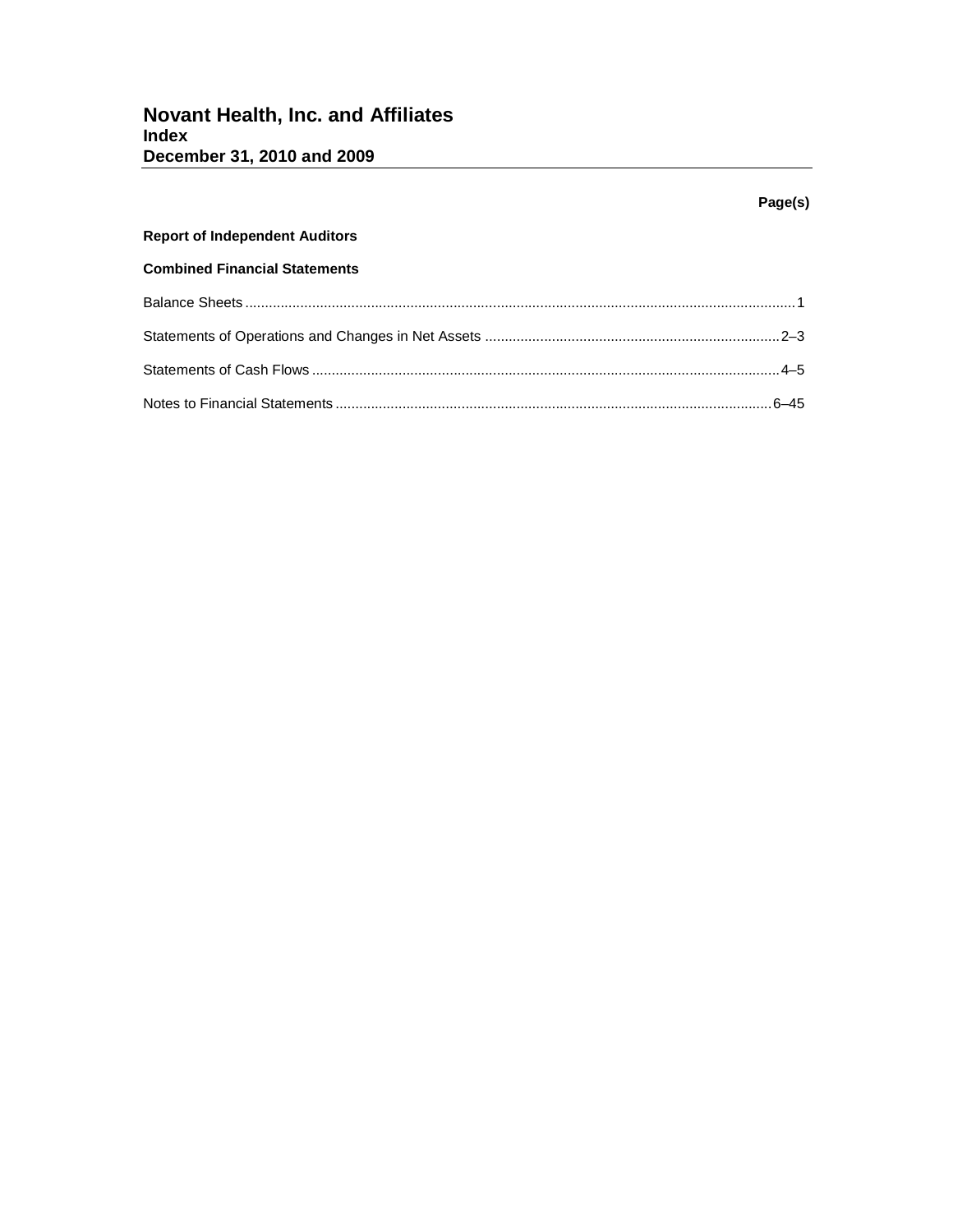# **Page(s) Report of Independent Auditors Combined Financial Statements** Balance Sheets ............................................................................................................................................1 Statements of Operations and Changes in Net Assets ...........................................................................2–3 Statements of Cash Flows .......................................................................................................................4–5 Notes to Financial Statements ...............................................................................................................6–45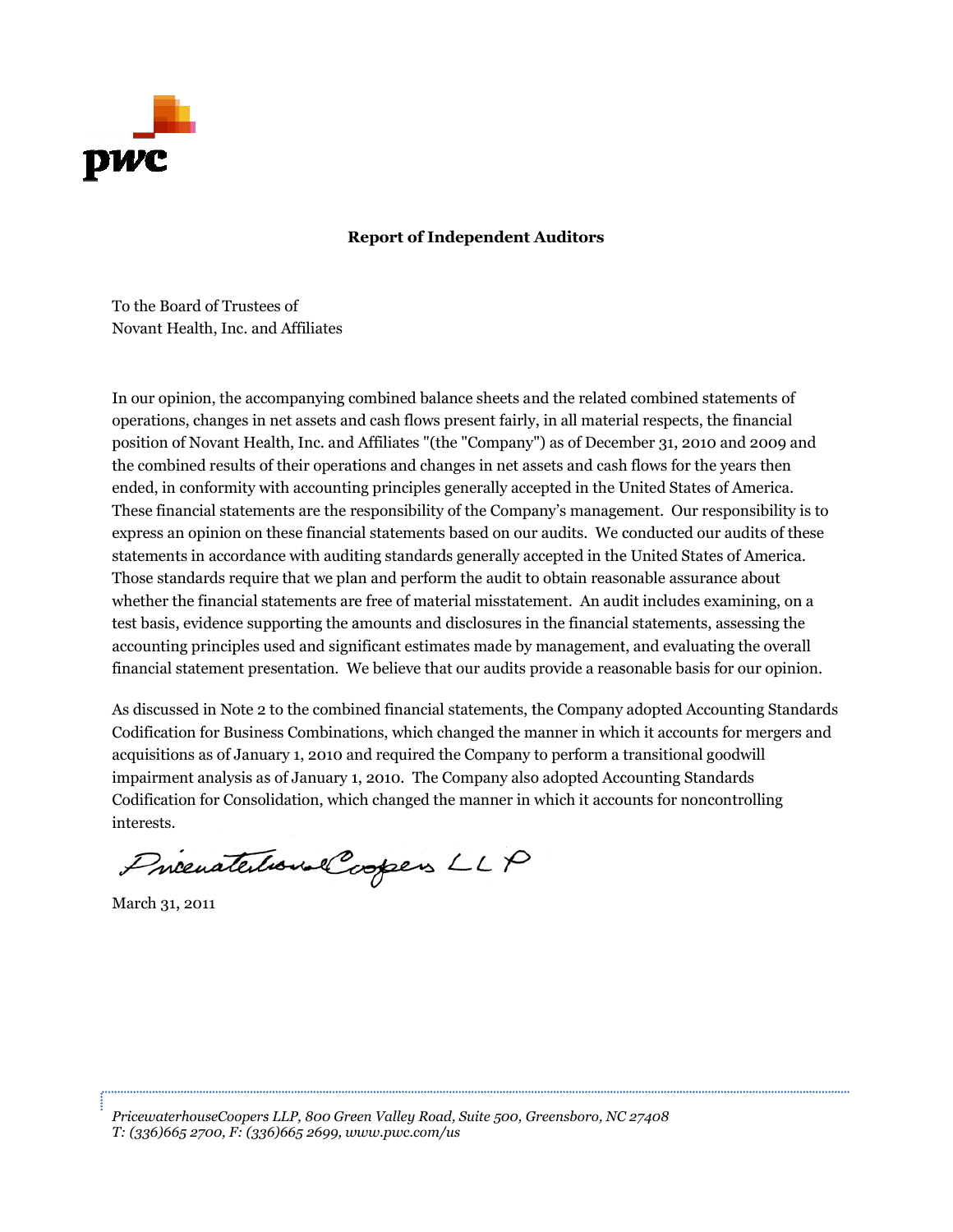

### **R Report of In dependent A Auditors**

To the Bo ard of Truste es of Novant Health, Inc. and Affiliates

In our opinion, the accompanying combined balance sheets and the related combined statements of operations, changes in net assets and cash flows present fairly, in all material respects, the financial position of Novant Health, Inc. and Affiliates "(the "Company") as of December 31, 2010 and 2009 and the combined results of their operations and changes in net assets and cash flows for the years then ended, in conformity with accounting principles generally accepted in the United States of America. These financial statements are the responsibility of the Company's management. Our responsibility is to express an opinion on these financial statements based on our audits. We conducted our audits of these statements in accordance with auditing standards generally accepted in the United States of America. Those standards require that we plan and perform the audit to obtain reasonable assurance about whether the financial statements are free of material misstatement. An audit includes examining, on a test basis, evidence supporting the amounts and disclosures in the financial statements, assessing the test basis, evidence supporting the amounts and disclosures in the financial statements, assessing the<br>accounting principles used and significant estimates made by management, and evaluating the overall financial statement presentation. We believe that our audits provide a reasonable basis for our opinion.

As discussed in Note 2 to the combined financial statements, the Company adopted Accounting Standards Codification for Business Combinations, which changed the manner in which it accounts for mergers and acquisitions as of January 1, 2010 and required the Company to perform a transitional goodwill impairment analysis as of January 1, 2010. The Company also adopted Accounting Standards Codification for Consolidation, which changed the manner in which it accounts for noncontrolling interests.

Procenatedous Coopers LLP

March 31, 2011

*Pricewater rhouseCoopers s LLP, 800 Gre een Valley Road d, Suite 500, G Greensboro, NC C 27408 T: (336)66 65 2700, F: (33 6)665 2699, w www.pwc.com/ /us*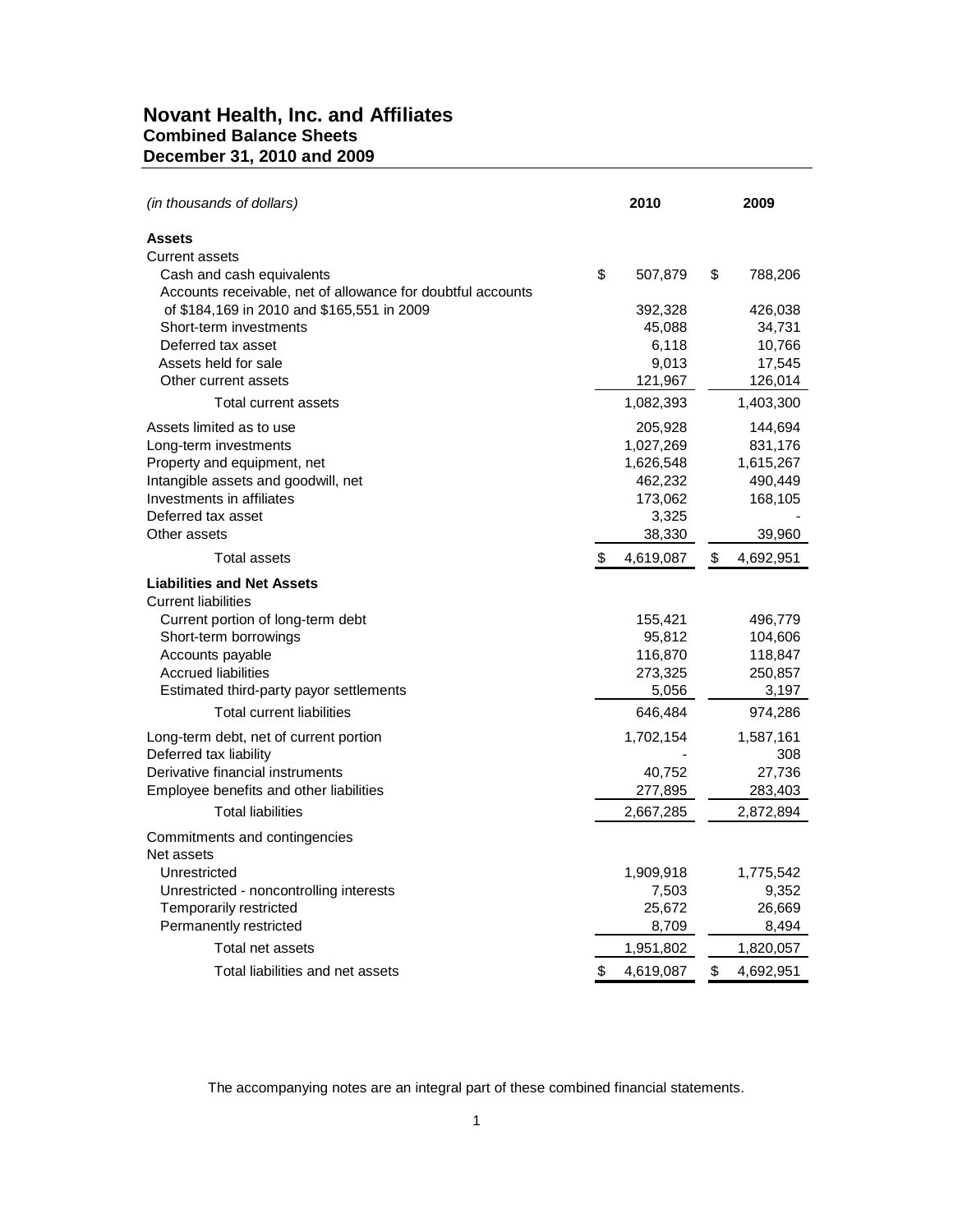# **Novant Health, Inc. and Affiliates Combined Balance Sheets December 31, 2010 and 2009**

| (in thousands of dollars)                                                                | 2010            | 2009              |
|------------------------------------------------------------------------------------------|-----------------|-------------------|
| <b>Assets</b>                                                                            |                 |                   |
| <b>Current assets</b>                                                                    |                 |                   |
| Cash and cash equivalents<br>Accounts receivable, net of allowance for doubtful accounts | \$<br>507,879   | \$<br>788,206     |
| of \$184,169 in 2010 and \$165,551 in 2009                                               | 392,328         | 426,038           |
| Short-term investments                                                                   | 45,088          | 34,731            |
| Deferred tax asset                                                                       | 6,118           | 10,766            |
| Assets held for sale                                                                     | 9,013           | 17,545            |
| Other current assets                                                                     | 121,967         | 126,014           |
| Total current assets                                                                     | 1,082,393       | 1,403,300         |
| Assets limited as to use                                                                 | 205,928         | 144,694           |
| Long-term investments                                                                    | 1,027,269       | 831,176           |
| Property and equipment, net                                                              | 1,626,548       | 1,615,267         |
| Intangible assets and goodwill, net                                                      | 462,232         | 490,449           |
| Investments in affiliates                                                                | 173,062         | 168,105           |
| Deferred tax asset                                                                       | 3,325           |                   |
| Other assets                                                                             | 38,330          | 39,960            |
| Total assets                                                                             | \$<br>4,619,087 | \$<br>4,692,951   |
| <b>Liabilities and Net Assets</b><br><b>Current liabilities</b>                          |                 |                   |
| Current portion of long-term debt                                                        | 155,421         | 496,779           |
| Short-term borrowings                                                                    | 95,812          | 104,606           |
| Accounts payable                                                                         | 116,870         | 118,847           |
| <b>Accrued liabilities</b>                                                               | 273,325         | 250,857           |
| Estimated third-party payor settlements                                                  | 5,056           | 3,197             |
| <b>Total current liabilities</b>                                                         | 646,484         | 974,286           |
| Long-term debt, net of current portion                                                   | 1,702,154       | 1,587,161         |
| Deferred tax liability                                                                   |                 | 308               |
| Derivative financial instruments<br>Employee benefits and other liabilities              | 40,752          | 27,736<br>283,403 |
|                                                                                          | 277,895         |                   |
| <b>Total liabilities</b>                                                                 | 2,667,285       | 2,872,894         |
| Commitments and contingencies                                                            |                 |                   |
| Net assets                                                                               |                 |                   |
| Unrestricted                                                                             | 1,909,918       | 1,775,542         |
| Unrestricted - noncontrolling interests                                                  | 7,503           | 9,352             |
| Temporarily restricted<br>Permanently restricted                                         | 25,672<br>8,709 | 26,669<br>8,494   |
|                                                                                          |                 |                   |
| Total net assets                                                                         | 1,951,802       | 1,820,057         |
| Total liabilities and net assets                                                         | \$<br>4,619,087 | \$<br>4,692,951   |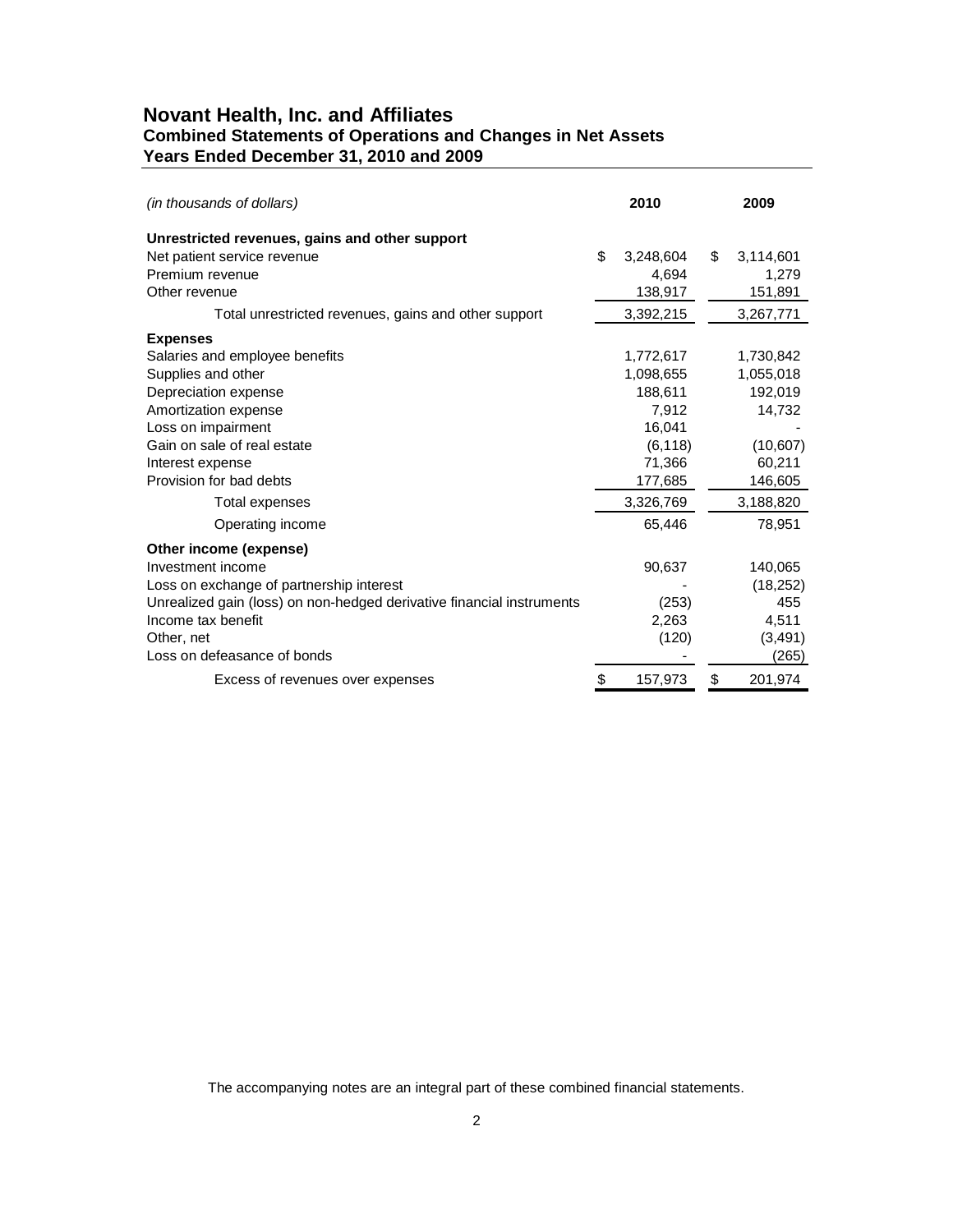# **Novant Health, Inc. and Affiliates Combined Statements of Operations and Changes in Net Assets Years Ended December 31, 2010 and 2009**

| (in thousands of dollars)                                             | 2010            | 2009            |
|-----------------------------------------------------------------------|-----------------|-----------------|
| Unrestricted revenues, gains and other support                        |                 |                 |
| Net patient service revenue                                           | \$<br>3,248,604 | \$<br>3,114,601 |
| Premium revenue                                                       | 4.694           | 1,279           |
| Other revenue                                                         | 138,917         | 151,891         |
| Total unrestricted revenues, gains and other support                  | 3,392,215       | 3,267,771       |
| <b>Expenses</b>                                                       |                 |                 |
| Salaries and employee benefits                                        | 1,772,617       | 1,730,842       |
| Supplies and other                                                    | 1,098,655       | 1,055,018       |
| Depreciation expense                                                  | 188,611         | 192,019         |
| Amortization expense                                                  | 7,912           | 14,732          |
| Loss on impairment                                                    | 16,041          |                 |
| Gain on sale of real estate                                           | (6, 118)        | (10,607)        |
| Interest expense                                                      | 71,366          | 60,211          |
| Provision for bad debts                                               | 177,685         | 146,605         |
| Total expenses                                                        | 3,326,769       | 3,188,820       |
| Operating income                                                      | 65,446          | 78,951          |
| Other income (expense)                                                |                 |                 |
| Investment income                                                     | 90,637          | 140,065         |
| Loss on exchange of partnership interest                              |                 | (18, 252)       |
| Unrealized gain (loss) on non-hedged derivative financial instruments | (253)           | 455             |
| Income tax benefit                                                    | 2.263           | 4,511           |
| Other, net                                                            | (120)           | (3, 491)        |
| Loss on defeasance of bonds                                           |                 | (265)           |
| Excess of revenues over expenses                                      | \$<br>157,973   | \$<br>201,974   |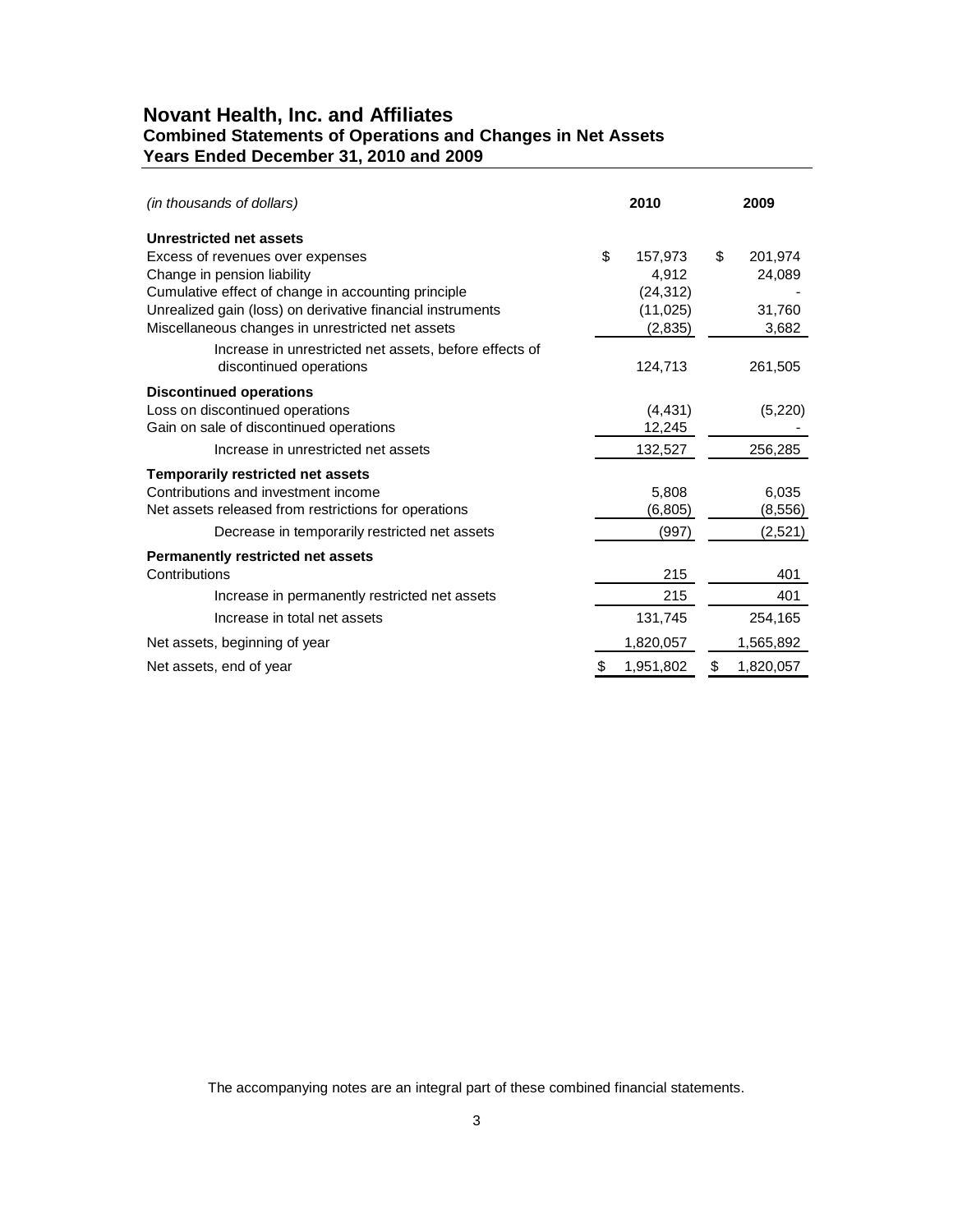# **Novant Health, Inc. and Affiliates Combined Statements of Operations and Changes in Net Assets Years Ended December 31, 2010 and 2009**

| (in thousands of dollars)                                  | 2010            | 2009            |
|------------------------------------------------------------|-----------------|-----------------|
| Unrestricted net assets                                    |                 |                 |
| Excess of revenues over expenses                           | \$<br>157,973   | \$<br>201,974   |
| Change in pension liability                                | 4,912           | 24,089          |
| Cumulative effect of change in accounting principle        | (24, 312)       |                 |
| Unrealized gain (loss) on derivative financial instruments | (11, 025)       | 31,760          |
| Miscellaneous changes in unrestricted net assets           | (2,835)         | 3,682           |
| Increase in unrestricted net assets, before effects of     |                 |                 |
| discontinued operations                                    | 124,713         | 261,505         |
| <b>Discontinued operations</b>                             |                 |                 |
| Loss on discontinued operations                            | (4, 431)        | (5,220)         |
| Gain on sale of discontinued operations                    | 12,245          |                 |
| Increase in unrestricted net assets                        | 132,527         | 256,285         |
| <b>Temporarily restricted net assets</b>                   |                 |                 |
| Contributions and investment income                        | 5,808           | 6,035           |
| Net assets released from restrictions for operations       | (6, 805)        | (8,556)         |
| Decrease in temporarily restricted net assets              | (997)           | (2,521)         |
| <b>Permanently restricted net assets</b>                   |                 |                 |
| Contributions                                              | 215             | 401             |
| Increase in permanently restricted net assets              | 215             | 401             |
| Increase in total net assets                               | 131,745         | 254,165         |
| Net assets, beginning of year                              | 1,820,057       | 1,565,892       |
| Net assets, end of year                                    | \$<br>1,951,802 | \$<br>1,820,057 |
|                                                            |                 |                 |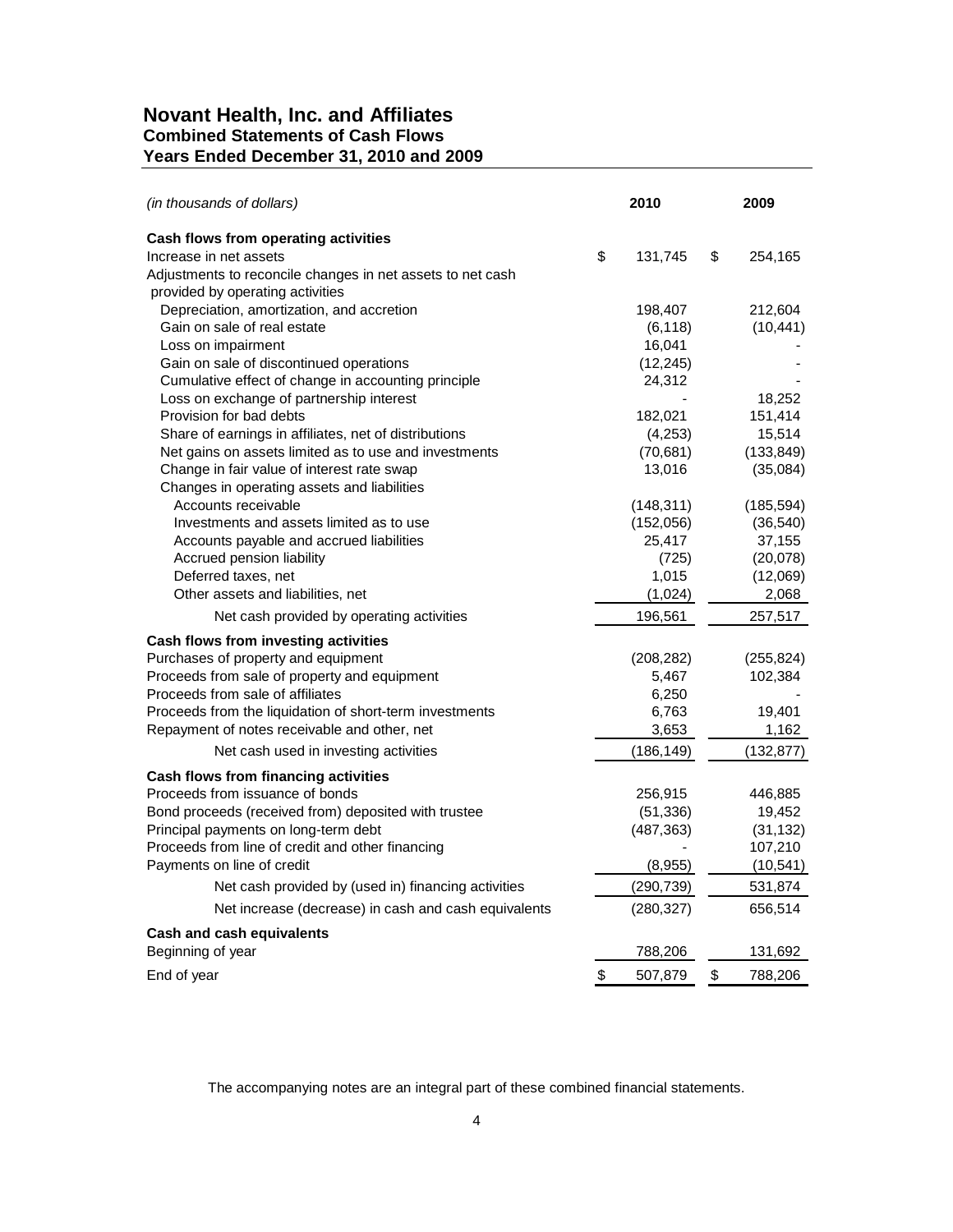# **Novant Health, Inc. and Affiliates Combined Statements of Cash Flows Years Ended December 31, 2010 and 2009**

| (in thousands of dollars)                                  | 2010           | 2009              |
|------------------------------------------------------------|----------------|-------------------|
| Cash flows from operating activities                       |                |                   |
| Increase in net assets                                     | \$<br>131,745  | \$<br>254,165     |
| Adjustments to reconcile changes in net assets to net cash |                |                   |
| provided by operating activities                           |                |                   |
| Depreciation, amortization, and accretion                  | 198,407        | 212,604           |
| Gain on sale of real estate                                | (6, 118)       | (10, 441)         |
| Loss on impairment                                         | 16,041         |                   |
| Gain on sale of discontinued operations                    | (12, 245)      |                   |
| Cumulative effect of change in accounting principle        | 24,312         |                   |
| Loss on exchange of partnership interest                   |                | 18,252            |
| Provision for bad debts                                    | 182,021        | 151,414           |
| Share of earnings in affiliates, net of distributions      | (4,253)        | 15,514            |
| Net gains on assets limited as to use and investments      | (70, 681)      | (133, 849)        |
| Change in fair value of interest rate swap                 | 13,016         | (35,084)          |
| Changes in operating assets and liabilities                |                |                   |
| Accounts receivable                                        | (148, 311)     | (185, 594)        |
| Investments and assets limited as to use                   | (152,056)      | (36, 540)         |
| Accounts payable and accrued liabilities                   | 25,417         | 37,155            |
| Accrued pension liability<br>Deferred taxes, net           | (725)<br>1,015 | (20,078)          |
| Other assets and liabilities, net                          | (1,024)        | (12,069)<br>2,068 |
|                                                            |                |                   |
| Net cash provided by operating activities                  | 196,561        | 257,517           |
| Cash flows from investing activities                       |                |                   |
| Purchases of property and equipment                        | (208, 282)     | (255, 824)        |
| Proceeds from sale of property and equipment               | 5,467          | 102,384           |
| Proceeds from sale of affiliates                           | 6,250          |                   |
| Proceeds from the liquidation of short-term investments    | 6,763          | 19,401            |
| Repayment of notes receivable and other, net               | 3,653          | 1,162             |
| Net cash used in investing activities                      | (186, 149)     | (132, 877)        |
| Cash flows from financing activities                       |                |                   |
| Proceeds from issuance of bonds                            | 256,915        | 446,885           |
| Bond proceeds (received from) deposited with trustee       | (51, 336)      | 19,452            |
| Principal payments on long-term debt                       | (487, 363)     | (31, 132)         |
| Proceeds from line of credit and other financing           |                | 107,210           |
| Payments on line of credit                                 | (8,955)        | (10, 541)         |
| Net cash provided by (used in) financing activities        | (290, 739)     | 531,874           |
| Net increase (decrease) in cash and cash equivalents       | (280, 327)     | 656,514           |
| <b>Cash and cash equivalents</b>                           |                |                   |
| Beginning of year                                          | 788,206        | 131,692           |
| End of year                                                | \$<br>507,879  | \$<br>788,206     |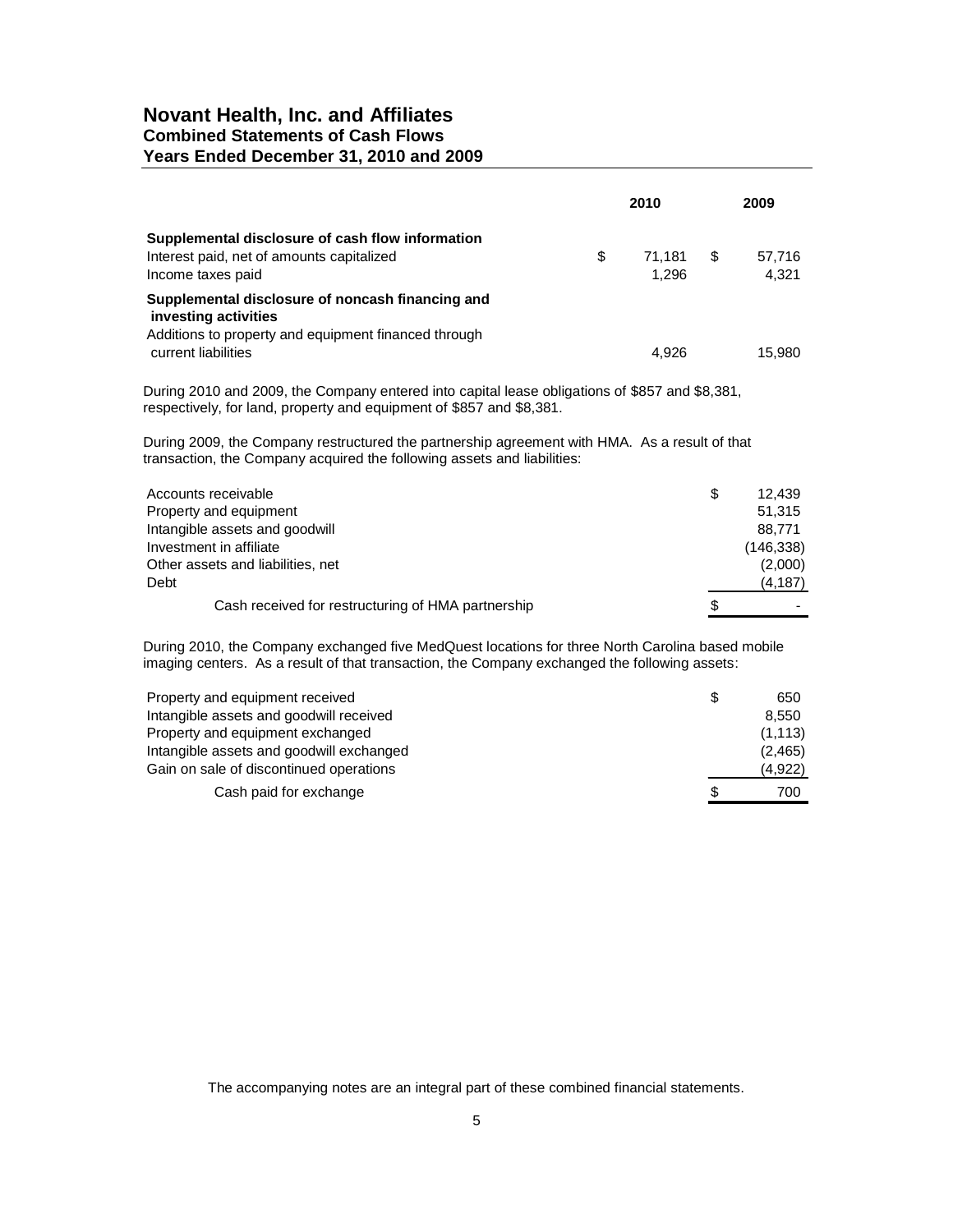# **Novant Health, Inc. and Affiliates Combined Statements of Cash Flows Years Ended December 31, 2010 and 2009**

|                                                                                                                    | 2010                  |     | 2009            |
|--------------------------------------------------------------------------------------------------------------------|-----------------------|-----|-----------------|
| Supplemental disclosure of cash flow information<br>Interest paid, net of amounts capitalized<br>Income taxes paid | \$<br>71.181<br>1.296 | \$. | 57.716<br>4.321 |
| Supplemental disclosure of noncash financing and<br>investing activities                                           |                       |     |                 |
| Additions to property and equipment financed through<br>current liabilities                                        | 4.926                 |     | 15.980          |

During 2010 and 2009, the Company entered into capital lease obligations of \$857 and \$8,381, respectively, for land, property and equipment of \$857 and \$8,381.

During 2009, the Company restructured the partnership agreement with HMA. As a result of that transaction, the Company acquired the following assets and liabilities:

| Accounts receivable                                | \$ | 12.439     |
|----------------------------------------------------|----|------------|
| Property and equipment                             |    | 51,315     |
| Intangible assets and goodwill                     |    | 88.771     |
| Investment in affiliate                            |    | (146, 338) |
| Other assets and liabilities, net                  |    | (2,000)    |
| Debt                                               |    | (4, 187)   |
| Cash received for restructuring of HMA partnership | S  |            |

During 2010, the Company exchanged five MedQuest locations for three North Carolina based mobile imaging centers. As a result of that transaction, the Company exchanged the following assets:

| Property and equipment received          | S  | 650      |
|------------------------------------------|----|----------|
| Intangible assets and goodwill received  |    | 8.550    |
| Property and equipment exchanged         |    | (1, 113) |
| Intangible assets and goodwill exchanged |    | (2, 465) |
| Gain on sale of discontinued operations  |    | (4,922)  |
| Cash paid for exchange                   | £. | 700      |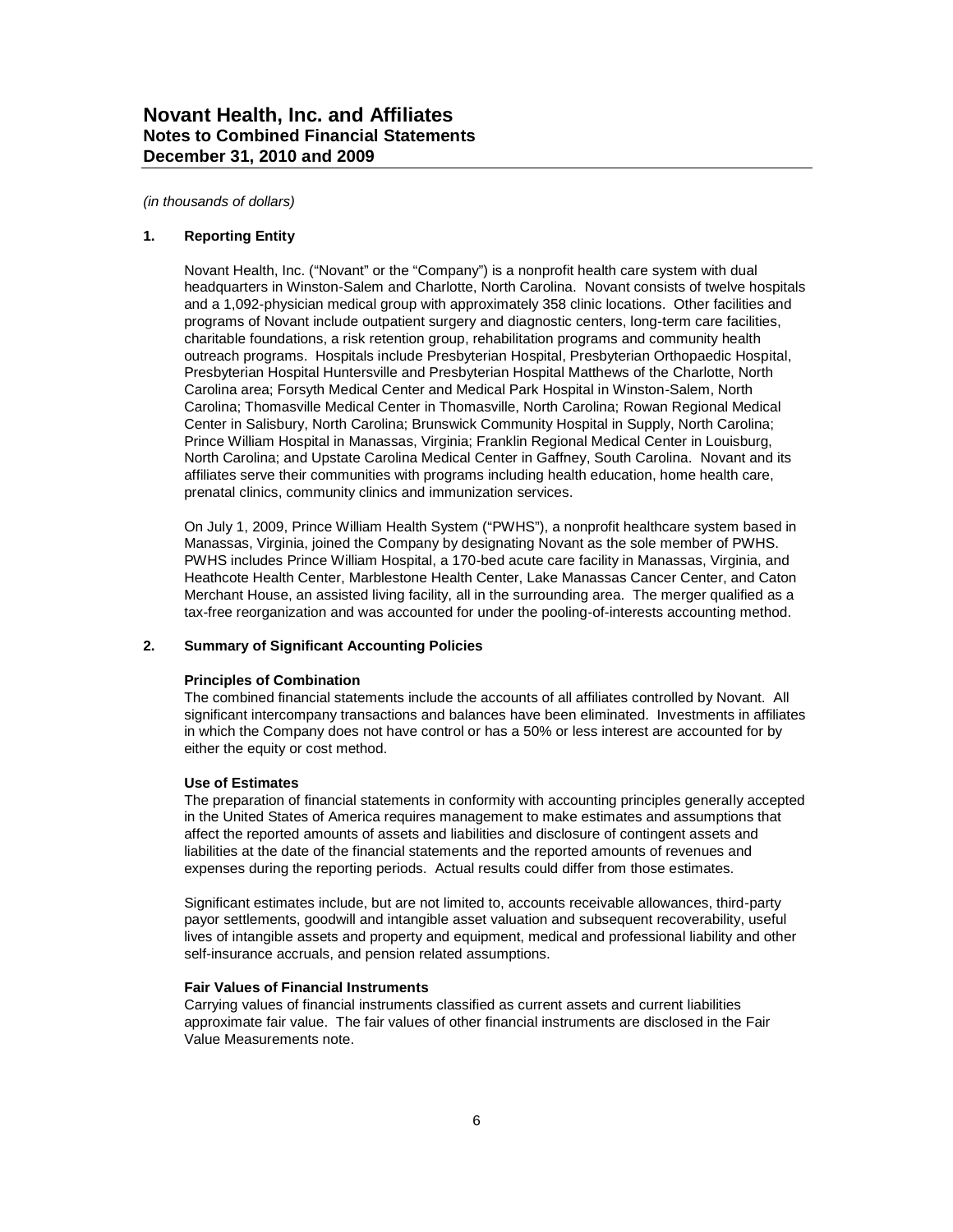*(in thousands of dollars)*

#### **1. Reporting Entity**

Novant Health, Inc. ("Novant" or the "Company") is a nonprofit health care system with dual headquarters in Winston-Salem and Charlotte, North Carolina. Novant consists of twelve hospitals and a 1,092-physician medical group with approximately 358 clinic locations. Other facilities and programs of Novant include outpatient surgery and diagnostic centers, long-term care facilities, charitable foundations, a risk retention group, rehabilitation programs and community health outreach programs. Hospitals include Presbyterian Hospital, Presbyterian Orthopaedic Hospital, Presbyterian Hospital Huntersville and Presbyterian Hospital Matthews of the Charlotte, North Carolina area; Forsyth Medical Center and Medical Park Hospital in Winston-Salem, North Carolina; Thomasville Medical Center in Thomasville, North Carolina; Rowan Regional Medical Center in Salisbury, North Carolina; Brunswick Community Hospital in Supply, North Carolina; Prince William Hospital in Manassas, Virginia; Franklin Regional Medical Center in Louisburg, North Carolina; and Upstate Carolina Medical Center in Gaffney, South Carolina. Novant and its affiliates serve their communities with programs including health education, home health care, prenatal clinics, community clinics and immunization services.

On July 1, 2009, Prince William Health System ("PWHS"), a nonprofit healthcare system based in Manassas, Virginia, joined the Company by designating Novant as the sole member of PWHS. PWHS includes Prince William Hospital, a 170-bed acute care facility in Manassas, Virginia, and Heathcote Health Center, Marblestone Health Center, Lake Manassas Cancer Center, and Caton Merchant House, an assisted living facility, all in the surrounding area. The merger qualified as a tax-free reorganization and was accounted for under the pooling-of-interests accounting method.

#### **2. Summary of Significant Accounting Policies**

#### **Principles of Combination**

The combined financial statements include the accounts of all affiliates controlled by Novant. All significant intercompany transactions and balances have been eliminated. Investments in affiliates in which the Company does not have control or has a 50% or less interest are accounted for by either the equity or cost method.

#### **Use of Estimates**

The preparation of financial statements in conformity with accounting principles generally accepted in the United States of America requires management to make estimates and assumptions that affect the reported amounts of assets and liabilities and disclosure of contingent assets and liabilities at the date of the financial statements and the reported amounts of revenues and expenses during the reporting periods. Actual results could differ from those estimates.

Significant estimates include, but are not limited to, accounts receivable allowances, third-party payor settlements, goodwill and intangible asset valuation and subsequent recoverability, useful lives of intangible assets and property and equipment, medical and professional liability and other self-insurance accruals, and pension related assumptions.

#### **Fair Values of Financial Instruments**

Carrying values of financial instruments classified as current assets and current liabilities approximate fair value. The fair values of other financial instruments are disclosed in the Fair Value Measurements note.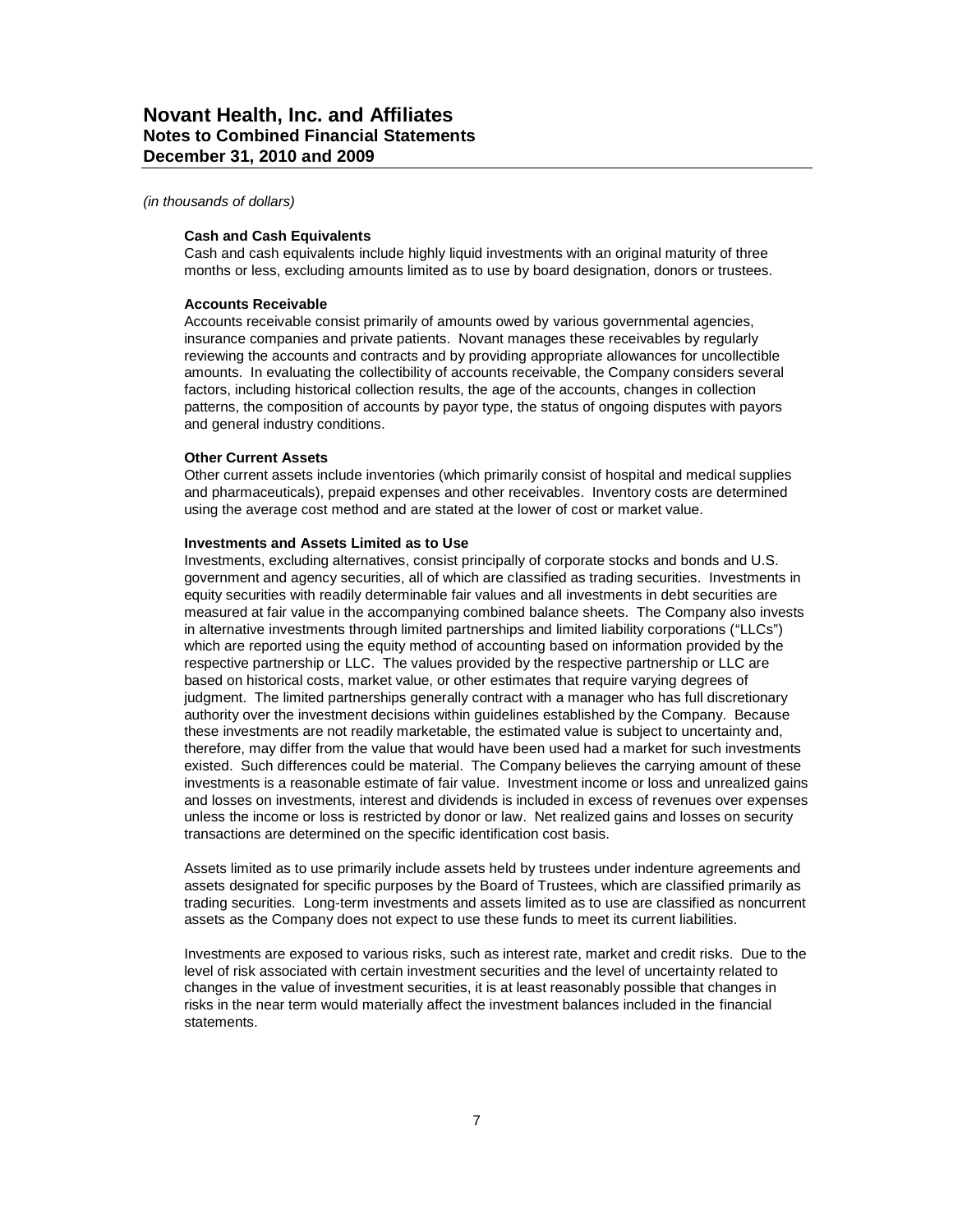#### **Cash and Cash Equivalents**

Cash and cash equivalents include highly liquid investments with an original maturity of three months or less, excluding amounts limited as to use by board designation, donors or trustees.

#### **Accounts Receivable**

Accounts receivable consist primarily of amounts owed by various governmental agencies, insurance companies and private patients. Novant manages these receivables by regularly reviewing the accounts and contracts and by providing appropriate allowances for uncollectible amounts. In evaluating the collectibility of accounts receivable, the Company considers several factors, including historical collection results, the age of the accounts, changes in collection patterns, the composition of accounts by payor type, the status of ongoing disputes with payors and general industry conditions.

### **Other Current Assets**

Other current assets include inventories (which primarily consist of hospital and medical supplies and pharmaceuticals), prepaid expenses and other receivables. Inventory costs are determined using the average cost method and are stated at the lower of cost or market value.

#### **Investments and Assets Limited as to Use**

Investments, excluding alternatives, consist principally of corporate stocks and bonds and U.S. government and agency securities, all of which are classified as trading securities. Investments in equity securities with readily determinable fair values and all investments in debt securities are measured at fair value in the accompanying combined balance sheets. The Company also invests in alternative investments through limited partnerships and limited liability corporations ("LLCs") which are reported using the equity method of accounting based on information provided by the respective partnership or LLC. The values provided by the respective partnership or LLC are based on historical costs, market value, or other estimates that require varying degrees of judgment. The limited partnerships generally contract with a manager who has full discretionary authority over the investment decisions within guidelines established by the Company. Because these investments are not readily marketable, the estimated value is subject to uncertainty and, therefore, may differ from the value that would have been used had a market for such investments existed. Such differences could be material. The Company believes the carrying amount of these investments is a reasonable estimate of fair value. Investment income or loss and unrealized gains and losses on investments, interest and dividends is included in excess of revenues over expenses unless the income or loss is restricted by donor or law. Net realized gains and losses on security transactions are determined on the specific identification cost basis.

Assets limited as to use primarily include assets held by trustees under indenture agreements and assets designated for specific purposes by the Board of Trustees, which are classified primarily as trading securities. Long-term investments and assets limited as to use are classified as noncurrent assets as the Company does not expect to use these funds to meet its current liabilities.

Investments are exposed to various risks, such as interest rate, market and credit risks. Due to the level of risk associated with certain investment securities and the level of uncertainty related to changes in the value of investment securities, it is at least reasonably possible that changes in risks in the near term would materially affect the investment balances included in the financial statements.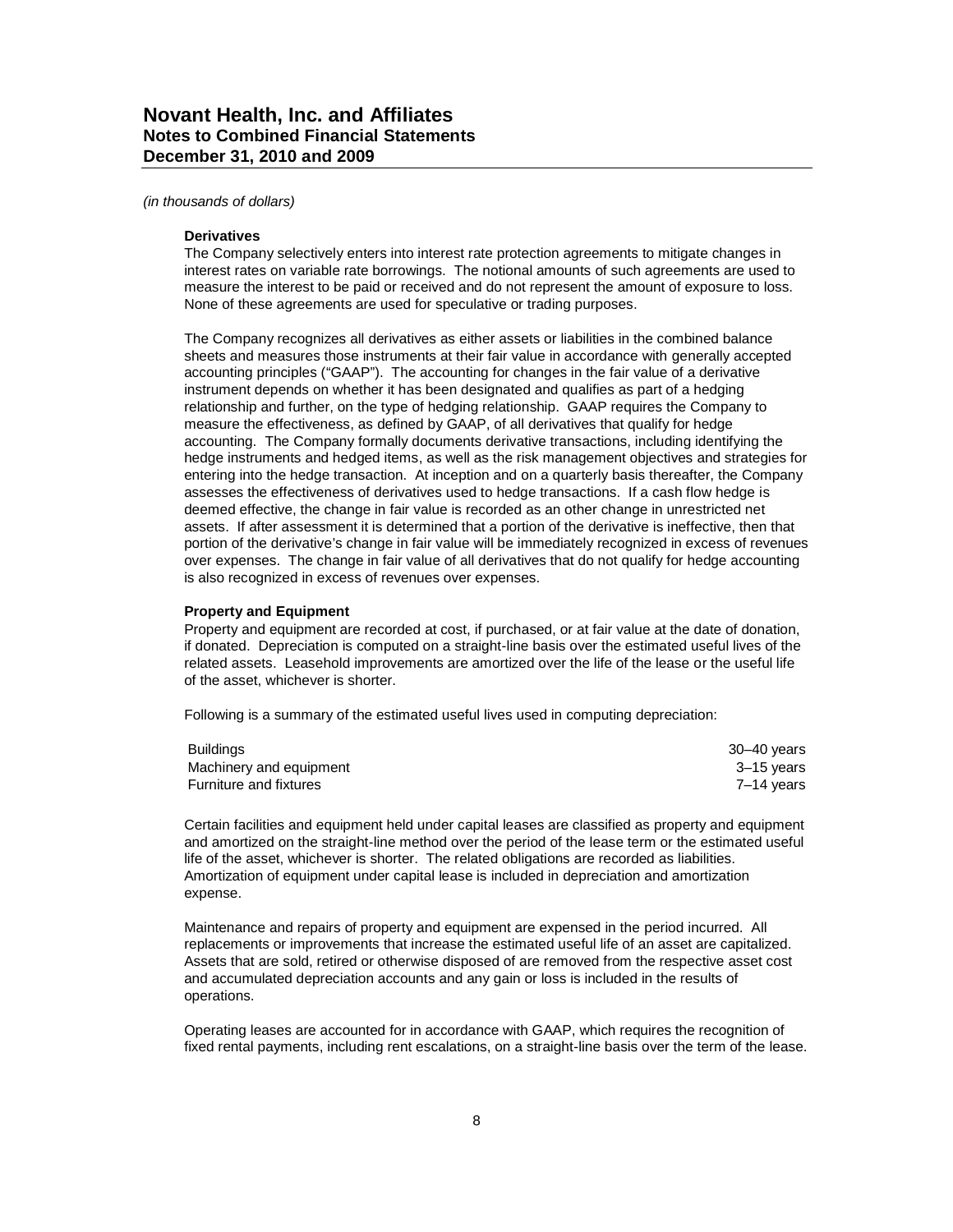#### *(in thousands of dollars)*

#### **Derivatives**

The Company selectively enters into interest rate protection agreements to mitigate changes in interest rates on variable rate borrowings. The notional amounts of such agreements are used to measure the interest to be paid or received and do not represent the amount of exposure to loss. None of these agreements are used for speculative or trading purposes.

The Company recognizes all derivatives as either assets or liabilities in the combined balance sheets and measures those instruments at their fair value in accordance with generally accepted accounting principles ("GAAP"). The accounting for changes in the fair value of a derivative instrument depends on whether it has been designated and qualifies as part of a hedging relationship and further, on the type of hedging relationship. GAAP requires the Company to measure the effectiveness, as defined by GAAP, of all derivatives that qualify for hedge accounting. The Company formally documents derivative transactions, including identifying the hedge instruments and hedged items, as well as the risk management objectives and strategies for entering into the hedge transaction. At inception and on a quarterly basis thereafter, the Company assesses the effectiveness of derivatives used to hedge transactions. If a cash flow hedge is deemed effective, the change in fair value is recorded as an other change in unrestricted net assets. If after assessment it is determined that a portion of the derivative is ineffective, then that portion of the derivative's change in fair value will be immediately recognized in excess of revenues over expenses. The change in fair value of all derivatives that do not qualify for hedge accounting is also recognized in excess of revenues over expenses.

#### **Property and Equipment**

Property and equipment are recorded at cost, if purchased, or at fair value at the date of donation, if donated. Depreciation is computed on a straight-line basis over the estimated useful lives of the related assets. Leasehold improvements are amortized over the life of the lease or the useful life of the asset, whichever is shorter.

Following is a summary of the estimated useful lives used in computing depreciation:

| <b>Buildings</b>              | 30–40 years |
|-------------------------------|-------------|
| Machinery and equipment       | 3–15 vears  |
| <b>Furniture and fixtures</b> | 7–14 vears  |

Certain facilities and equipment held under capital leases are classified as property and equipment and amortized on the straight-line method over the period of the lease term or the estimated useful life of the asset, whichever is shorter. The related obligations are recorded as liabilities. Amortization of equipment under capital lease is included in depreciation and amortization expense.

Maintenance and repairs of property and equipment are expensed in the period incurred. All replacements or improvements that increase the estimated useful life of an asset are capitalized. Assets that are sold, retired or otherwise disposed of are removed from the respective asset cost and accumulated depreciation accounts and any gain or loss is included in the results of operations.

Operating leases are accounted for in accordance with GAAP, which requires the recognition of fixed rental payments, including rent escalations, on a straight-line basis over the term of the lease.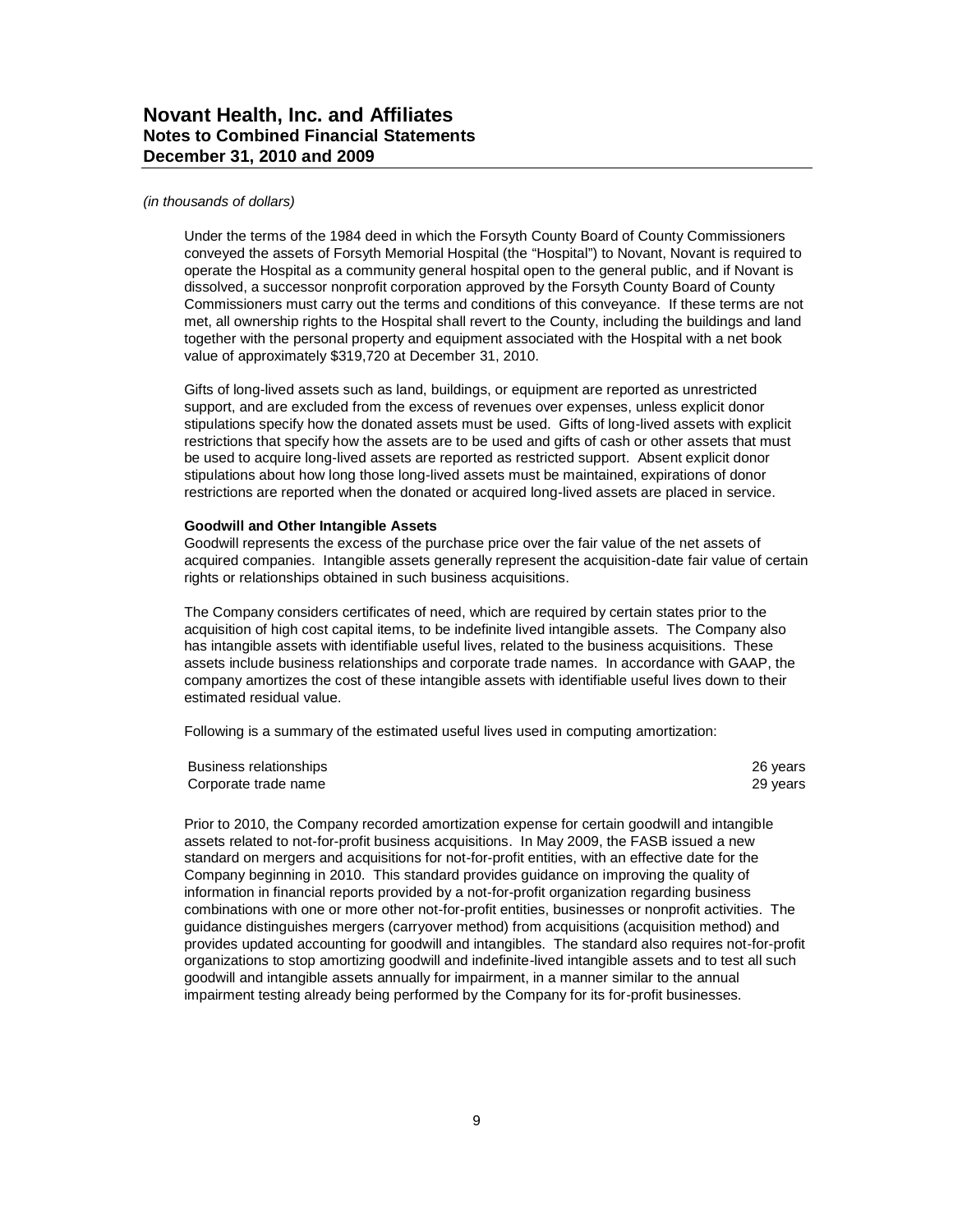#### *(in thousands of dollars)*

Under the terms of the 1984 deed in which the Forsyth County Board of County Commissioners conveyed the assets of Forsyth Memorial Hospital (the "Hospital") to Novant, Novant is required to operate the Hospital as a community general hospital open to the general public, and if Novant is dissolved, a successor nonprofit corporation approved by the Forsyth County Board of County Commissioners must carry out the terms and conditions of this conveyance. If these terms are not met, all ownership rights to the Hospital shall revert to the County, including the buildings and land together with the personal property and equipment associated with the Hospital with a net book value of approximately \$319,720 at December 31, 2010.

Gifts of long-lived assets such as land, buildings, or equipment are reported as unrestricted support, and are excluded from the excess of revenues over expenses, unless explicit donor stipulations specify how the donated assets must be used. Gifts of long-lived assets with explicit restrictions that specify how the assets are to be used and gifts of cash or other assets that must be used to acquire long-lived assets are reported as restricted support. Absent explicit donor stipulations about how long those long-lived assets must be maintained, expirations of donor restrictions are reported when the donated or acquired long-lived assets are placed in service.

#### **Goodwill and Other Intangible Assets**

Goodwill represents the excess of the purchase price over the fair value of the net assets of acquired companies. Intangible assets generally represent the acquisition-date fair value of certain rights or relationships obtained in such business acquisitions.

The Company considers certificates of need, which are required by certain states prior to the acquisition of high cost capital items, to be indefinite lived intangible assets. The Company also has intangible assets with identifiable useful lives, related to the business acquisitions. These assets include business relationships and corporate trade names. In accordance with GAAP, the company amortizes the cost of these intangible assets with identifiable useful lives down to their estimated residual value.

Following is a summary of the estimated useful lives used in computing amortization:

| Business relationships | 26 years |
|------------------------|----------|
| Corporate trade name   | 29 years |

Prior to 2010, the Company recorded amortization expense for certain goodwill and intangible assets related to not-for-profit business acquisitions. In May 2009, the FASB issued a new standard on mergers and acquisitions for not-for-profit entities, with an effective date for the Company beginning in 2010. This standard provides guidance on improving the quality of information in financial reports provided by a not-for-profit organization regarding business combinations with one or more other not-for-profit entities, businesses or nonprofit activities. The guidance distinguishes mergers (carryover method) from acquisitions (acquisition method) and provides updated accounting for goodwill and intangibles. The standard also requires not-for-profit organizations to stop amortizing goodwill and indefinite-lived intangible assets and to test all such goodwill and intangible assets annually for impairment, in a manner similar to the annual impairment testing already being performed by the Company for its for-profit businesses.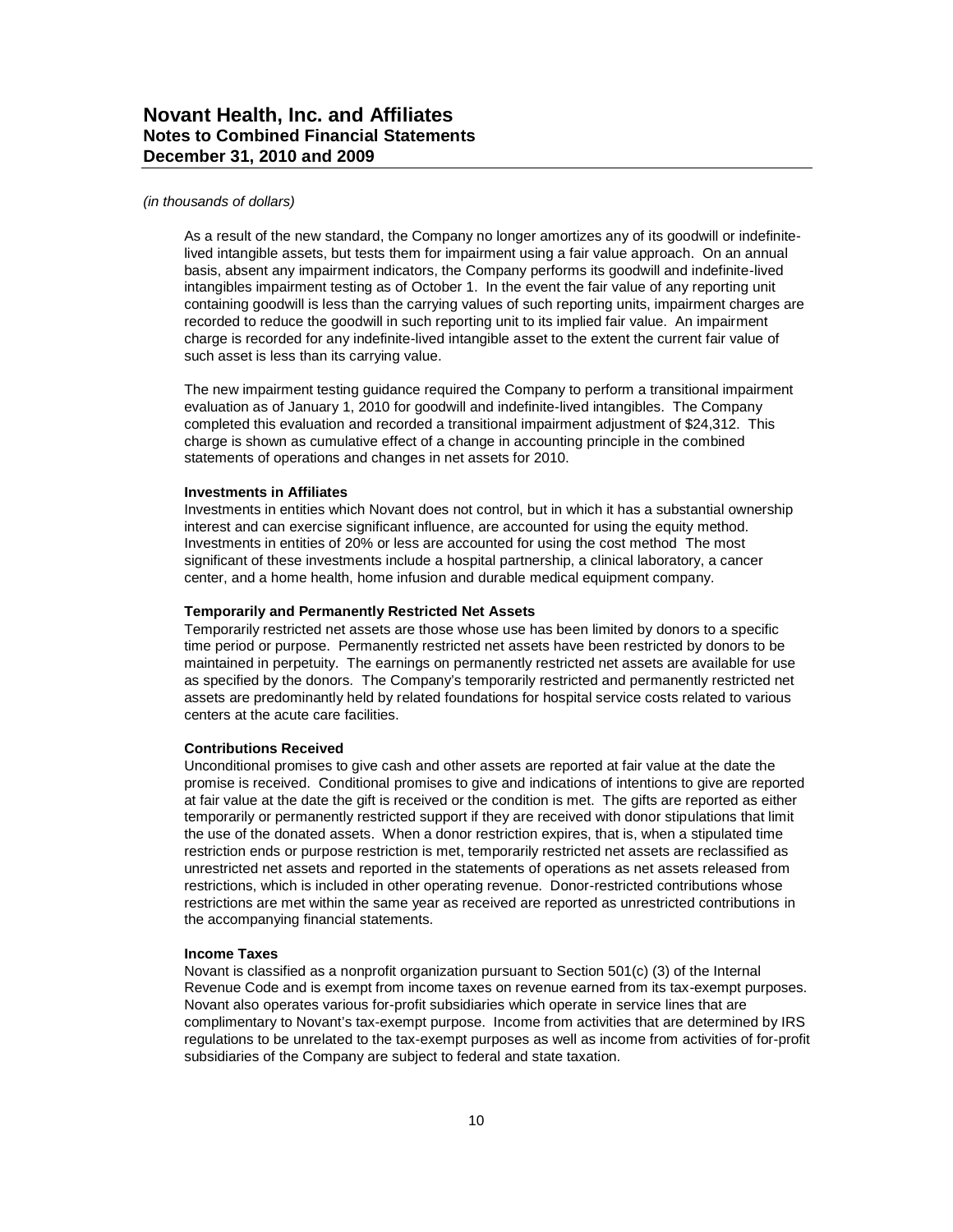#### *(in thousands of dollars)*

As a result of the new standard, the Company no longer amortizes any of its goodwill or indefinitelived intangible assets, but tests them for impairment using a fair value approach. On an annual basis, absent any impairment indicators, the Company performs its goodwill and indefinite-lived intangibles impairment testing as of October 1. In the event the fair value of any reporting unit containing goodwill is less than the carrying values of such reporting units, impairment charges are recorded to reduce the goodwill in such reporting unit to its implied fair value. An impairment charge is recorded for any indefinite-lived intangible asset to the extent the current fair value of such asset is less than its carrying value.

The new impairment testing guidance required the Company to perform a transitional impairment evaluation as of January 1, 2010 for goodwill and indefinite-lived intangibles. The Company completed this evaluation and recorded a transitional impairment adjustment of \$24,312. This charge is shown as cumulative effect of a change in accounting principle in the combined statements of operations and changes in net assets for 2010.

#### **Investments in Affiliates**

Investments in entities which Novant does not control, but in which it has a substantial ownership interest and can exercise significant influence, are accounted for using the equity method. Investments in entities of 20% or less are accounted for using the cost method The most significant of these investments include a hospital partnership, a clinical laboratory, a cancer center, and a home health, home infusion and durable medical equipment company.

#### **Temporarily and Permanently Restricted Net Assets**

Temporarily restricted net assets are those whose use has been limited by donors to a specific time period or purpose. Permanently restricted net assets have been restricted by donors to be maintained in perpetuity. The earnings on permanently restricted net assets are available for use as specified by the donors. The Company's temporarily restricted and permanently restricted net assets are predominantly held by related foundations for hospital service costs related to various centers at the acute care facilities.

#### **Contributions Received**

Unconditional promises to give cash and other assets are reported at fair value at the date the promise is received. Conditional promises to give and indications of intentions to give are reported at fair value at the date the gift is received or the condition is met. The gifts are reported as either temporarily or permanently restricted support if they are received with donor stipulations that limit the use of the donated assets. When a donor restriction expires, that is, when a stipulated time restriction ends or purpose restriction is met, temporarily restricted net assets are reclassified as unrestricted net assets and reported in the statements of operations as net assets released from restrictions, which is included in other operating revenue. Donor-restricted contributions whose restrictions are met within the same year as received are reported as unrestricted contributions in the accompanying financial statements.

#### **Income Taxes**

Novant is classified as a nonprofit organization pursuant to Section 501(c) (3) of the Internal Revenue Code and is exempt from income taxes on revenue earned from its tax-exempt purposes. Novant also operates various for-profit subsidiaries which operate in service lines that are complimentary to Novant's tax-exempt purpose. Income from activities that are determined by IRS regulations to be unrelated to the tax-exempt purposes as well as income from activities of for-profit subsidiaries of the Company are subject to federal and state taxation.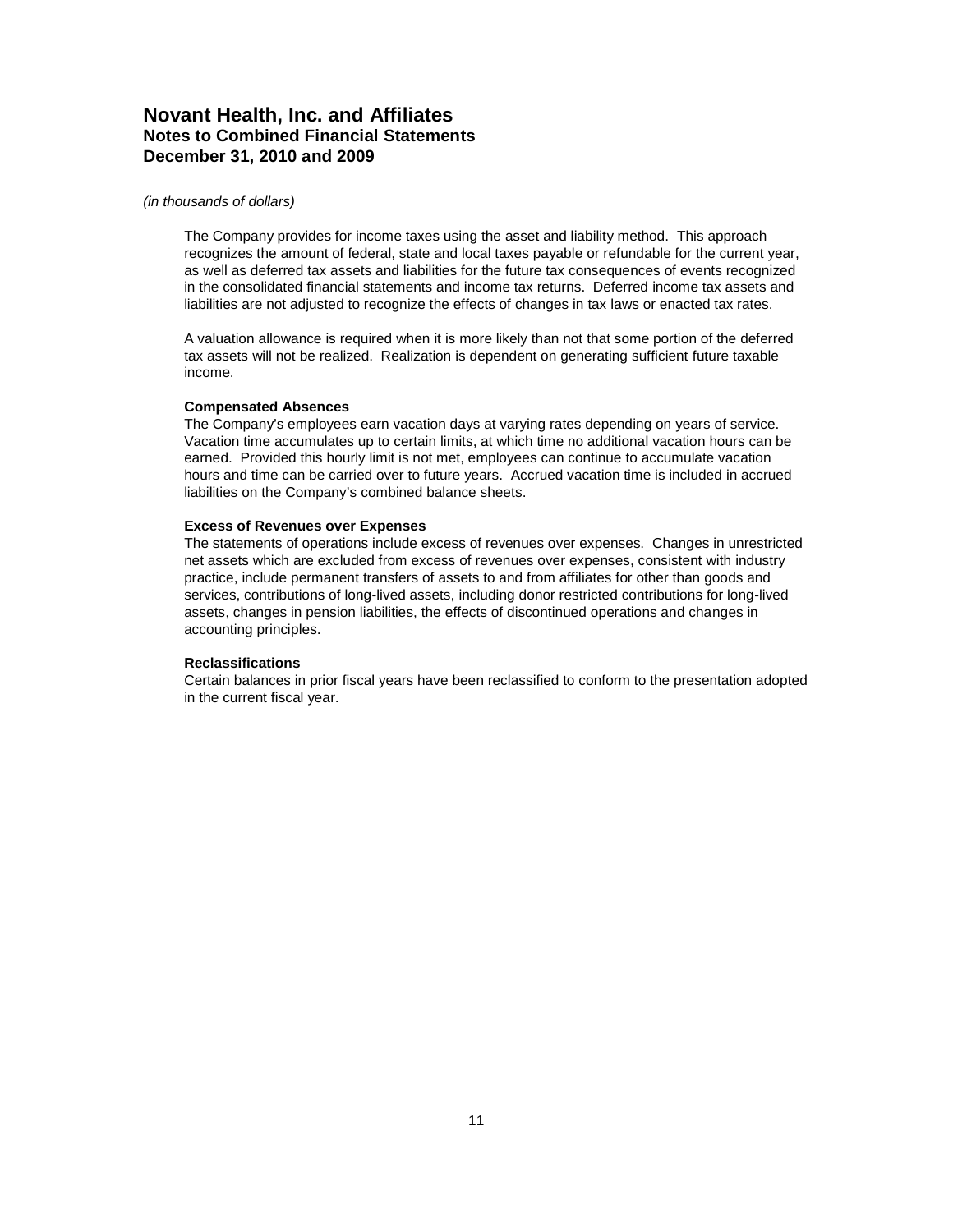#### *(in thousands of dollars)*

The Company provides for income taxes using the asset and liability method. This approach recognizes the amount of federal, state and local taxes payable or refundable for the current year, as well as deferred tax assets and liabilities for the future tax consequences of events recognized in the consolidated financial statements and income tax returns. Deferred income tax assets and liabilities are not adjusted to recognize the effects of changes in tax laws or enacted tax rates.

A valuation allowance is required when it is more likely than not that some portion of the deferred tax assets will not be realized. Realization is dependent on generating sufficient future taxable income.

#### **Compensated Absences**

The Company's employees earn vacation days at varying rates depending on years of service. Vacation time accumulates up to certain limits, at which time no additional vacation hours can be earned. Provided this hourly limit is not met, employees can continue to accumulate vacation hours and time can be carried over to future years. Accrued vacation time is included in accrued liabilities on the Company's combined balance sheets.

#### **Excess of Revenues over Expenses**

The statements of operations include excess of revenues over expenses. Changes in unrestricted net assets which are excluded from excess of revenues over expenses, consistent with industry practice, include permanent transfers of assets to and from affiliates for other than goods and services, contributions of long-lived assets, including donor restricted contributions for long-lived assets, changes in pension liabilities, the effects of discontinued operations and changes in accounting principles.

#### **Reclassifications**

Certain balances in prior fiscal years have been reclassified to conform to the presentation adopted in the current fiscal year.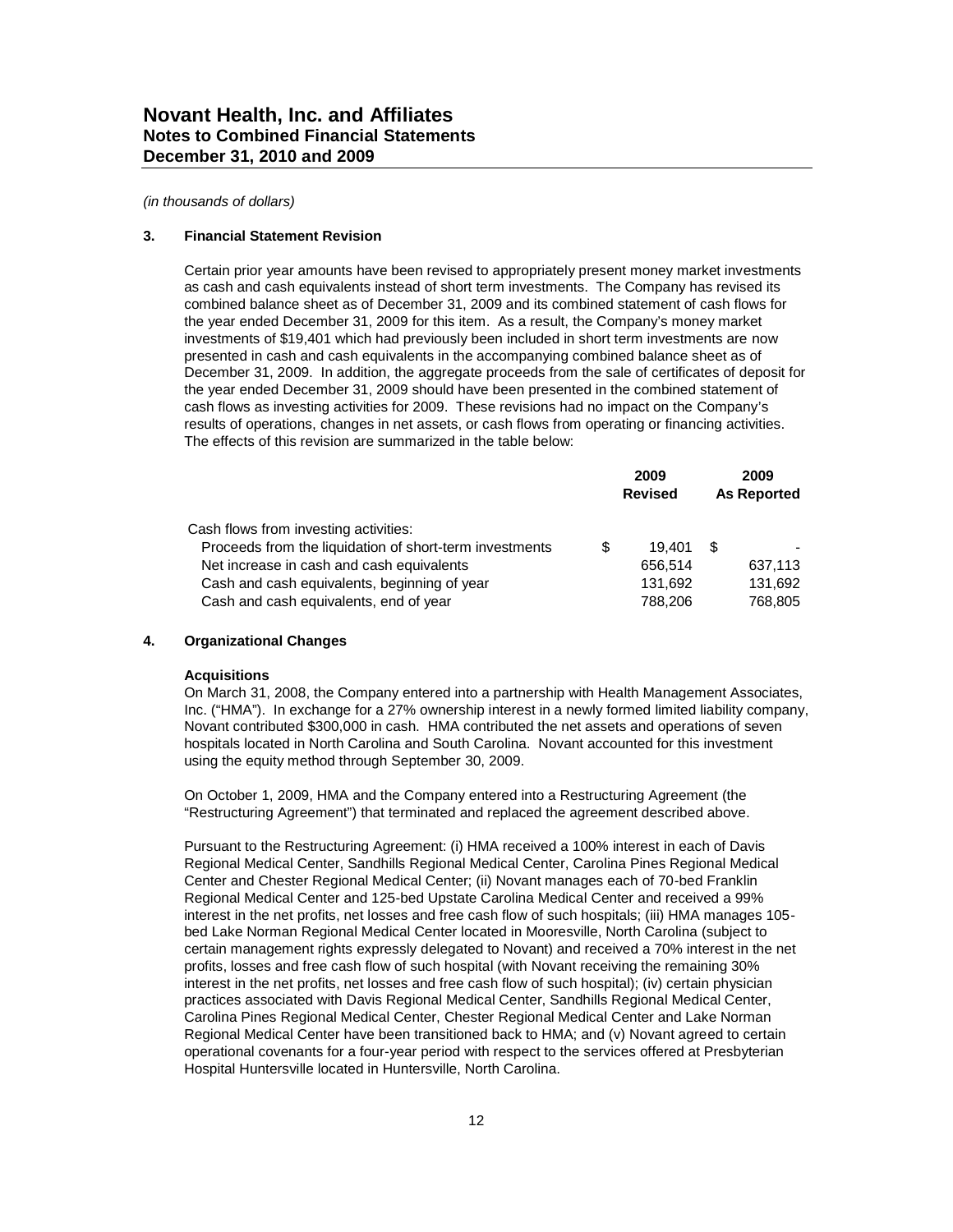#### **3. Financial Statement Revision**

Certain prior year amounts have been revised to appropriately present money market investments as cash and cash equivalents instead of short term investments. The Company has revised its combined balance sheet as of December 31, 2009 and its combined statement of cash flows for the year ended December 31, 2009 for this item. As a result, the Company's money market investments of \$19,401 which had previously been included in short term investments are now presented in cash and cash equivalents in the accompanying combined balance sheet as of December 31, 2009. In addition, the aggregate proceeds from the sale of certificates of deposit for the year ended December 31, 2009 should have been presented in the combined statement of cash flows as investing activities for 2009. These revisions had no impact on the Company's results of operations, changes in net assets, or cash flows from operating or financing activities. The effects of this revision are summarized in the table below:

|                                                         | 2009<br><b>Revised</b> |   | 2009<br><b>As Reported</b> |
|---------------------------------------------------------|------------------------|---|----------------------------|
| Cash flows from investing activities:                   |                        |   |                            |
| Proceeds from the liquidation of short-term investments | 19.401                 | S |                            |
| Net increase in cash and cash equivalents               | 656.514                |   | 637,113                    |
| Cash and cash equivalents, beginning of year            | 131.692                |   | 131.692                    |
| Cash and cash equivalents, end of year                  | 788,206                |   | 768,805                    |

### **4. Organizational Changes**

### **Acquisitions**

On March 31, 2008, the Company entered into a partnership with Health Management Associates, Inc. ("HMA"). In exchange for a 27% ownership interest in a newly formed limited liability company, Novant contributed \$300,000 in cash. HMA contributed the net assets and operations of seven hospitals located in North Carolina and South Carolina. Novant accounted for this investment using the equity method through September 30, 2009.

On October 1, 2009, HMA and the Company entered into a Restructuring Agreement (the "Restructuring Agreement") that terminated and replaced the agreement described above.

Pursuant to the Restructuring Agreement: (i) HMA received a 100% interest in each of Davis Regional Medical Center, Sandhills Regional Medical Center, Carolina Pines Regional Medical Center and Chester Regional Medical Center; (ii) Novant manages each of 70-bed Franklin Regional Medical Center and 125-bed Upstate Carolina Medical Center and received a 99% interest in the net profits, net losses and free cash flow of such hospitals; (iii) HMA manages 105 bed Lake Norman Regional Medical Center located in Mooresville, North Carolina (subject to certain management rights expressly delegated to Novant) and received a 70% interest in the net profits, losses and free cash flow of such hospital (with Novant receiving the remaining 30% interest in the net profits, net losses and free cash flow of such hospital); (iv) certain physician practices associated with Davis Regional Medical Center, Sandhills Regional Medical Center, Carolina Pines Regional Medical Center, Chester Regional Medical Center and Lake Norman Regional Medical Center have been transitioned back to HMA; and (v) Novant agreed to certain operational covenants for a four-year period with respect to the services offered at Presbyterian Hospital Huntersville located in Huntersville, North Carolina.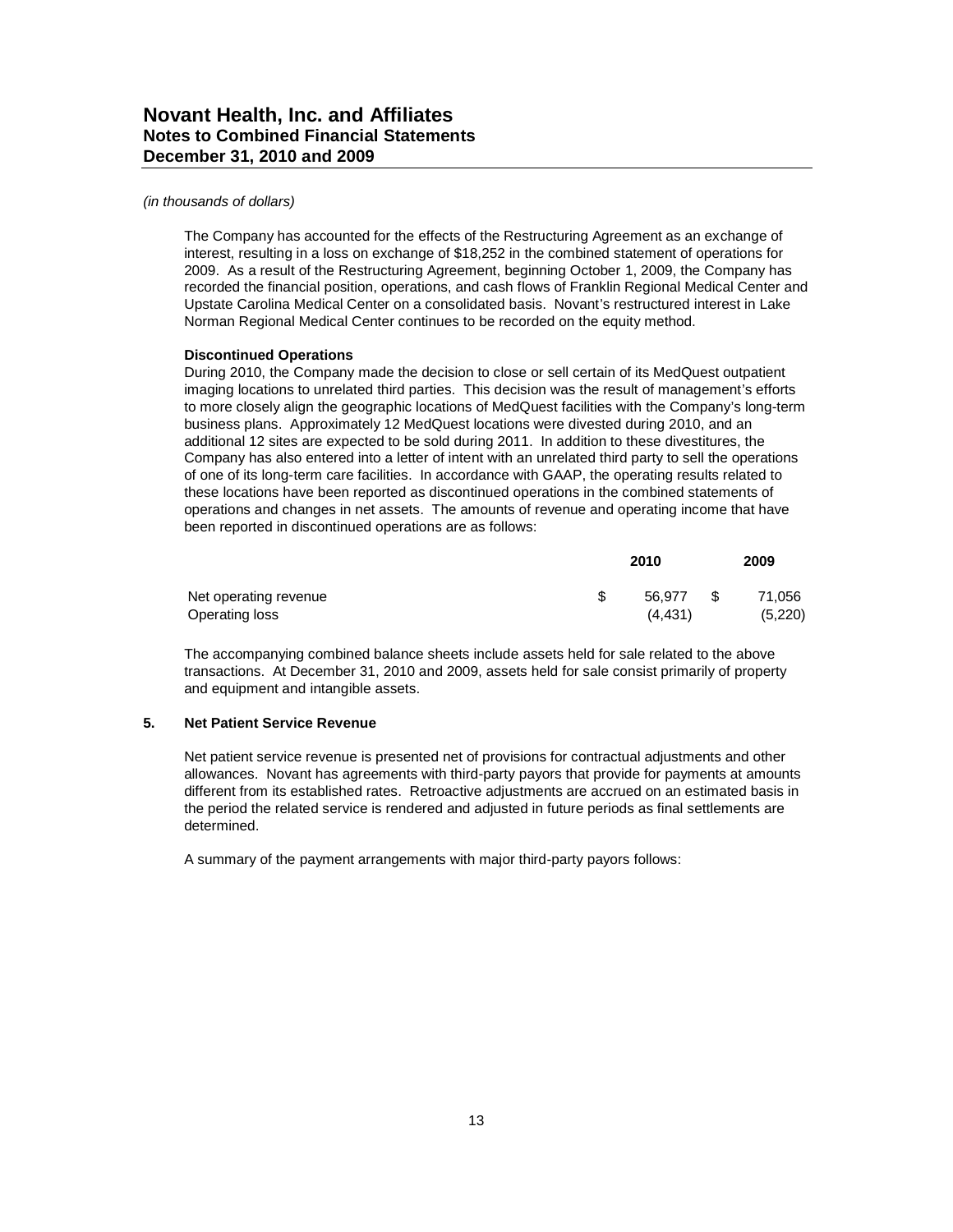#### *(in thousands of dollars)*

The Company has accounted for the effects of the Restructuring Agreement as an exchange of interest, resulting in a loss on exchange of \$18,252 in the combined statement of operations for 2009. As a result of the Restructuring Agreement, beginning October 1, 2009, the Company has recorded the financial position, operations, and cash flows of Franklin Regional Medical Center and Upstate Carolina Medical Center on a consolidated basis. Novant's restructured interest in Lake Norman Regional Medical Center continues to be recorded on the equity method.

### **Discontinued Operations**

During 2010, the Company made the decision to close or sell certain of its MedQuest outpatient imaging locations to unrelated third parties. This decision was the result of management's efforts to more closely align the geographic locations of MedQuest facilities with the Company's long-term business plans. Approximately 12 MedQuest locations were divested during 2010, and an additional 12 sites are expected to be sold during 2011. In addition to these divestitures, the Company has also entered into a letter of intent with an unrelated third party to sell the operations of one of its long-term care facilities. In accordance with GAAP, the operating results related to these locations have been reported as discontinued operations in the combined statements of operations and changes in net assets. The amounts of revenue and operating income that have been reported in discontinued operations are as follows:

|                       | 2010    |    |         |
|-----------------------|---------|----|---------|
| Net operating revenue | 56.977  | S. | 71.056  |
| Operating loss        | (4.431) |    | (5,220) |

The accompanying combined balance sheets include assets held for sale related to the above transactions. At December 31, 2010 and 2009, assets held for sale consist primarily of property and equipment and intangible assets.

### **5. Net Patient Service Revenue**

Net patient service revenue is presented net of provisions for contractual adjustments and other allowances. Novant has agreements with third-party payors that provide for payments at amounts different from its established rates. Retroactive adjustments are accrued on an estimated basis in the period the related service is rendered and adjusted in future periods as final settlements are determined.

A summary of the payment arrangements with major third-party payors follows: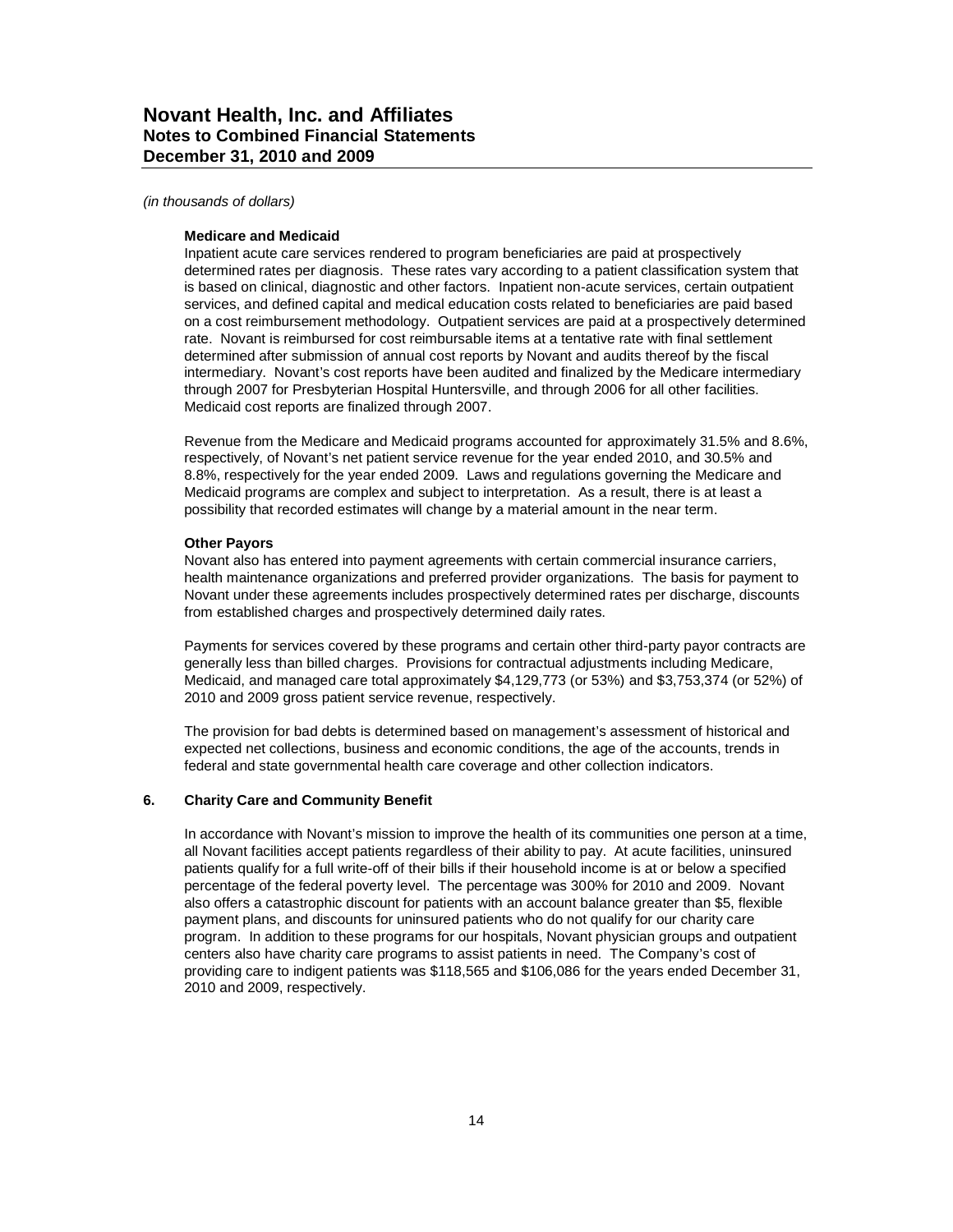#### *(in thousands of dollars)*

#### **Medicare and Medicaid**

Inpatient acute care services rendered to program beneficiaries are paid at prospectively determined rates per diagnosis. These rates vary according to a patient classification system that is based on clinical, diagnostic and other factors. Inpatient non-acute services, certain outpatient services, and defined capital and medical education costs related to beneficiaries are paid based on a cost reimbursement methodology. Outpatient services are paid at a prospectively determined rate. Novant is reimbursed for cost reimbursable items at a tentative rate with final settlement determined after submission of annual cost reports by Novant and audits thereof by the fiscal intermediary. Novant's cost reports have been audited and finalized by the Medicare intermediary through 2007 for Presbyterian Hospital Huntersville, and through 2006 for all other facilities. Medicaid cost reports are finalized through 2007.

Revenue from the Medicare and Medicaid programs accounted for approximately 31.5% and 8.6%, respectively, of Novant's net patient service revenue for the year ended 2010, and 30.5% and 8.8%, respectively for the year ended 2009. Laws and regulations governing the Medicare and Medicaid programs are complex and subject to interpretation. As a result, there is at least a possibility that recorded estimates will change by a material amount in the near term.

#### **Other Payors**

Novant also has entered into payment agreements with certain commercial insurance carriers, health maintenance organizations and preferred provider organizations. The basis for payment to Novant under these agreements includes prospectively determined rates per discharge, discounts from established charges and prospectively determined daily rates.

Payments for services covered by these programs and certain other third-party payor contracts are generally less than billed charges. Provisions for contractual adjustments including Medicare, Medicaid, and managed care total approximately \$4,129,773 (or 53%) and \$3,753,374 (or 52%) of 2010 and 2009 gross patient service revenue, respectively.

The provision for bad debts is determined based on management's assessment of historical and expected net collections, business and economic conditions, the age of the accounts, trends in federal and state governmental health care coverage and other collection indicators.

#### **6. Charity Care and Community Benefit**

In accordance with Novant's mission to improve the health of its communities one person at a time, all Novant facilities accept patients regardless of their ability to pay. At acute facilities, uninsured patients qualify for a full write-off of their bills if their household income is at or below a specified percentage of the federal poverty level. The percentage was 300% for 2010 and 2009. Novant also offers a catastrophic discount for patients with an account balance greater than \$5, flexible payment plans, and discounts for uninsured patients who do not qualify for our charity care program. In addition to these programs for our hospitals, Novant physician groups and outpatient centers also have charity care programs to assist patients in need. The Company's cost of providing care to indigent patients was \$118,565 and \$106,086 for the years ended December 31, 2010 and 2009, respectively.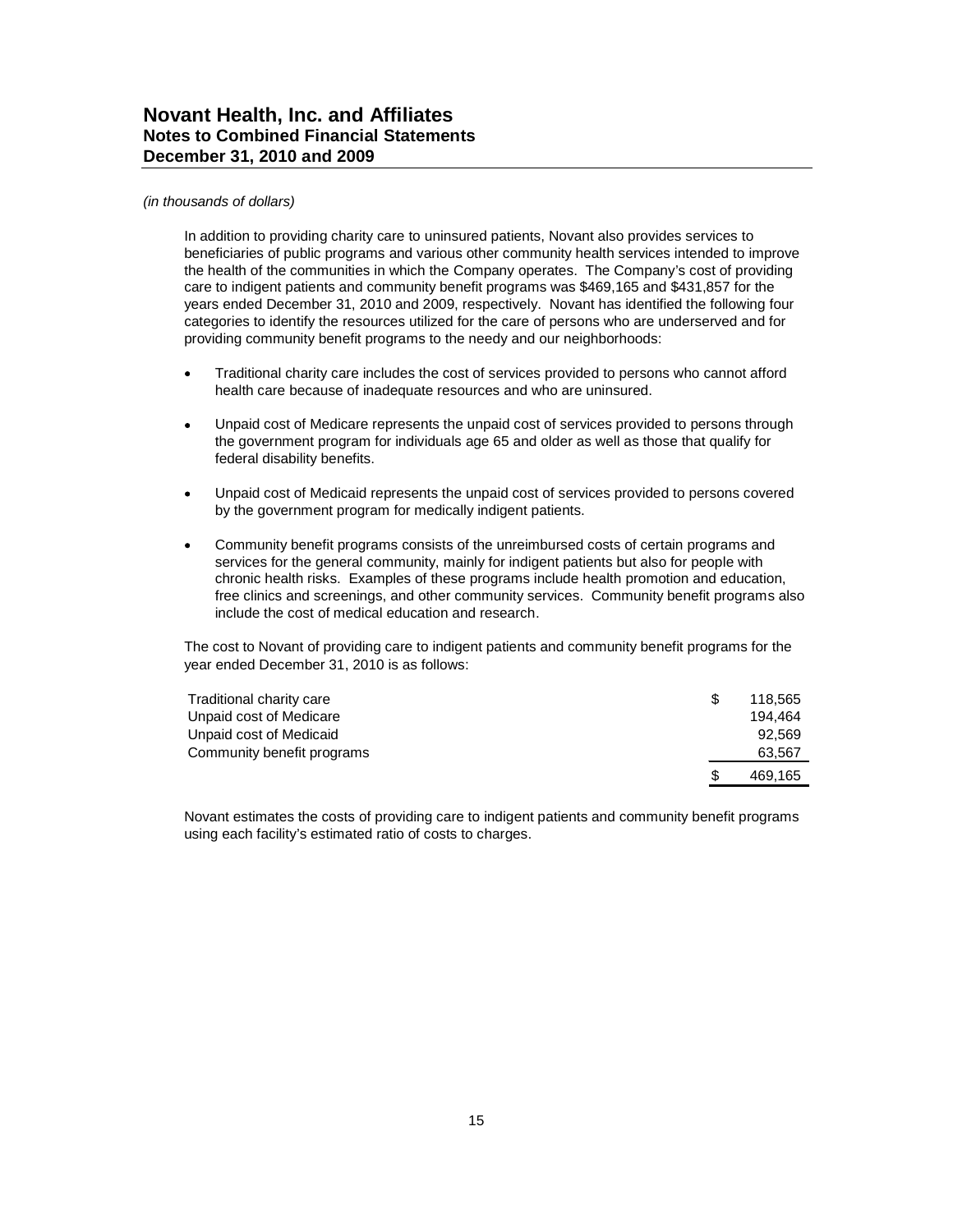#### *(in thousands of dollars)*

In addition to providing charity care to uninsured patients, Novant also provides services to beneficiaries of public programs and various other community health services intended to improve the health of the communities in which the Company operates. The Company's cost of providing care to indigent patients and community benefit programs was \$469,165 and \$431,857 for the years ended December 31, 2010 and 2009, respectively. Novant has identified the following four categories to identify the resources utilized for the care of persons who are underserved and for providing community benefit programs to the needy and our neighborhoods:

- Traditional charity care includes the cost of services provided to persons who cannot afford health care because of inadequate resources and who are uninsured.
- Unpaid cost of Medicare represents the unpaid cost of services provided to persons through the government program for individuals age 65 and older as well as those that qualify for federal disability benefits.
- Unpaid cost of Medicaid represents the unpaid cost of services provided to persons covered by the government program for medically indigent patients.
- Community benefit programs consists of the unreimbursed costs of certain programs and services for the general community, mainly for indigent patients but also for people with chronic health risks. Examples of these programs include health promotion and education, free clinics and screenings, and other community services. Community benefit programs also include the cost of medical education and research.

The cost to Novant of providing care to indigent patients and community benefit programs for the year ended December 31, 2010 is as follows:

| Traditional charity care   |     | 118.565 |
|----------------------------|-----|---------|
| Unpaid cost of Medicare    |     | 194.464 |
| Unpaid cost of Medicaid    |     | 92.569  |
| Community benefit programs |     | 63.567  |
|                            | \$. | 469.165 |

Novant estimates the costs of providing care to indigent patients and community benefit programs using each facility's estimated ratio of costs to charges.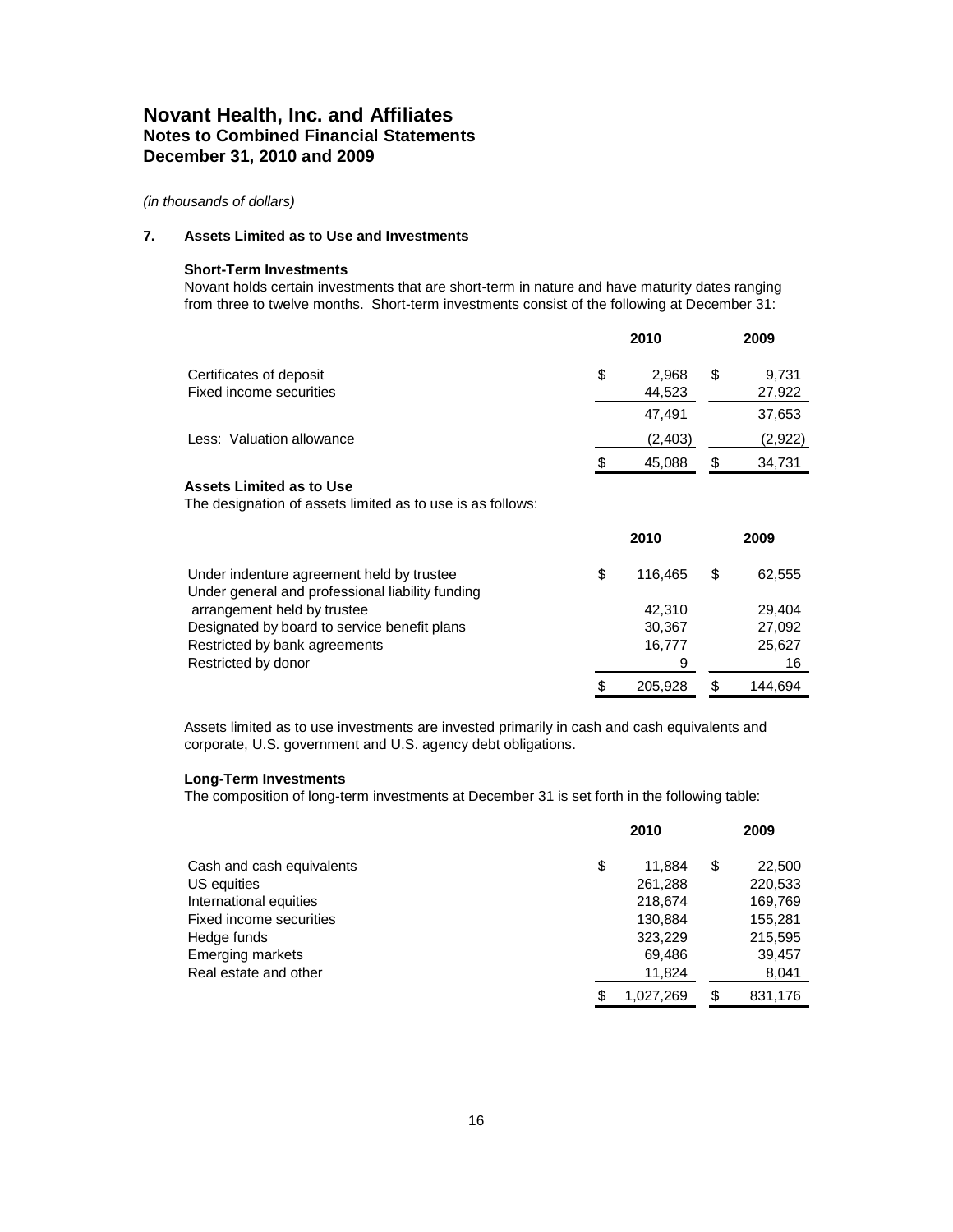### **7. Assets Limited as to Use and Investments**

#### **Short-Term Investments**

Novant holds certain investments that are short-term in nature and have maturity dates ranging from three to twelve months. Short-term investments consist of the following at December 31:

|                           | 2010         |    | 2009    |
|---------------------------|--------------|----|---------|
| Certificates of deposit   | \$<br>2.968  | \$ | 9,731   |
| Fixed income securities   | 44,523       |    | 27,922  |
|                           | 47.491       |    | 37,653  |
| Less: Valuation allowance | (2, 403)     |    | (2,922) |
|                           | \$<br>45.088 | S  | 34,731  |

### **Assets Limited as to Use**

The designation of assets limited as to use is as follows:

|                                                  | 2010 |         | 2009 |         |  |
|--------------------------------------------------|------|---------|------|---------|--|
| Under indenture agreement held by trustee        | \$   | 116.465 | \$   | 62,555  |  |
| Under general and professional liability funding |      |         |      |         |  |
| arrangement held by trustee                      |      | 42.310  |      | 29.404  |  |
| Designated by board to service benefit plans     |      | 30,367  |      | 27,092  |  |
| Restricted by bank agreements                    |      | 16,777  |      | 25,627  |  |
| Restricted by donor                              |      | 9       |      | 16      |  |
|                                                  | S    | 205.928 |      | 144.694 |  |

Assets limited as to use investments are invested primarily in cash and cash equivalents and corporate, U.S. government and U.S. agency debt obligations.

#### **Long-Term Investments**

The composition of long-term investments at December 31 is set forth in the following table:

|                           |    | 2010      |    |         |
|---------------------------|----|-----------|----|---------|
| Cash and cash equivalents | \$ | 11.884    | \$ | 22,500  |
| US equities               |    | 261,288   |    | 220,533 |
| International equities    |    | 218,674   |    | 169,769 |
| Fixed income securities   |    | 130.884   |    | 155,281 |
| Hedge funds               |    | 323,229   |    | 215,595 |
| <b>Emerging markets</b>   |    | 69,486    |    | 39,457  |
| Real estate and other     |    | 11,824    |    | 8,041   |
|                           | S  | 1,027,269 | \$ | 831,176 |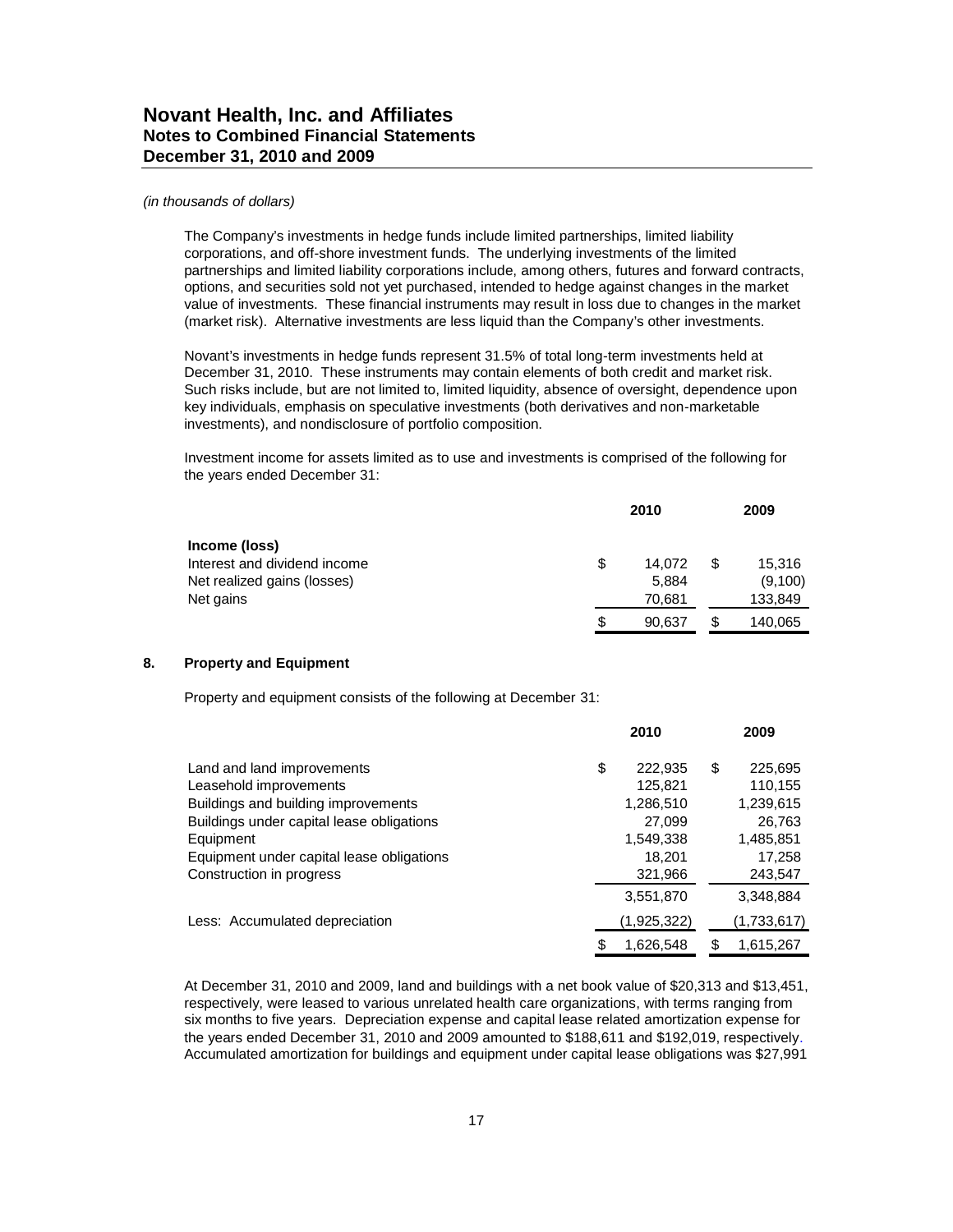#### *(in thousands of dollars)*

The Company's investments in hedge funds include limited partnerships, limited liability corporations, and off-shore investment funds. The underlying investments of the limited partnerships and limited liability corporations include, among others, futures and forward contracts, options, and securities sold not yet purchased, intended to hedge against changes in the market value of investments. These financial instruments may result in loss due to changes in the market (market risk). Alternative investments are less liquid than the Company's other investments.

Novant's investments in hedge funds represent 31.5% of total long-term investments held at December 31, 2010. These instruments may contain elements of both credit and market risk. Such risks include, but are not limited to, limited liquidity, absence of oversight, dependence upon key individuals, emphasis on speculative investments (both derivatives and non-marketable investments), and nondisclosure of portfolio composition.

Investment income for assets limited as to use and investments is comprised of the following for the years ended December 31:

|                              | 2010         |    |         |
|------------------------------|--------------|----|---------|
| Income (loss)                |              |    |         |
| Interest and dividend income | \$<br>14.072 | \$ | 15,316  |
| Net realized gains (losses)  | 5.884        |    | (9,100) |
| Net gains                    | 70.681       |    | 133,849 |
|                              | \$<br>90.637 |    | 140,065 |

### **8. Property and Equipment**

Property and equipment consists of the following at December 31:

|                                           | 2010            |    | 2009        |
|-------------------------------------------|-----------------|----|-------------|
| Land and land improvements                | \$<br>222,935   | S  | 225,695     |
| Leasehold improvements                    | 125,821         |    | 110,155     |
| Buildings and building improvements       | 1,286,510       |    | 1,239,615   |
| Buildings under capital lease obligations | 27.099          |    | 26,763      |
| Equipment                                 | 1,549,338       |    | 1,485,851   |
| Equipment under capital lease obligations | 18,201          |    | 17,258      |
| Construction in progress                  | 321,966         |    | 243,547     |
|                                           | 3,551,870       |    | 3,348,884   |
| Less: Accumulated depreciation            | (1,925,322)     |    | (1,733,617) |
|                                           | \$<br>1,626,548 | \$ | 1,615,267   |

At December 31, 2010 and 2009, land and buildings with a net book value of \$20,313 and \$13,451, respectively, were leased to various unrelated health care organizations, with terms ranging from six months to five years. Depreciation expense and capital lease related amortization expense for the years ended December 31, 2010 and 2009 amounted to \$188,611 and \$192,019, respectively. Accumulated amortization for buildings and equipment under capital lease obligations was \$27,991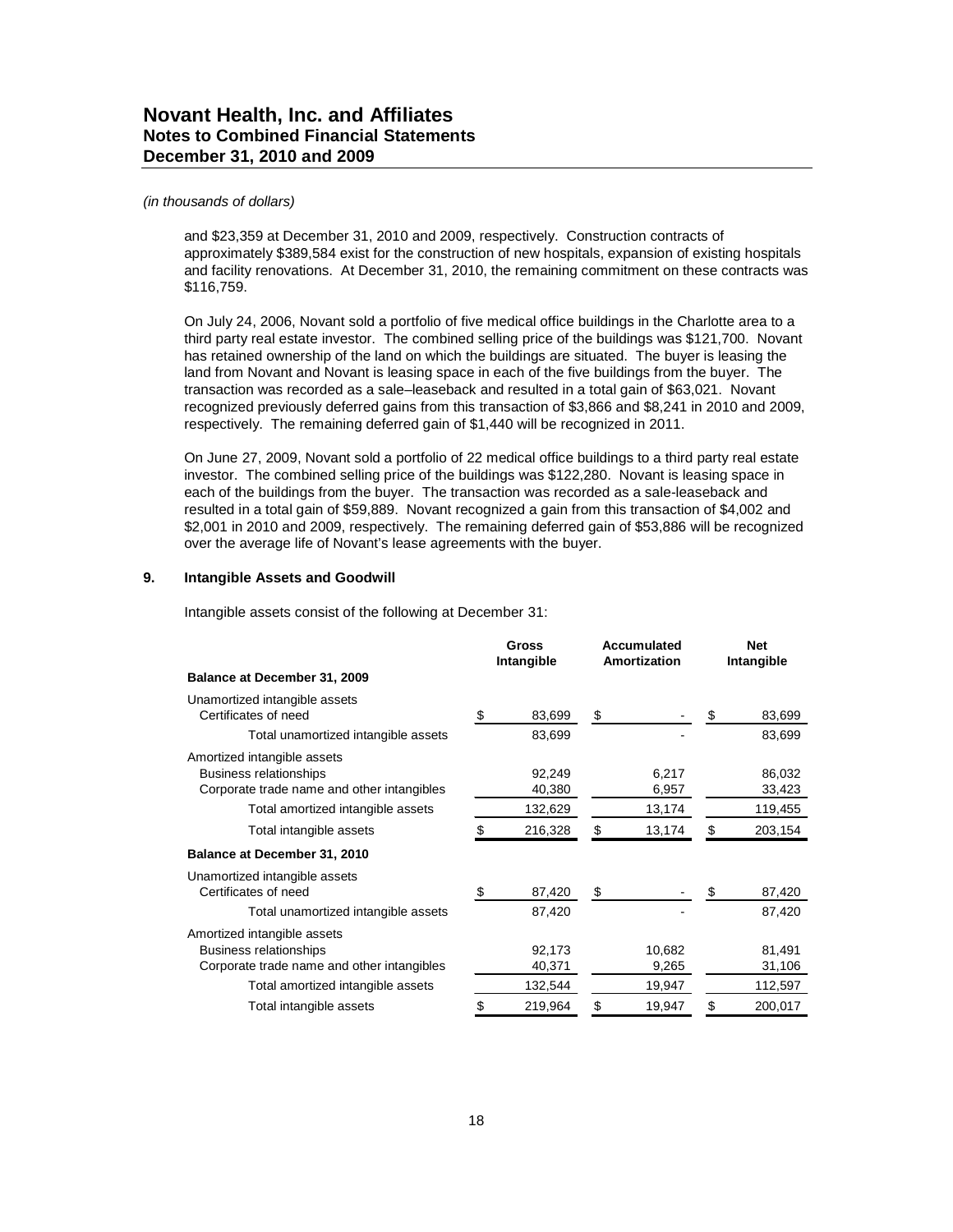#### *(in thousands of dollars)*

and \$23,359 at December 31, 2010 and 2009, respectively. Construction contracts of approximately \$389,584 exist for the construction of new hospitals, expansion of existing hospitals and facility renovations. At December 31, 2010, the remaining commitment on these contracts was \$116,759.

On July 24, 2006, Novant sold a portfolio of five medical office buildings in the Charlotte area to a third party real estate investor. The combined selling price of the buildings was \$121,700. Novant has retained ownership of the land on which the buildings are situated. The buyer is leasing the land from Novant and Novant is leasing space in each of the five buildings from the buyer. The transaction was recorded as a sale–leaseback and resulted in a total gain of \$63,021. Novant recognized previously deferred gains from this transaction of \$3,866 and \$8,241 in 2010 and 2009, respectively. The remaining deferred gain of \$1,440 will be recognized in 2011.

On June 27, 2009, Novant sold a portfolio of 22 medical office buildings to a third party real estate investor. The combined selling price of the buildings was \$122,280. Novant is leasing space in each of the buildings from the buyer. The transaction was recorded as a sale-leaseback and resulted in a total gain of \$59,889. Novant recognized a gain from this transaction of \$4,002 and \$2,001 in 2010 and 2009, respectively. The remaining deferred gain of \$53,886 will be recognized over the average life of Novant's lease agreements with the buyer.

### **9. Intangible Assets and Goodwill**

Intangible assets consist of the following at December 31:

|                                                                                                                                                 |    | Gross<br>Intangible<br>Amortization |    | Accumulated               |    | <b>Net</b><br>Intangible    |
|-------------------------------------------------------------------------------------------------------------------------------------------------|----|-------------------------------------|----|---------------------------|----|-----------------------------|
| Balance at December 31, 2009                                                                                                                    |    |                                     |    |                           |    |                             |
| Unamortized intangible assets<br>Certificates of need                                                                                           | \$ | 83,699                              | \$ |                           | S  | 83,699                      |
| Total unamortized intangible assets                                                                                                             |    | 83,699                              |    |                           |    | 83,699                      |
| Amortized intangible assets<br><b>Business relationships</b><br>Corporate trade name and other intangibles                                      |    | 92,249<br>40,380                    |    | 6,217<br>6,957            |    | 86,032<br>33,423            |
| Total amortized intangible assets                                                                                                               |    | 132,629                             |    | 13,174                    |    | 119,455                     |
| Total intangible assets                                                                                                                         |    | 216,328                             | \$ | 13,174                    | \$ | 203,154                     |
| Balance at December 31, 2010                                                                                                                    |    |                                     |    |                           |    |                             |
| Unamortized intangible assets<br>Certificates of need                                                                                           | \$ | 87,420                              | \$ |                           | \$ | 87,420                      |
| Total unamortized intangible assets                                                                                                             |    | 87,420                              |    |                           |    | 87,420                      |
| Amortized intangible assets<br><b>Business relationships</b><br>Corporate trade name and other intangibles<br>Total amortized intangible assets |    | 92,173<br>40,371<br>132,544         |    | 10,682<br>9,265<br>19,947 |    | 81,491<br>31,106<br>112,597 |
| Total intangible assets                                                                                                                         | S  | 219,964                             | S  | 19,947                    | S  | 200,017                     |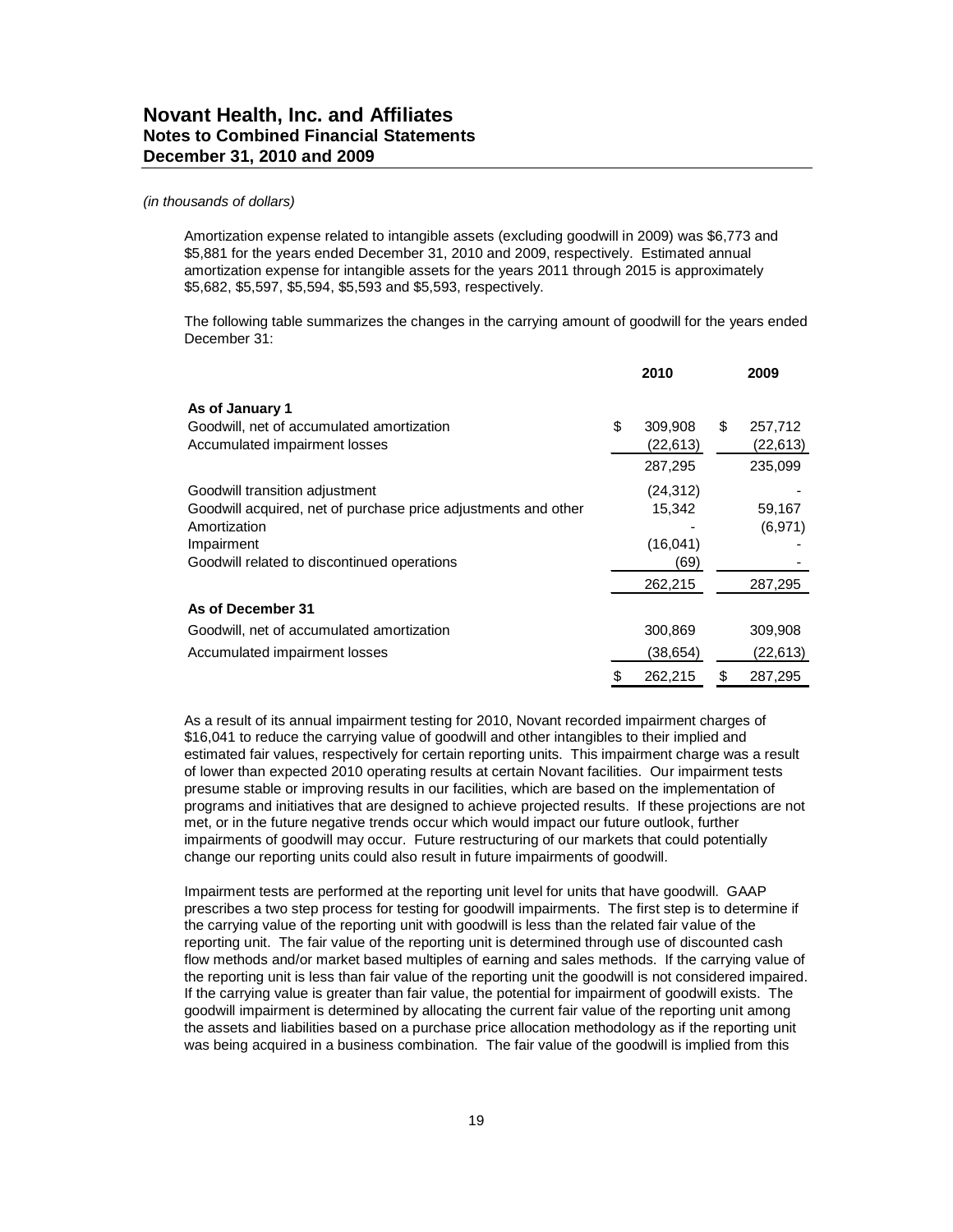Amortization expense related to intangible assets (excluding goodwill in 2009) was \$6,773 and \$5,881 for the years ended December 31, 2010 and 2009, respectively. Estimated annual amortization expense for intangible assets for the years 2011 through 2015 is approximately \$5,682, \$5,597, \$5,594, \$5,593 and \$5,593, respectively.

The following table summarizes the changes in the carrying amount of goodwill for the years ended December 31:

|                                                                |    | 2010      | 2009          |
|----------------------------------------------------------------|----|-----------|---------------|
| As of January 1                                                |    |           |               |
| Goodwill, net of accumulated amortization                      | \$ | 309,908   | \$<br>257,712 |
| Accumulated impairment losses                                  |    | (22,613)  | (22, 613)     |
|                                                                |    | 287,295   | 235,099       |
| Goodwill transition adjustment                                 |    | (24, 312) |               |
| Goodwill acquired, net of purchase price adjustments and other |    | 15,342    | 59,167        |
| Amortization                                                   |    |           | (6, 971)      |
| Impairment                                                     |    | (16, 041) |               |
| Goodwill related to discontinued operations                    |    | (69)      |               |
|                                                                |    | 262,215   | 287,295       |
| As of December 31                                              |    |           |               |
| Goodwill, net of accumulated amortization                      |    | 300,869   | 309,908       |
| Accumulated impairment losses                                  |    | (38,654)  | (22, 613)     |
|                                                                | S  | 262,215   | \$<br>287,295 |

As a result of its annual impairment testing for 2010, Novant recorded impairment charges of \$16,041 to reduce the carrying value of goodwill and other intangibles to their implied and estimated fair values, respectively for certain reporting units. This impairment charge was a result of lower than expected 2010 operating results at certain Novant facilities. Our impairment tests presume stable or improving results in our facilities, which are based on the implementation of programs and initiatives that are designed to achieve projected results. If these projections are not met, or in the future negative trends occur which would impact our future outlook, further impairments of goodwill may occur. Future restructuring of our markets that could potentially change our reporting units could also result in future impairments of goodwill.

Impairment tests are performed at the reporting unit level for units that have goodwill. GAAP prescribes a two step process for testing for goodwill impairments. The first step is to determine if the carrying value of the reporting unit with goodwill is less than the related fair value of the reporting unit. The fair value of the reporting unit is determined through use of discounted cash flow methods and/or market based multiples of earning and sales methods. If the carrying value of the reporting unit is less than fair value of the reporting unit the goodwill is not considered impaired. If the carrying value is greater than fair value, the potential for impairment of goodwill exists. The goodwill impairment is determined by allocating the current fair value of the reporting unit among the assets and liabilities based on a purchase price allocation methodology as if the reporting unit was being acquired in a business combination. The fair value of the goodwill is implied from this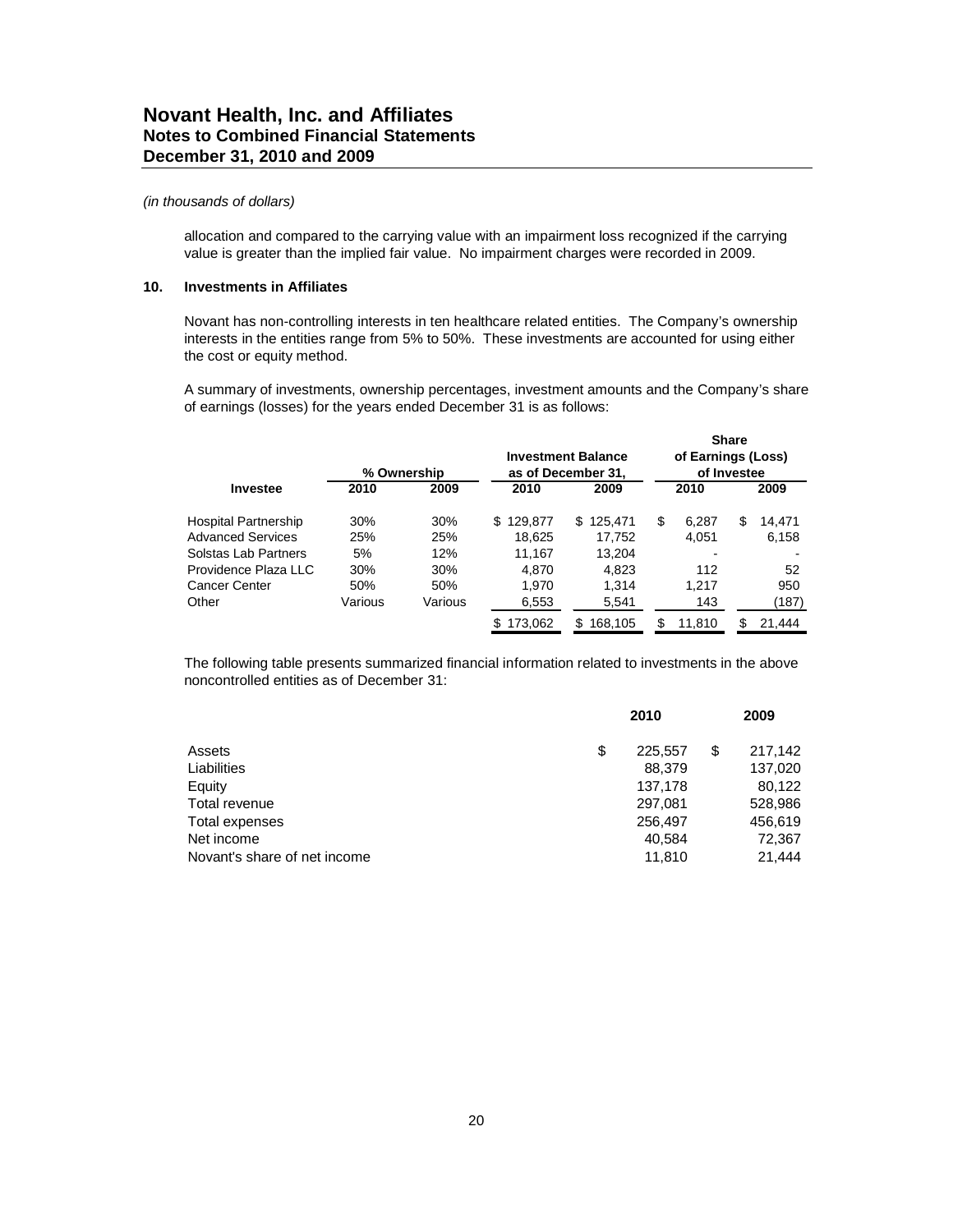#### *(in thousands of dollars)*

allocation and compared to the carrying value with an impairment loss recognized if the carrying value is greater than the implied fair value. No impairment charges were recorded in 2009.

### **10. Investments in Affiliates**

Novant has non-controlling interests in ten healthcare related entities. The Company's ownership interests in the entities range from 5% to 50%. These investments are accounted for using either the cost or equity method.

A summary of investments, ownership percentages, investment amounts and the Company's share of earnings (losses) for the years ended December 31 is as follows:

|                          |         | % Ownership |                | <b>Investment Balance</b><br>as of December 31, |   | of Earnings (Loss)<br>of Investee | <b>Share</b> |        |
|--------------------------|---------|-------------|----------------|-------------------------------------------------|---|-----------------------------------|--------------|--------|
| Investee                 | 2010    | 2009        | 2010           | 2009                                            |   | 2010                              |              | 2009   |
| Hospital Partnership     | 30%     | 30%         | 129.877<br>\$. | 125.471<br>\$.                                  | S | 6.287                             | \$           | 14,471 |
| <b>Advanced Services</b> | 25%     | 25%         | 18,625         | 17,752                                          |   | 4,051                             |              | 6,158  |
| Solstas Lab Partners     | 5%      | 12%         | 11,167         | 13,204                                          |   |                                   |              |        |
| Providence Plaza LLC     | 30%     | 30%         | 4.870          | 4.823                                           |   | 112                               |              | 52     |
| Cancer Center            | 50%     | 50%         | 1.970          | 1.314                                           |   | 1.217                             |              | 950    |
| Other                    | Various | Various     | 6,553          | 5,541                                           |   | 143                               |              | (187)  |
|                          |         |             | \$<br>173.062  | 168.105<br>S                                    | S | 11.810                            | S            | 21.444 |

The following table presents summarized financial information related to investments in the above noncontrolled entities as of December 31:

|                              | 2010          | 2009          |
|------------------------------|---------------|---------------|
| Assets                       | \$<br>225.557 | \$<br>217,142 |
| Liabilities                  | 88,379        | 137,020       |
| Equity                       | 137,178       | 80,122        |
| Total revenue                | 297,081       | 528,986       |
| Total expenses               | 256,497       | 456,619       |
| Net income                   | 40,584        | 72,367        |
| Novant's share of net income | 11,810        | 21.444        |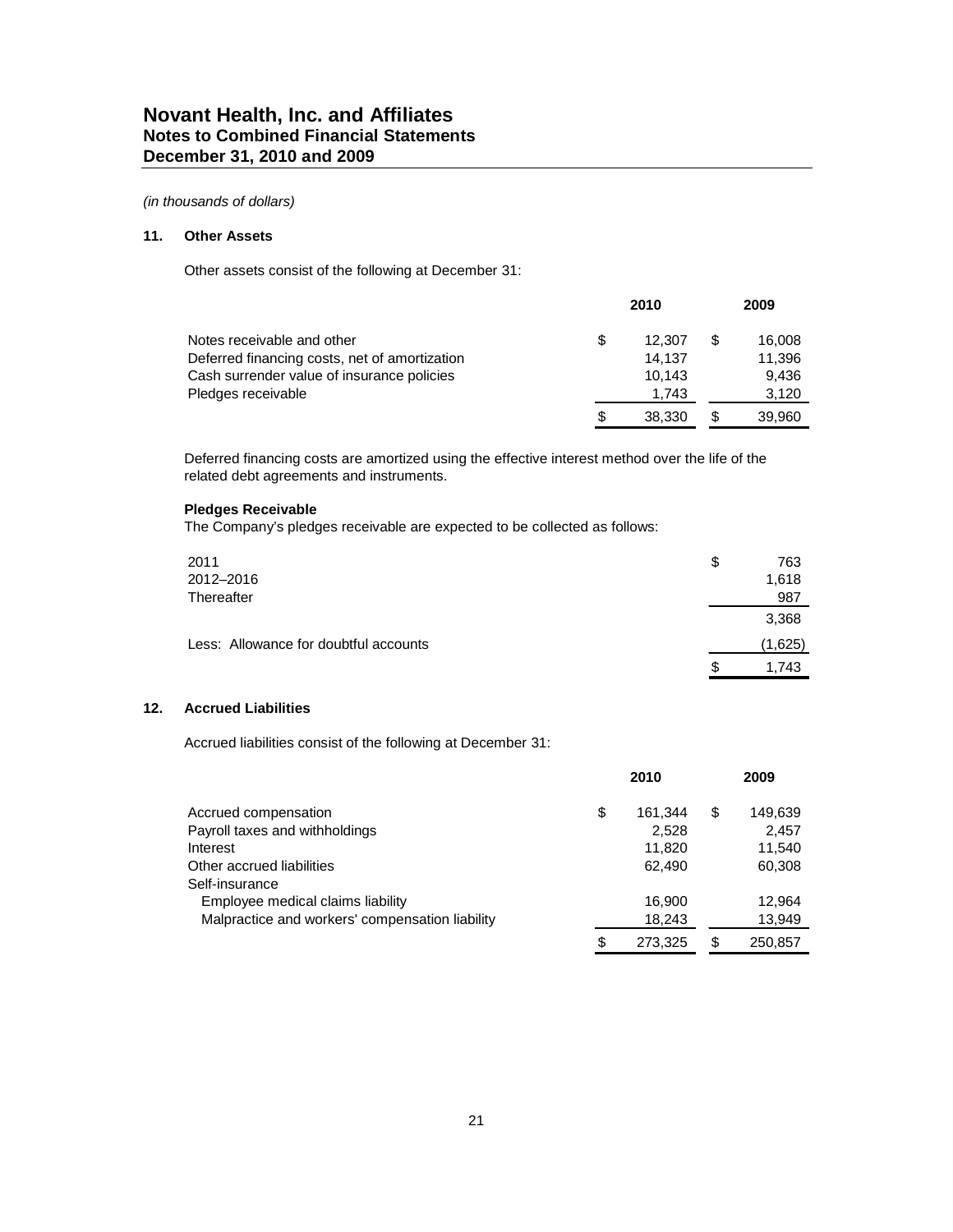### **11. Other Assets**

Other assets consist of the following at December 31:

|                                               |   | 2009   |  |        |
|-----------------------------------------------|---|--------|--|--------|
| Notes receivable and other                    | S | 12.307 |  | 16,008 |
| Deferred financing costs, net of amortization |   | 14.137 |  | 11,396 |
| Cash surrender value of insurance policies    |   | 10.143 |  | 9.436  |
| Pledges receivable                            |   | 1.743  |  | 3.120  |
|                                               | S | 38,330 |  | 39,960 |

Deferred financing costs are amortized using the effective interest method over the life of the related debt agreements and instruments.

### **Pledges Receivable**

The Company's pledges receivable are expected to be collected as follows:

| 2011                                  | \$ | 763     |
|---------------------------------------|----|---------|
| 2012-2016                             |    | 1,618   |
| Thereafter                            |    | 987     |
|                                       |    | 3,368   |
| Less: Allowance for doubtful accounts |    | (1,625) |
|                                       | S  | 1.743   |

### **12. Accrued Liabilities**

Accrued liabilities consist of the following at December 31:

|                                                 | 2010          |    | 2009    |
|-------------------------------------------------|---------------|----|---------|
| Accrued compensation                            | \$<br>161,344 | \$ | 149,639 |
| Payroll taxes and withholdings                  | 2.528         |    | 2,457   |
| Interest                                        | 11.820        |    | 11.540  |
| Other accrued liabilities                       | 62.490        |    | 60,308  |
| Self-insurance                                  |               |    |         |
| Employee medical claims liability               | 16.900        |    | 12.964  |
| Malpractice and workers' compensation liability | 18,243        |    | 13,949  |
|                                                 | \$<br>273.325 | S  | 250.857 |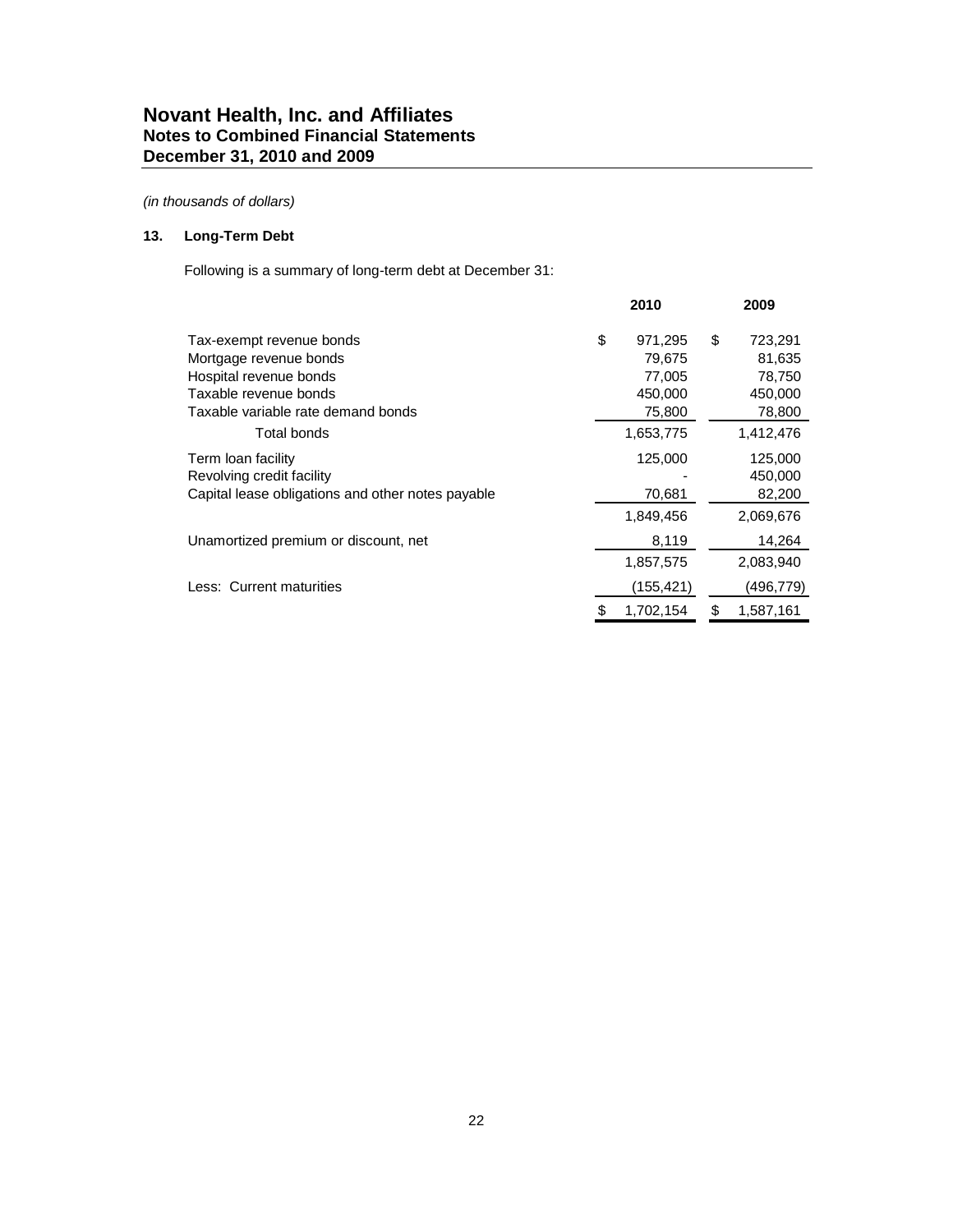### **13. Long-Term Debt**

Following is a summary of long-term debt at December 31:

|                                                   | 2010            | 2009            |
|---------------------------------------------------|-----------------|-----------------|
| Tax-exempt revenue bonds                          | \$<br>971,295   | \$<br>723,291   |
| Mortgage revenue bonds                            | 79,675          | 81,635          |
| Hospital revenue bonds                            | 77,005          | 78,750          |
| Taxable revenue bonds                             | 450,000         | 450,000         |
| Taxable variable rate demand bonds                | 75,800          | 78,800          |
| Total bonds                                       | 1,653,775       | 1,412,476       |
| Term loan facility                                | 125,000         | 125,000         |
| Revolving credit facility                         |                 | 450,000         |
| Capital lease obligations and other notes payable | 70,681          | 82,200          |
|                                                   | 1,849,456       | 2,069,676       |
| Unamortized premium or discount, net              | 8,119           | 14,264          |
|                                                   | 1,857,575       | 2,083,940       |
| Less: Current maturities                          | (155, 421)      | (496,779)       |
|                                                   | \$<br>1,702,154 | \$<br>1,587,161 |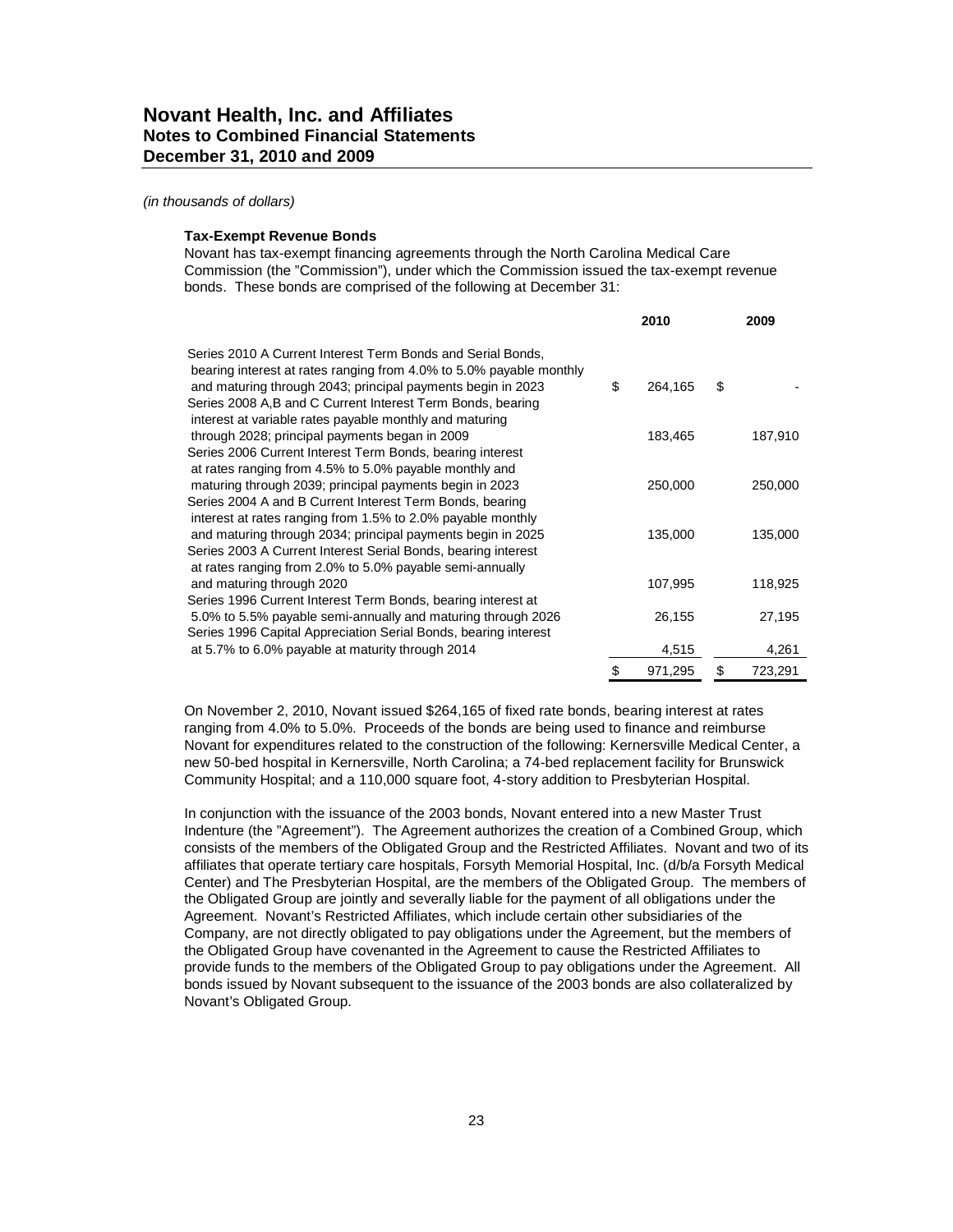#### **Tax-Exempt Revenue Bonds**

Novant has tax-exempt financing agreements through the North Carolina Medical Care Commission (the "Commission"), under which the Commission issued the tax-exempt revenue bonds. These bonds are comprised of the following at December 31:

|                                                                                                                                    | 2010          | 2009          |
|------------------------------------------------------------------------------------------------------------------------------------|---------------|---------------|
| Series 2010 A Current Interest Term Bonds and Serial Bonds,<br>bearing interest at rates ranging from 4.0% to 5.0% payable monthly |               |               |
| and maturing through 2043; principal payments begin in 2023                                                                        | \$<br>264,165 | \$            |
| Series 2008 A, B and C Current Interest Term Bonds, bearing<br>interest at variable rates payable monthly and maturing             |               |               |
| through 2028; principal payments began in 2009                                                                                     | 183,465       | 187,910       |
| Series 2006 Current Interest Term Bonds, bearing interest                                                                          |               |               |
| at rates ranging from 4.5% to 5.0% payable monthly and                                                                             |               |               |
| maturing through 2039; principal payments begin in 2023                                                                            | 250,000       | 250,000       |
| Series 2004 A and B Current Interest Term Bonds, bearing                                                                           |               |               |
| interest at rates ranging from 1.5% to 2.0% payable monthly                                                                        |               |               |
| and maturing through 2034; principal payments begin in 2025                                                                        | 135,000       | 135,000       |
| Series 2003 A Current Interest Serial Bonds, bearing interest                                                                      |               |               |
| at rates ranging from 2.0% to 5.0% payable semi-annually                                                                           |               |               |
| and maturing through 2020                                                                                                          | 107,995       | 118,925       |
| Series 1996 Current Interest Term Bonds, bearing interest at                                                                       |               |               |
| 5.0% to 5.5% payable semi-annually and maturing through 2026                                                                       | 26,155        | 27,195        |
| Series 1996 Capital Appreciation Serial Bonds, bearing interest                                                                    |               |               |
| at 5.7% to 6.0% payable at maturity through 2014                                                                                   | 4,515         | 4,261         |
|                                                                                                                                    | \$<br>971,295 | \$<br>723,291 |

On November 2, 2010, Novant issued \$264,165 of fixed rate bonds, bearing interest at rates ranging from 4.0% to 5.0%. Proceeds of the bonds are being used to finance and reimburse Novant for expenditures related to the construction of the following: Kernersville Medical Center, a new 50-bed hospital in Kernersville, North Carolina; a 74-bed replacement facility for Brunswick Community Hospital; and a 110,000 square foot, 4-story addition to Presbyterian Hospital.

In conjunction with the issuance of the 2003 bonds, Novant entered into a new Master Trust Indenture (the "Agreement"). The Agreement authorizes the creation of a Combined Group, which consists of the members of the Obligated Group and the Restricted Affiliates. Novant and two of its affiliates that operate tertiary care hospitals, Forsyth Memorial Hospital, Inc. (d/b/a Forsyth Medical Center) and The Presbyterian Hospital, are the members of the Obligated Group. The members of the Obligated Group are jointly and severally liable for the payment of all obligations under the Agreement. Novant's Restricted Affiliates, which include certain other subsidiaries of the Company, are not directly obligated to pay obligations under the Agreement, but the members of the Obligated Group have covenanted in the Agreement to cause the Restricted Affiliates to provide funds to the members of the Obligated Group to pay obligations under the Agreement. All bonds issued by Novant subsequent to the issuance of the 2003 bonds are also collateralized by Novant's Obligated Group.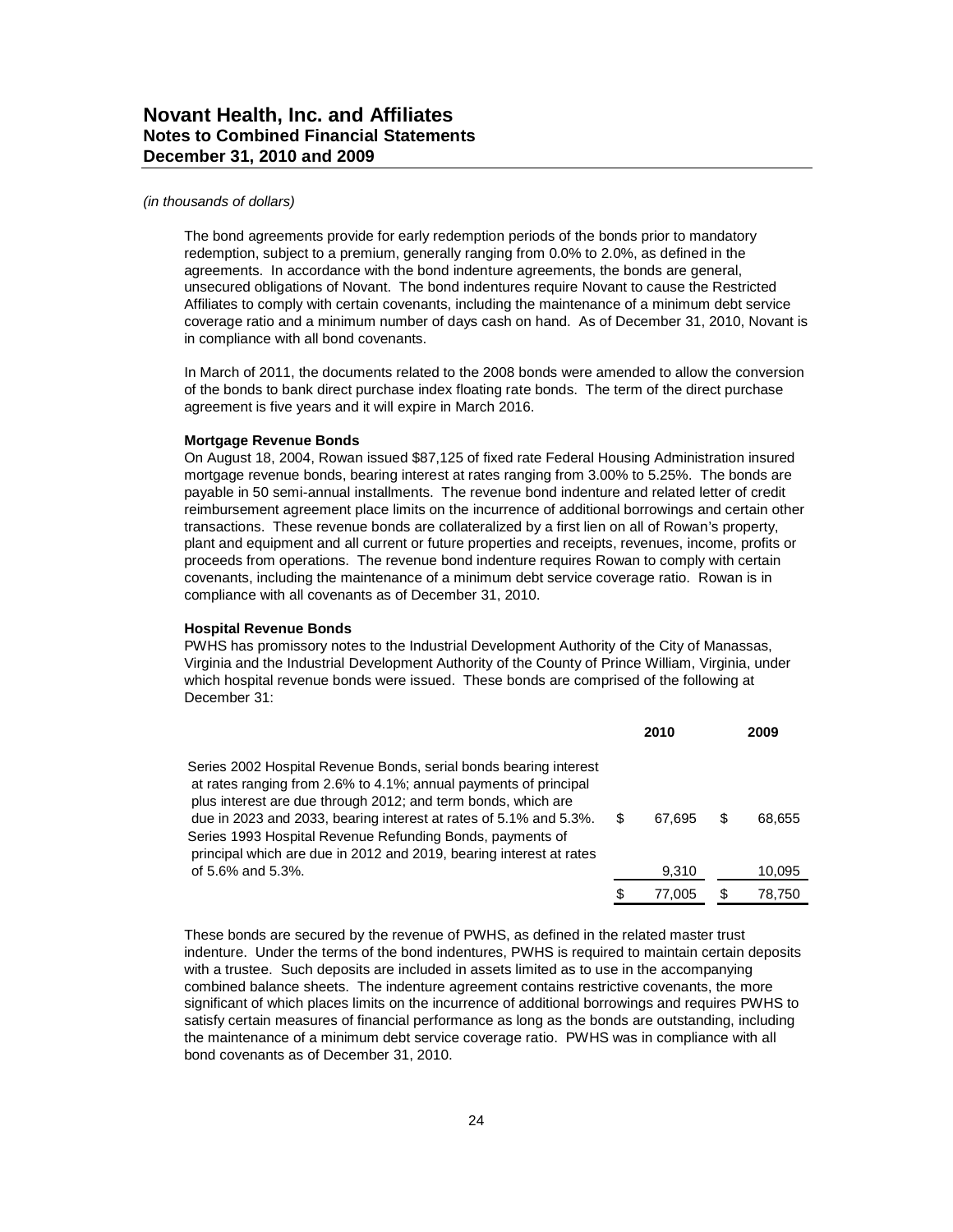#### *(in thousands of dollars)*

The bond agreements provide for early redemption periods of the bonds prior to mandatory redemption, subject to a premium, generally ranging from 0.0% to 2.0%, as defined in the agreements. In accordance with the bond indenture agreements, the bonds are general, unsecured obligations of Novant. The bond indentures require Novant to cause the Restricted Affiliates to comply with certain covenants, including the maintenance of a minimum debt service coverage ratio and a minimum number of days cash on hand. As of December 31, 2010, Novant is in compliance with all bond covenants.

In March of 2011, the documents related to the 2008 bonds were amended to allow the conversion of the bonds to bank direct purchase index floating rate bonds. The term of the direct purchase agreement is five years and it will expire in March 2016.

#### **Mortgage Revenue Bonds**

On August 18, 2004, Rowan issued \$87,125 of fixed rate Federal Housing Administration insured mortgage revenue bonds, bearing interest at rates ranging from 3.00% to 5.25%. The bonds are payable in 50 semi-annual installments. The revenue bond indenture and related letter of credit reimbursement agreement place limits on the incurrence of additional borrowings and certain other transactions. These revenue bonds are collateralized by a first lien on all of Rowan's property, plant and equipment and all current or future properties and receipts, revenues, income, profits or proceeds from operations. The revenue bond indenture requires Rowan to comply with certain covenants, including the maintenance of a minimum debt service coverage ratio. Rowan is in compliance with all covenants as of December 31, 2010.

#### **Hospital Revenue Bonds**

PWHS has promissory notes to the Industrial Development Authority of the City of Manassas, Virginia and the Industrial Development Authority of the County of Prince William, Virginia, under which hospital revenue bonds were issued. These bonds are comprised of the following at December 31:

|                                                                                                                                                                                                                                                                                                                                          |    | 2010   | 2009   |
|------------------------------------------------------------------------------------------------------------------------------------------------------------------------------------------------------------------------------------------------------------------------------------------------------------------------------------------|----|--------|--------|
| Series 2002 Hospital Revenue Bonds, serial bonds bearing interest<br>at rates ranging from 2.6% to 4.1%; annual payments of principal<br>plus interest are due through 2012; and term bonds, which are<br>due in 2023 and 2033, bearing interest at rates of 5.1% and 5.3%.<br>Series 1993 Hospital Revenue Refunding Bonds, payments of | .S | 67.695 | 68.655 |
| principal which are due in 2012 and 2019, bearing interest at rates<br>of 5.6% and 5.3%.                                                                                                                                                                                                                                                 |    | 9,310  | 10,095 |
|                                                                                                                                                                                                                                                                                                                                          | S  | 77.005 | 78.750 |

These bonds are secured by the revenue of PWHS, as defined in the related master trust indenture. Under the terms of the bond indentures, PWHS is required to maintain certain deposits with a trustee. Such deposits are included in assets limited as to use in the accompanying combined balance sheets. The indenture agreement contains restrictive covenants, the more significant of which places limits on the incurrence of additional borrowings and requires PWHS to satisfy certain measures of financial performance as long as the bonds are outstanding, including the maintenance of a minimum debt service coverage ratio. PWHS was in compliance with all bond covenants as of December 31, 2010.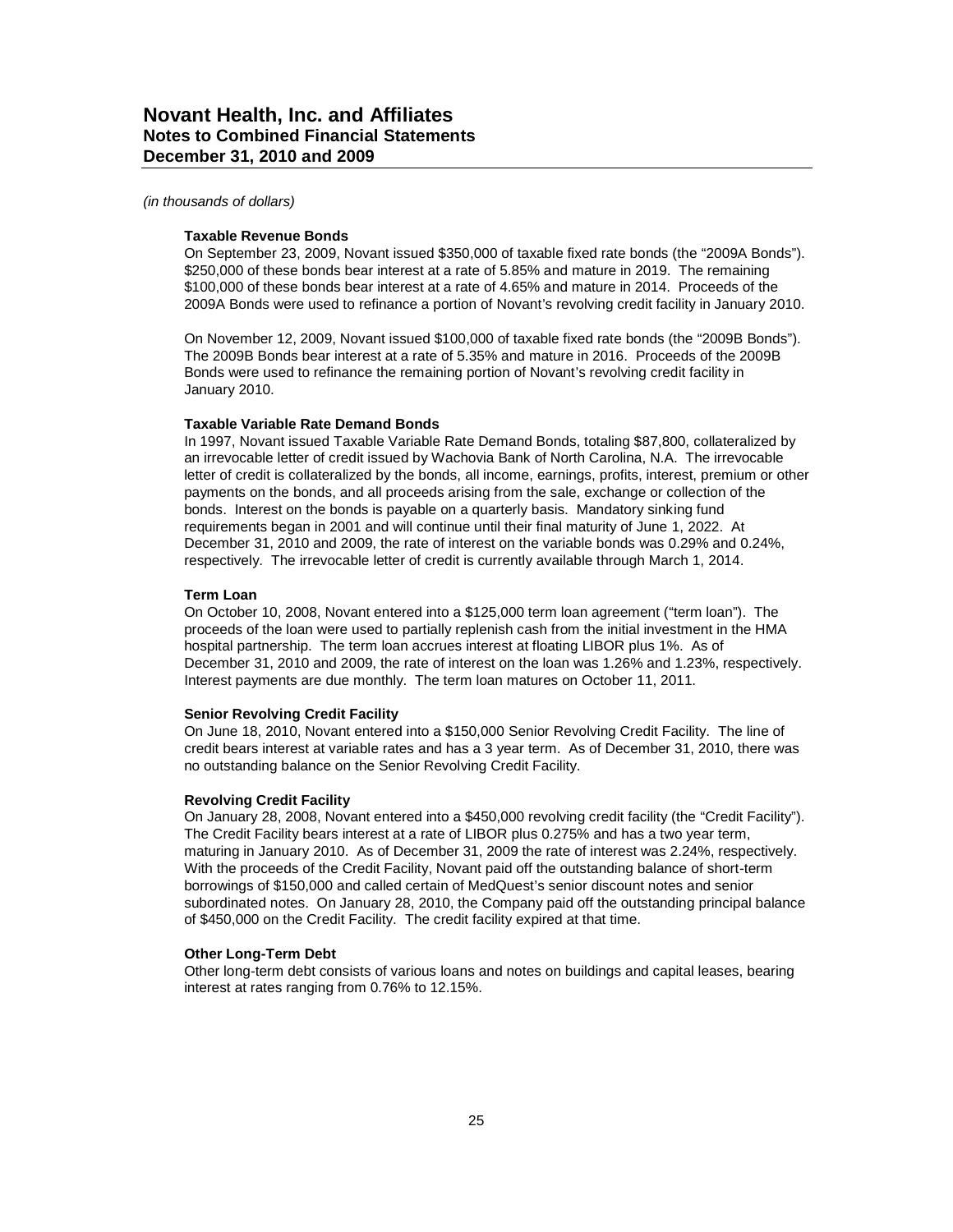#### *(in thousands of dollars)*

#### **Taxable Revenue Bonds**

On September 23, 2009, Novant issued \$350,000 of taxable fixed rate bonds (the "2009A Bonds"). \$250,000 of these bonds bear interest at a rate of 5.85% and mature in 2019. The remaining \$100,000 of these bonds bear interest at a rate of 4.65% and mature in 2014. Proceeds of the 2009A Bonds were used to refinance a portion of Novant's revolving credit facility in January 2010.

On November 12, 2009, Novant issued \$100,000 of taxable fixed rate bonds (the "2009B Bonds"). The 2009B Bonds bear interest at a rate of 5.35% and mature in 2016. Proceeds of the 2009B Bonds were used to refinance the remaining portion of Novant's revolving credit facility in January 2010.

#### **Taxable Variable Rate Demand Bonds**

In 1997, Novant issued Taxable Variable Rate Demand Bonds, totaling \$87,800, collateralized by an irrevocable letter of credit issued by Wachovia Bank of North Carolina, N.A. The irrevocable letter of credit is collateralized by the bonds, all income, earnings, profits, interest, premium or other payments on the bonds, and all proceeds arising from the sale, exchange or collection of the bonds. Interest on the bonds is payable on a quarterly basis. Mandatory sinking fund requirements began in 2001 and will continue until their final maturity of June 1, 2022. At December 31, 2010 and 2009, the rate of interest on the variable bonds was 0.29% and 0.24%, respectively. The irrevocable letter of credit is currently available through March 1, 2014.

### **Term Loan**

On October 10, 2008, Novant entered into a \$125,000 term loan agreement ("term loan"). The proceeds of the loan were used to partially replenish cash from the initial investment in the HMA hospital partnership. The term loan accrues interest at floating LIBOR plus 1%. As of December 31, 2010 and 2009, the rate of interest on the loan was 1.26% and 1.23%, respectively. Interest payments are due monthly. The term loan matures on October 11, 2011.

#### **Senior Revolving Credit Facility**

On June 18, 2010, Novant entered into a \$150,000 Senior Revolving Credit Facility. The line of credit bears interest at variable rates and has a 3 year term. As of December 31, 2010, there was no outstanding balance on the Senior Revolving Credit Facility.

### **Revolving Credit Facility**

On January 28, 2008, Novant entered into a \$450,000 revolving credit facility (the "Credit Facility"). The Credit Facility bears interest at a rate of LIBOR plus 0.275% and has a two year term, maturing in January 2010. As of December 31, 2009 the rate of interest was 2.24%, respectively. With the proceeds of the Credit Facility, Novant paid off the outstanding balance of short-term borrowings of \$150,000 and called certain of MedQuest's senior discount notes and senior subordinated notes. On January 28, 2010, the Company paid off the outstanding principal balance of \$450,000 on the Credit Facility. The credit facility expired at that time.

### **Other Long-Term Debt**

Other long-term debt consists of various loans and notes on buildings and capital leases, bearing interest at rates ranging from 0.76% to 12.15%.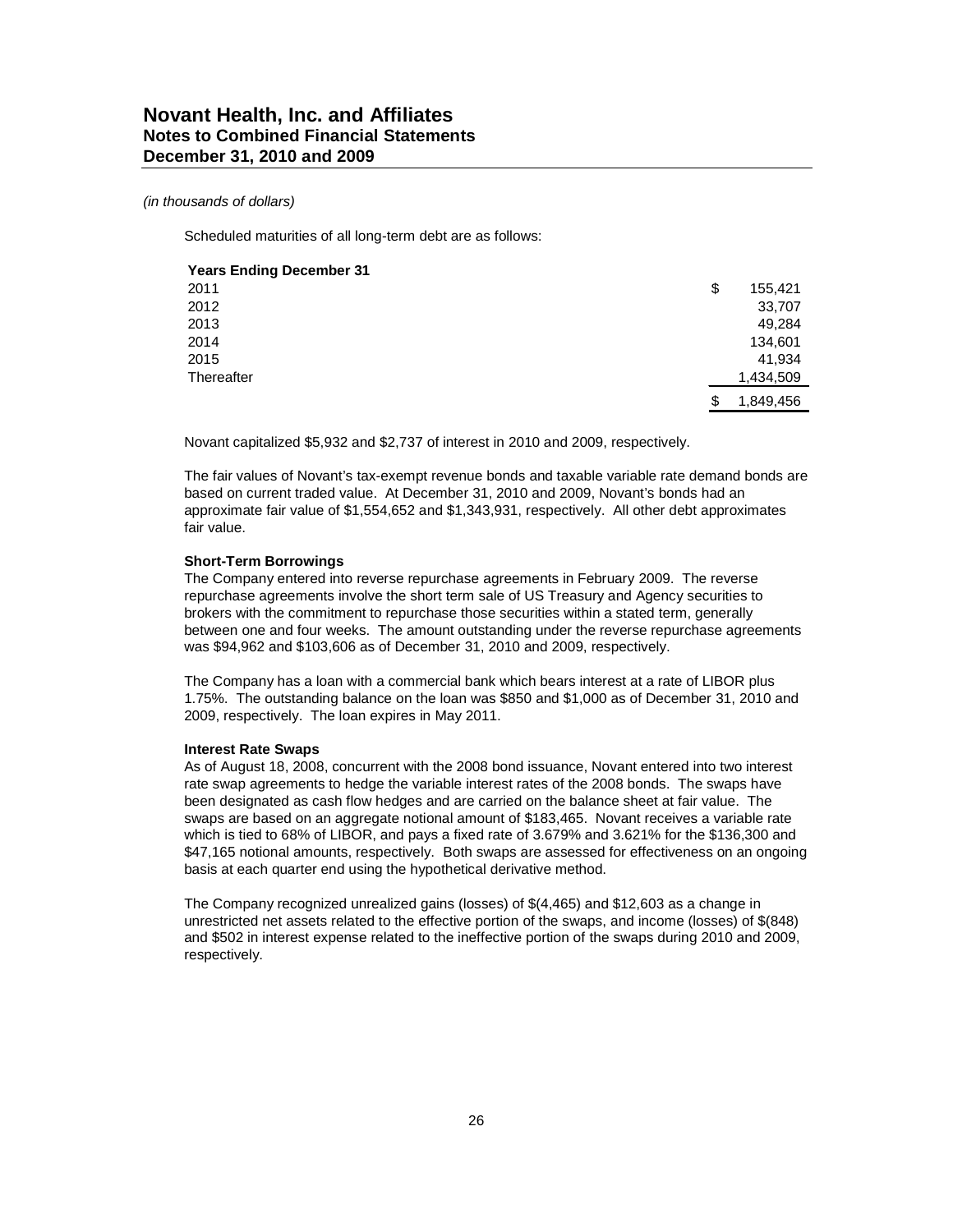Scheduled maturities of all long-term debt are as follows:

| <b>Years Ending December 31</b> |                 |
|---------------------------------|-----------------|
| 2011                            | \$<br>155,421   |
| 2012                            | 33,707          |
| 2013                            | 49,284          |
| 2014                            | 134,601         |
| 2015                            | 41,934          |
| Thereafter                      | 1,434,509       |
|                                 | \$<br>1,849,456 |

Novant capitalized \$5,932 and \$2,737 of interest in 2010 and 2009, respectively.

The fair values of Novant's tax-exempt revenue bonds and taxable variable rate demand bonds are based on current traded value. At December 31, 2010 and 2009, Novant's bonds had an approximate fair value of \$1,554,652 and \$1,343,931, respectively. All other debt approximates fair value.

#### **Short-Term Borrowings**

The Company entered into reverse repurchase agreements in February 2009. The reverse repurchase agreements involve the short term sale of US Treasury and Agency securities to brokers with the commitment to repurchase those securities within a stated term, generally between one and four weeks. The amount outstanding under the reverse repurchase agreements was \$94,962 and \$103,606 as of December 31, 2010 and 2009, respectively.

The Company has a loan with a commercial bank which bears interest at a rate of LIBOR plus 1.75%. The outstanding balance on the loan was \$850 and \$1,000 as of December 31, 2010 and 2009, respectively. The loan expires in May 2011.

#### **Interest Rate Swaps**

As of August 18, 2008, concurrent with the 2008 bond issuance, Novant entered into two interest rate swap agreements to hedge the variable interest rates of the 2008 bonds. The swaps have been designated as cash flow hedges and are carried on the balance sheet at fair value. The swaps are based on an aggregate notional amount of \$183,465. Novant receives a variable rate which is tied to 68% of LIBOR, and pays a fixed rate of 3.679% and 3.621% for the \$136,300 and \$47,165 notional amounts, respectively. Both swaps are assessed for effectiveness on an ongoing basis at each quarter end using the hypothetical derivative method.

The Company recognized unrealized gains (losses) of \$(4,465) and \$12,603 as a change in unrestricted net assets related to the effective portion of the swaps, and income (losses) of \$(848) and \$502 in interest expense related to the ineffective portion of the swaps during 2010 and 2009, respectively.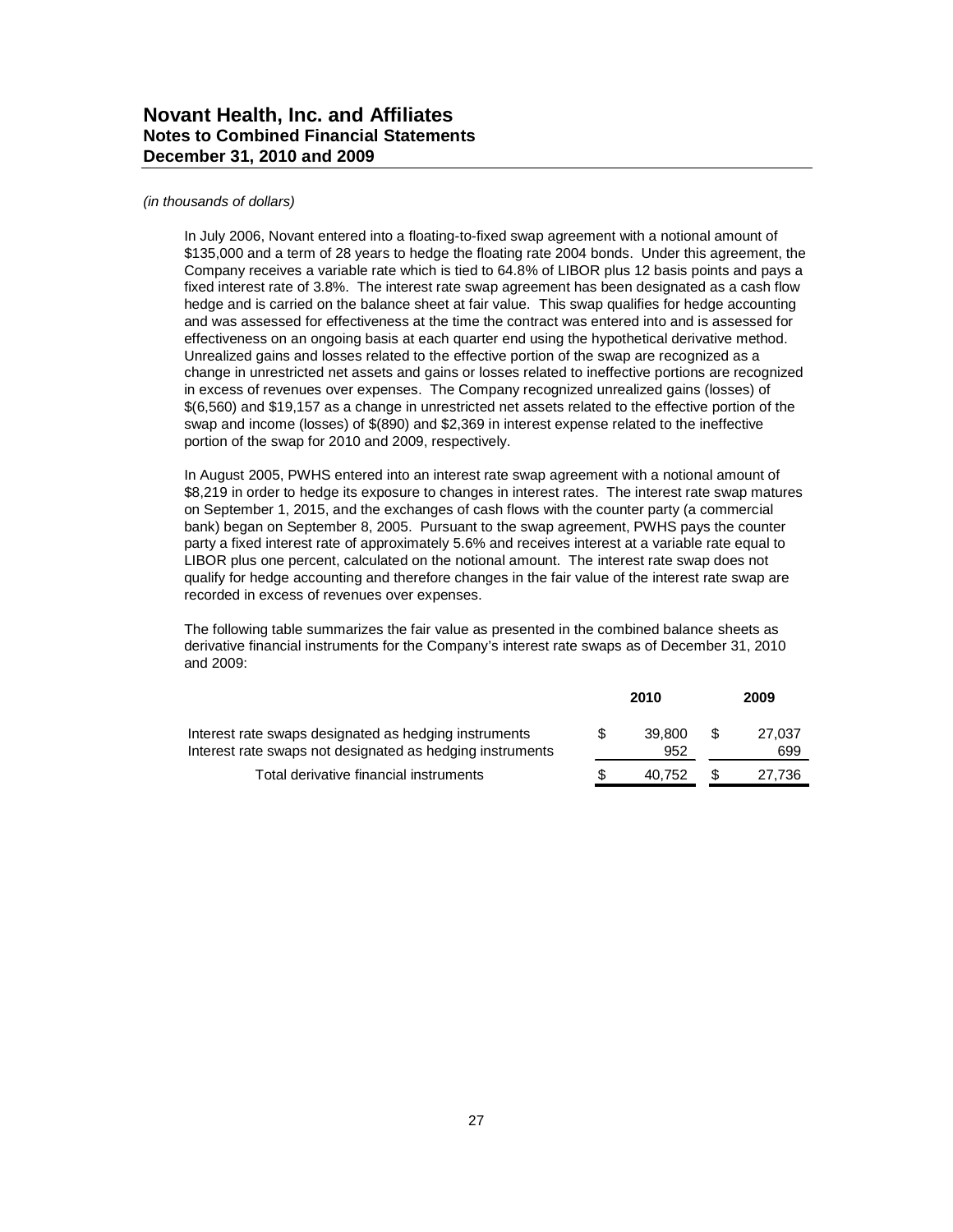#### *(in thousands of dollars)*

In July 2006, Novant entered into a floating-to-fixed swap agreement with a notional amount of \$135,000 and a term of 28 years to hedge the floating rate 2004 bonds. Under this agreement, the Company receives a variable rate which is tied to 64.8% of LIBOR plus 12 basis points and pays a fixed interest rate of 3.8%. The interest rate swap agreement has been designated as a cash flow hedge and is carried on the balance sheet at fair value. This swap qualifies for hedge accounting and was assessed for effectiveness at the time the contract was entered into and is assessed for effectiveness on an ongoing basis at each quarter end using the hypothetical derivative method. Unrealized gains and losses related to the effective portion of the swap are recognized as a change in unrestricted net assets and gains or losses related to ineffective portions are recognized in excess of revenues over expenses. The Company recognized unrealized gains (losses) of \$(6,560) and \$19,157 as a change in unrestricted net assets related to the effective portion of the swap and income (losses) of \$(890) and \$2,369 in interest expense related to the ineffective portion of the swap for 2010 and 2009, respectively.

In August 2005, PWHS entered into an interest rate swap agreement with a notional amount of \$8,219 in order to hedge its exposure to changes in interest rates. The interest rate swap matures on September 1, 2015, and the exchanges of cash flows with the counter party (a commercial bank) began on September 8, 2005. Pursuant to the swap agreement, PWHS pays the counter party a fixed interest rate of approximately 5.6% and receives interest at a variable rate equal to LIBOR plus one percent, calculated on the notional amount. The interest rate swap does not qualify for hedge accounting and therefore changes in the fair value of the interest rate swap are recorded in excess of revenues over expenses.

The following table summarizes the fair value as presented in the combined balance sheets as derivative financial instruments for the Company's interest rate swaps as of December 31, 2010 and 2009:

|                                                                                                                    |   | 2010          |   | 2009          |
|--------------------------------------------------------------------------------------------------------------------|---|---------------|---|---------------|
| Interest rate swaps designated as hedging instruments<br>Interest rate swaps not designated as hedging instruments | S | 39.800<br>952 | S | 27.037<br>699 |
| Total derivative financial instruments                                                                             |   | 40.752        | S | 27.736        |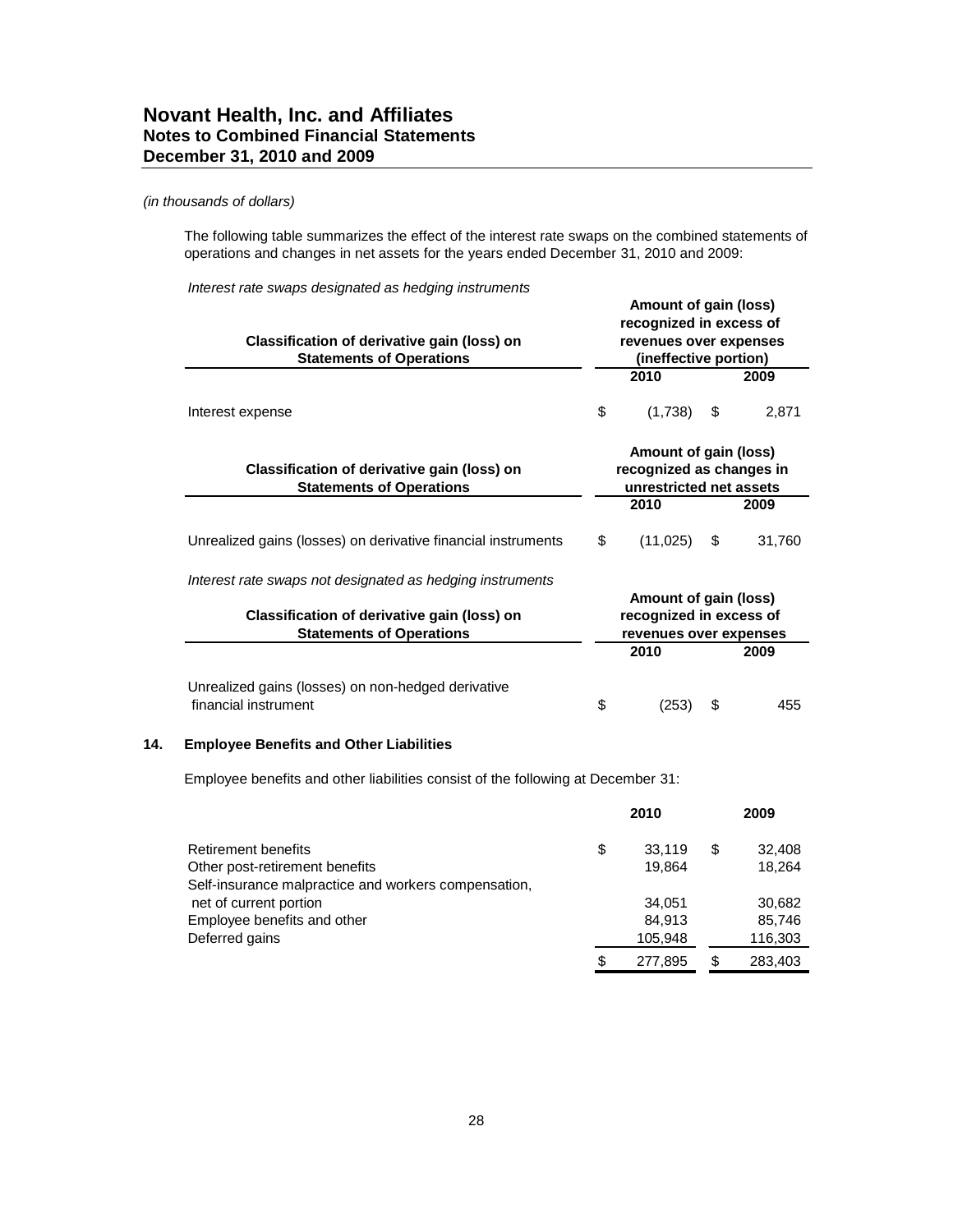The following table summarizes the effect of the interest rate swaps on the combined statements of operations and changes in net assets for the years ended December 31, 2010 and 2009:

*Interest rate swaps designated as hedging instruments*

| Classification of derivative gain (loss) on<br><b>Statements of Operations</b> |                                                                              | Amount of gain (loss)<br>recognized in excess of<br>revenues over expenses<br>(ineffective portion) |    |        |  |
|--------------------------------------------------------------------------------|------------------------------------------------------------------------------|-----------------------------------------------------------------------------------------------------|----|--------|--|
|                                                                                |                                                                              | 2010                                                                                                |    | 2009   |  |
| Interest expense                                                               | \$                                                                           | (1,738)                                                                                             | S  | 2,871  |  |
| Classification of derivative gain (loss) on<br><b>Statements of Operations</b> | Amount of gain (loss)<br>recognized as changes in<br>unrestricted net assets |                                                                                                     |    |        |  |
|                                                                                |                                                                              | 2010                                                                                                |    | 2009   |  |
| Unrealized gains (losses) on derivative financial instruments                  | \$                                                                           | (11, 025)                                                                                           | \$ | 31,760 |  |
| Interest rate swaps not designated as hedging instruments                      |                                                                              |                                                                                                     |    |        |  |
| Classification of derivative gain (loss) on<br><b>Statements of Operations</b> | Amount of gain (loss)<br>recognized in excess of<br>revenues over expenses   |                                                                                                     |    |        |  |
|                                                                                |                                                                              | 2010                                                                                                |    | 2009   |  |
| Unrealized gains (losses) on non-hedged derivative<br>financial instrument     | \$                                                                           | (253)                                                                                               | \$ | 455    |  |

### **14. Employee Benefits and Other Liabilities**

Employee benefits and other liabilities consist of the following at December 31:

|                                                      | 2010          |    | 2009    |
|------------------------------------------------------|---------------|----|---------|
| <b>Retirement benefits</b>                           | \$<br>33.119  | \$ | 32,408  |
| Other post-retirement benefits                       | 19.864        |    | 18.264  |
| Self-insurance malpractice and workers compensation, |               |    |         |
| net of current portion                               | 34.051        |    | 30,682  |
| Employee benefits and other                          | 84.913        |    | 85,746  |
| Deferred gains                                       | 105,948       |    | 116,303 |
|                                                      | \$<br>277.895 | S  | 283.403 |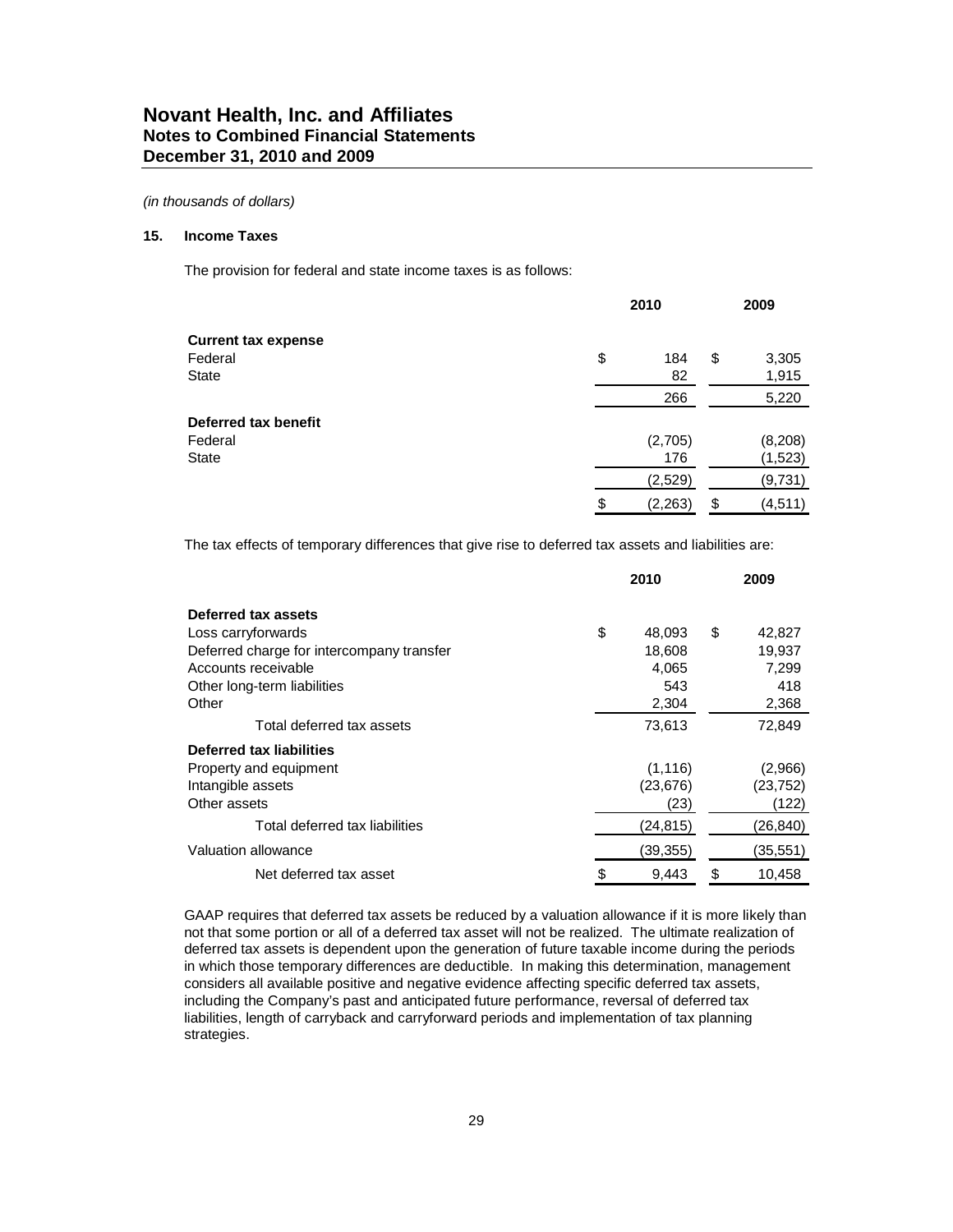#### **15. Income Taxes**

The provision for federal and state income taxes is as follows:

|                            | 2010           | 2009           |
|----------------------------|----------------|----------------|
| <b>Current tax expense</b> |                |                |
| Federal                    | \$<br>184      | \$<br>3,305    |
| <b>State</b>               | 82             | 1,915          |
|                            | 266            | 5,220          |
| Deferred tax benefit       |                |                |
| Federal                    | (2,705)        | (8, 208)       |
| <b>State</b>               | 176            | (1,523)        |
|                            | (2,529)        | (9,731)        |
|                            | \$<br>(2, 263) | \$<br>(4, 511) |

The tax effects of temporary differences that give rise to deferred tax assets and liabilities are:

|                                           | 2010         | 2009         |
|-------------------------------------------|--------------|--------------|
| Deferred tax assets                       |              |              |
| Loss carryforwards                        | \$<br>48,093 | \$<br>42,827 |
| Deferred charge for intercompany transfer | 18,608       | 19,937       |
| Accounts receivable                       | 4,065        | 7,299        |
| Other long-term liabilities               | 543          | 418          |
| Other                                     | 2,304        | 2,368        |
| Total deferred tax assets                 | 73,613       | 72,849       |
| Deferred tax liabilities                  |              |              |
| Property and equipment                    | (1, 116)     | (2,966)      |
| Intangible assets                         | (23, 676)    | (23,752)     |
| Other assets                              | (23)         | (122)        |
| Total deferred tax liabilities            | (24, 815)    | (26,840)     |
| Valuation allowance                       | (39,355)     | (35,551)     |
| Net deferred tax asset                    | \$<br>9.443  | \$<br>10,458 |

GAAP requires that deferred tax assets be reduced by a valuation allowance if it is more likely than not that some portion or all of a deferred tax asset will not be realized. The ultimate realization of deferred tax assets is dependent upon the generation of future taxable income during the periods in which those temporary differences are deductible. In making this determination, management considers all available positive and negative evidence affecting specific deferred tax assets, including the Company's past and anticipated future performance, reversal of deferred tax liabilities, length of carryback and carryforward periods and implementation of tax planning strategies.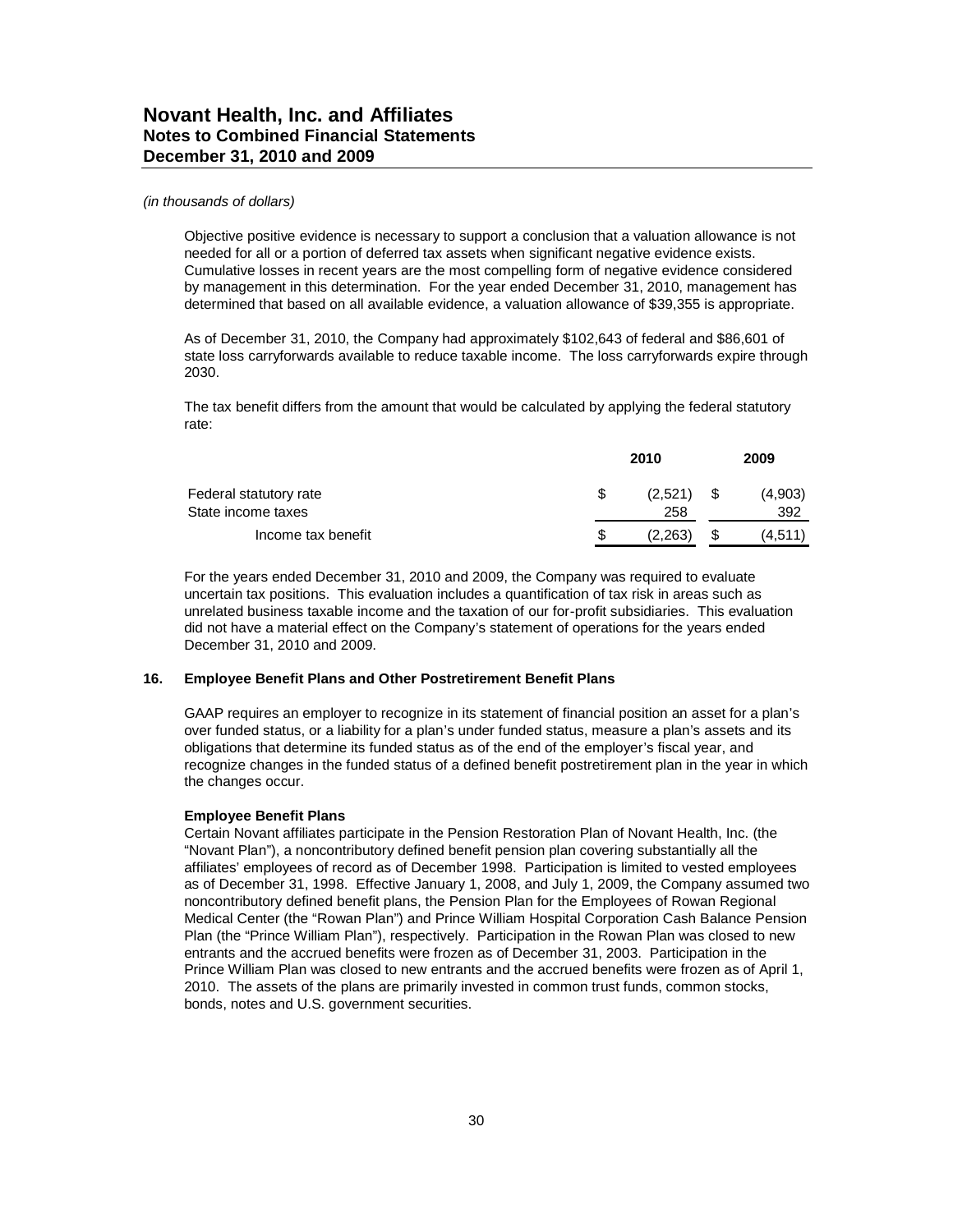Objective positive evidence is necessary to support a conclusion that a valuation allowance is not needed for all or a portion of deferred tax assets when significant negative evidence exists. Cumulative losses in recent years are the most compelling form of negative evidence considered by management in this determination. For the year ended December 31, 2010, management has determined that based on all available evidence, a valuation allowance of \$39,355 is appropriate.

As of December 31, 2010, the Company had approximately \$102,643 of federal and \$86,601 of state loss carryforwards available to reduce taxable income. The loss carryforwards expire through 2030.

The tax benefit differs from the amount that would be calculated by applying the federal statutory rate:

|                                              |   | 2010           |    | 2009           |
|----------------------------------------------|---|----------------|----|----------------|
| Federal statutory rate<br>State income taxes | S | (2,521)<br>258 | S. | (4,903)<br>392 |
| Income tax benefit                           | S | (2,263)        |    | (4,511)        |

For the years ended December 31, 2010 and 2009, the Company was required to evaluate uncertain tax positions. This evaluation includes a quantification of tax risk in areas such as unrelated business taxable income and the taxation of our for-profit subsidiaries. This evaluation did not have a material effect on the Company's statement of operations for the years ended December 31, 2010 and 2009.

### **16. Employee Benefit Plans and Other Postretirement Benefit Plans**

GAAP requires an employer to recognize in its statement of financial position an asset for a plan's over funded status, or a liability for a plan's under funded status, measure a plan's assets and its obligations that determine its funded status as of the end of the employer's fiscal year, and recognize changes in the funded status of a defined benefit postretirement plan in the year in which the changes occur.

#### **Employee Benefit Plans**

Certain Novant affiliates participate in the Pension Restoration Plan of Novant Health, Inc. (the "Novant Plan"), a noncontributory defined benefit pension plan covering substantially all the affiliates' employees of record as of December 1998. Participation is limited to vested employees as of December 31, 1998. Effective January 1, 2008, and July 1, 2009, the Company assumed two noncontributory defined benefit plans, the Pension Plan for the Employees of Rowan Regional Medical Center (the "Rowan Plan") and Prince William Hospital Corporation Cash Balance Pension Plan (the "Prince William Plan"), respectively. Participation in the Rowan Plan was closed to new entrants and the accrued benefits were frozen as of December 31, 2003. Participation in the Prince William Plan was closed to new entrants and the accrued benefits were frozen as of April 1, 2010. The assets of the plans are primarily invested in common trust funds, common stocks, bonds, notes and U.S. government securities.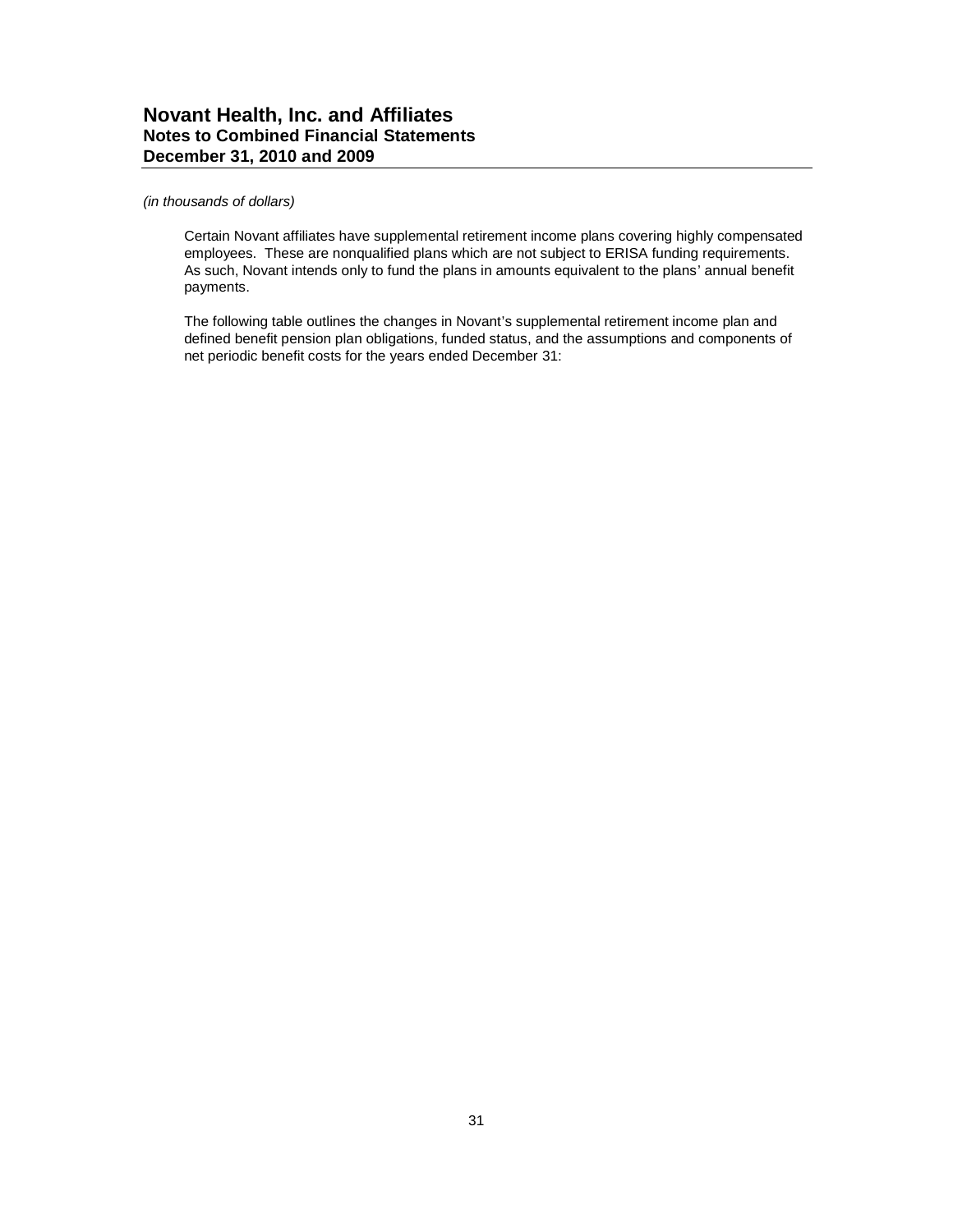### *(in thousands of dollars)*

Certain Novant affiliates have supplemental retirement income plans covering highly compensated employees. These are nonqualified plans which are not subject to ERISA funding requirements. As such, Novant intends only to fund the plans in amounts equivalent to the plans' annual benefit payments.

The following table outlines the changes in Novant's supplemental retirement income plan and defined benefit pension plan obligations, funded status, and the assumptions and components of net periodic benefit costs for the years ended December 31: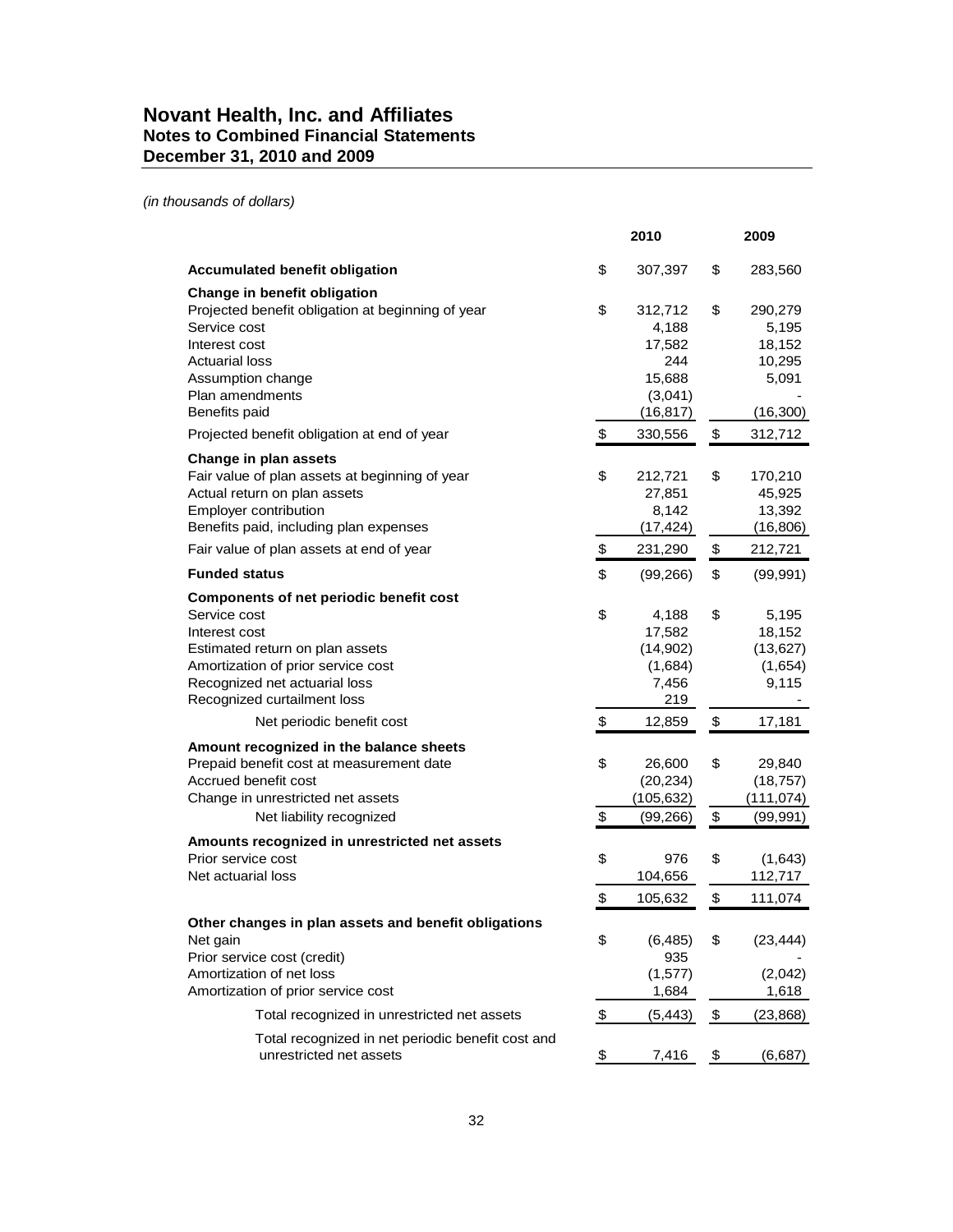*(in thousands of dollars)*

|                                                                                                                                                                                                                          |               | 2010                                                                |               | 2009                                                       |
|--------------------------------------------------------------------------------------------------------------------------------------------------------------------------------------------------------------------------|---------------|---------------------------------------------------------------------|---------------|------------------------------------------------------------|
| <b>Accumulated benefit obligation</b>                                                                                                                                                                                    | \$            | 307,397                                                             | \$            | 283,560                                                    |
| Change in benefit obligation<br>Projected benefit obligation at beginning of year<br>Service cost<br>Interest cost<br>Actuarial loss<br>Assumption change<br>Plan amendments<br>Benefits paid                            | \$            | 312,712<br>4,188<br>17,582<br>244<br>15,688<br>(3,041)<br>(16, 817) | \$            | 290,279<br>5,195<br>18,152<br>10,295<br>5,091<br>(16, 300) |
| Projected benefit obligation at end of year                                                                                                                                                                              | \$            | 330,556                                                             | \$            | 312,712                                                    |
| Change in plan assets<br>Fair value of plan assets at beginning of year<br>Actual return on plan assets<br>Employer contribution<br>Benefits paid, including plan expenses                                               | \$            | 212,721<br>27,851<br>8,142<br>(17, 424)                             | \$            | 170,210<br>45,925<br>13,392<br>(16, 806)                   |
| Fair value of plan assets at end of year                                                                                                                                                                                 | \$            | 231,290                                                             | \$            | 212,721                                                    |
| <b>Funded status</b>                                                                                                                                                                                                     | \$            | (99, 266)                                                           | \$            | (99, 991)                                                  |
| <b>Components of net periodic benefit cost</b><br>Service cost<br>Interest cost<br>Estimated return on plan assets<br>Amortization of prior service cost<br>Recognized net actuarial loss<br>Recognized curtailment loss | \$            | 4,188<br>17,582<br>(14,902)<br>(1,684)<br>7,456<br>219              | \$            | 5,195<br>18,152<br>(13, 627)<br>(1,654)<br>9,115           |
| Net periodic benefit cost                                                                                                                                                                                                | \$            | 12,859                                                              | $\,$          | 17,181                                                     |
| Amount recognized in the balance sheets<br>Prepaid benefit cost at measurement date<br>Accrued benefit cost<br>Change in unrestricted net assets<br>Net liability recognized                                             | \$<br>\$      | 26,600<br>(20, 234)<br>(105, 632)<br>(99, 266)                      | \$<br>\$      | 29,840<br>(18, 757)<br>(111, 074)<br>(99, 991)             |
| Amounts recognized in unrestricted net assets<br>Prior service cost                                                                                                                                                      | \$            | 976                                                                 | \$            | (1,643)                                                    |
| Net actuarial loss                                                                                                                                                                                                       |               | 104,656                                                             |               | 112,717                                                    |
| Other changes in plan assets and benefit obligations<br>Net gain<br>Prior service cost (credit)<br>Amortization of net loss<br>Amortization of prior service cost                                                        | \$<br>\$      | 105,632<br>(6, 485)<br>935<br>(1, 577)<br>1,684                     | \$<br>\$      | 111,074<br>(23, 444)<br>(2,042)<br>1,618                   |
| Total recognized in unrestricted net assets                                                                                                                                                                              | \$            | (5, 443)                                                            | \$            | (23, 868)                                                  |
| Total recognized in net periodic benefit cost and<br>unrestricted net assets                                                                                                                                             | $\frac{1}{2}$ | 7,416                                                               | $\frac{1}{2}$ | (6,687)                                                    |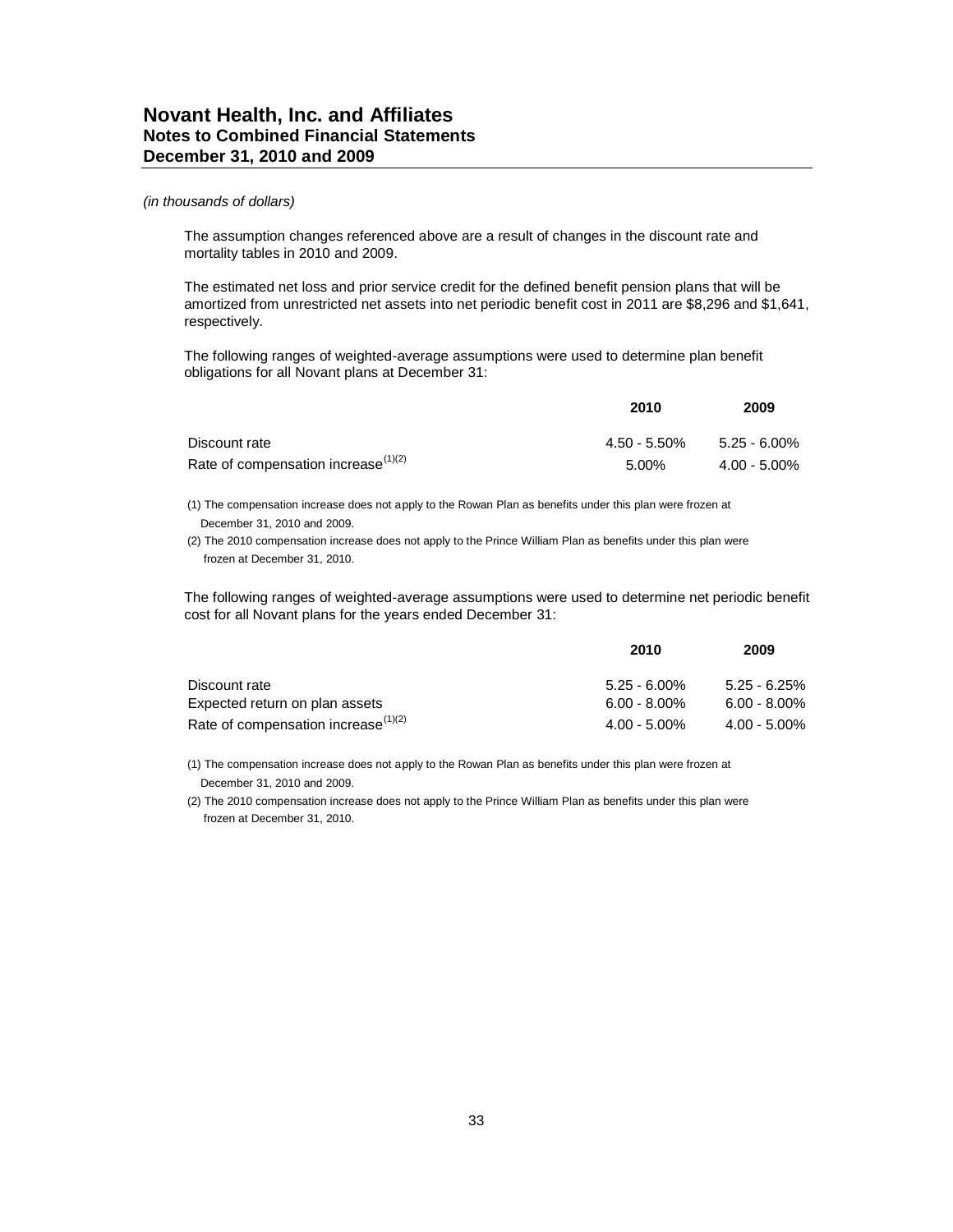The assumption changes referenced above are a result of changes in the discount rate and mortality tables in 2010 and 2009.

The estimated net loss and prior service credit for the defined benefit pension plans that will be amortized from unrestricted net assets into net periodic benefit cost in 2011 are \$8,296 and \$1,641, respectively.

The following ranges of weighted-average assumptions were used to determine plan benefit obligations for all Novant plans at December 31:

|                                           | 2010         | 2009            |
|-------------------------------------------|--------------|-----------------|
| Discount rate                             | 4.50 - 5.50% | 5.25 - 6.00%    |
| Rate of compensation increase $^{(1)(2)}$ | 5.00%        | $4.00 - 5.00\%$ |

(1) The compensation increase does not apply to the Rowan Plan as benefits under this plan were frozen at December 31, 2010 and 2009.

(2) The 2010 compensation increase does not apply to the Prince William Plan as benefits under this plan were frozen at December 31, 2010.

The following ranges of weighted-average assumptions were used to determine net periodic benefit cost for all Novant plans for the years ended December 31:

|                                        | 2010            | 2009            |
|----------------------------------------|-----------------|-----------------|
| Discount rate                          | $5.25 - 6.00\%$ | $5.25 - 6.25\%$ |
| Expected return on plan assets         | $6.00 - 8.00\%$ | $6.00 - 8.00\%$ |
| Rate of compensation increase $(1)(2)$ | $4.00 - 5.00\%$ | $4.00 - 5.00\%$ |

(1) The compensation increase does not apply to the Rowan Plan as benefits under this plan were frozen at December 31, 2010 and 2009.

(2) The 2010 compensation increase does not apply to the Prince William Plan as benefits under this plan were frozen at December 31, 2010.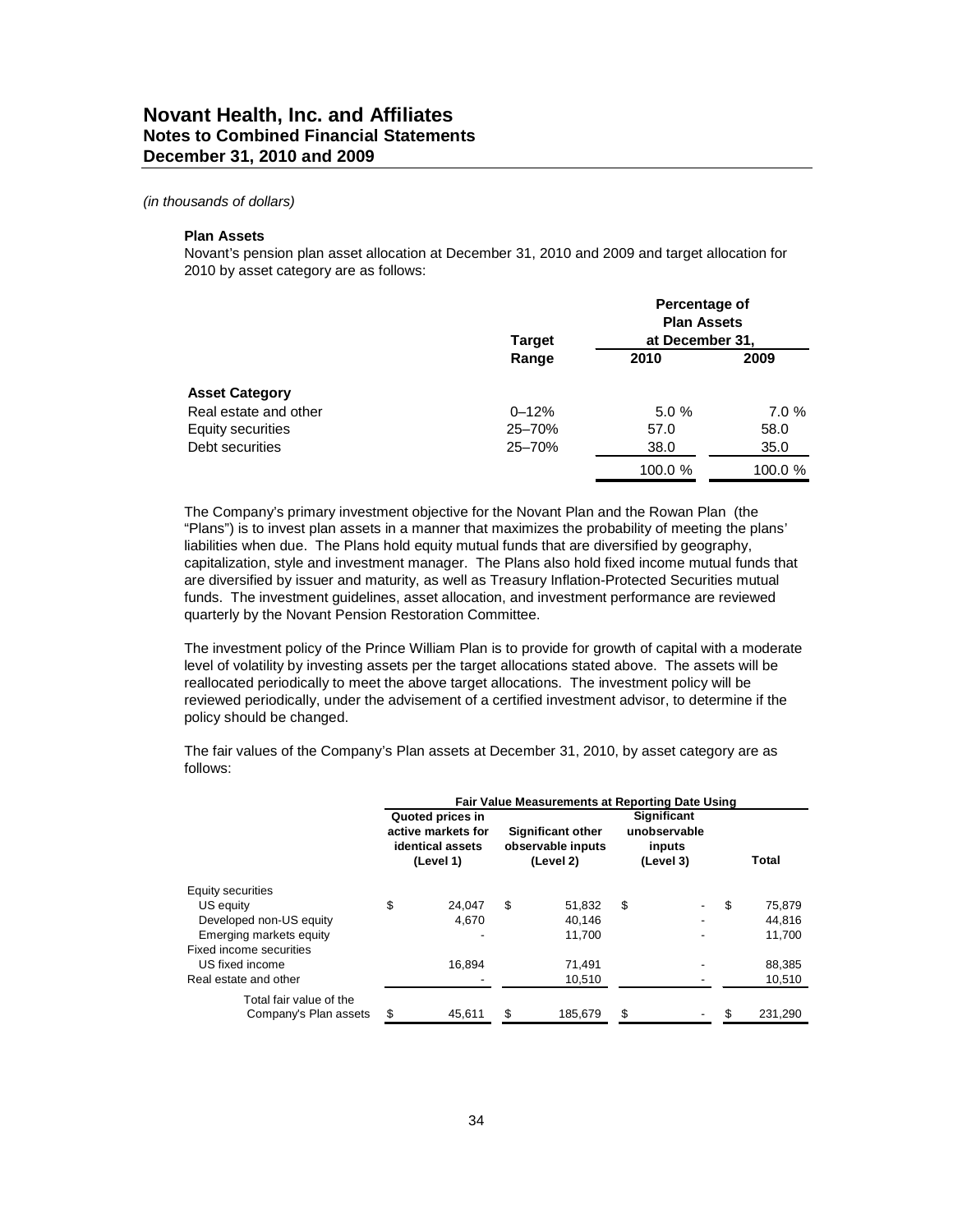#### **Plan Assets**

Novant's pension plan asset allocation at December 31, 2010 and 2009 and target allocation for 2010 by asset category are as follows:

|                       | <b>Target</b> | Percentage of<br><b>Plan Assets</b><br>at December 31, |         |
|-----------------------|---------------|--------------------------------------------------------|---------|
|                       | Range         | 2010                                                   | 2009    |
| <b>Asset Category</b> |               |                                                        |         |
| Real estate and other | $0 - 12%$     | 5.0%                                                   | 7.0%    |
| Equity securities     | 25-70%        | 57.0                                                   | 58.0    |
| Debt securities       | $25 - 70%$    | 38.0                                                   | 35.0    |
|                       |               | 100.0 %                                                | 100.0 % |

The Company's primary investment objective for the Novant Plan and the Rowan Plan (the "Plans") is to invest plan assets in a manner that maximizes the probability of meeting the plans' liabilities when due. The Plans hold equity mutual funds that are diversified by geography, capitalization, style and investment manager. The Plans also hold fixed income mutual funds that are diversified by issuer and maturity, as well as Treasury Inflation-Protected Securities mutual funds. The investment guidelines, asset allocation, and investment performance are reviewed quarterly by the Novant Pension Restoration Committee.

The investment policy of the Prince William Plan is to provide for growth of capital with a moderate level of volatility by investing assets per the target allocations stated above. The assets will be reallocated periodically to meet the above target allocations. The investment policy will be reviewed periodically, under the advisement of a certified investment advisor, to determine if the policy should be changed.

The fair values of the Company's Plan assets at December 31, 2010, by asset category are as follows:

|                         |                                                                         | Fair Value Measurements at Reporting Date Using |                                                            |         |                                                    |  |     |         |  |  |
|-------------------------|-------------------------------------------------------------------------|-------------------------------------------------|------------------------------------------------------------|---------|----------------------------------------------------|--|-----|---------|--|--|
|                         | Quoted prices in<br>active markets for<br>identical assets<br>(Level 1) |                                                 | <b>Significant other</b><br>observable inputs<br>(Level 2) |         | Significant<br>unobservable<br>inputs<br>(Level 3) |  |     | Total   |  |  |
| Equity securities       |                                                                         |                                                 |                                                            |         |                                                    |  |     |         |  |  |
| US equity               | \$                                                                      | 24.047                                          | \$                                                         | 51,832  | S                                                  |  | \$. | 75,879  |  |  |
| Developed non-US equity |                                                                         | 4.670                                           |                                                            | 40.146  |                                                    |  |     | 44,816  |  |  |
| Emerging markets equity |                                                                         |                                                 |                                                            | 11.700  |                                                    |  |     | 11,700  |  |  |
| Fixed income securities |                                                                         |                                                 |                                                            |         |                                                    |  |     |         |  |  |
| US fixed income         |                                                                         | 16.894                                          |                                                            | 71.491  |                                                    |  |     | 88,385  |  |  |
| Real estate and other   |                                                                         |                                                 |                                                            | 10,510  |                                                    |  |     | 10,510  |  |  |
| Total fair value of the |                                                                         |                                                 |                                                            |         |                                                    |  |     |         |  |  |
| Company's Plan assets   | \$                                                                      | 45,611                                          | \$                                                         | 185,679 | \$                                                 |  |     | 231,290 |  |  |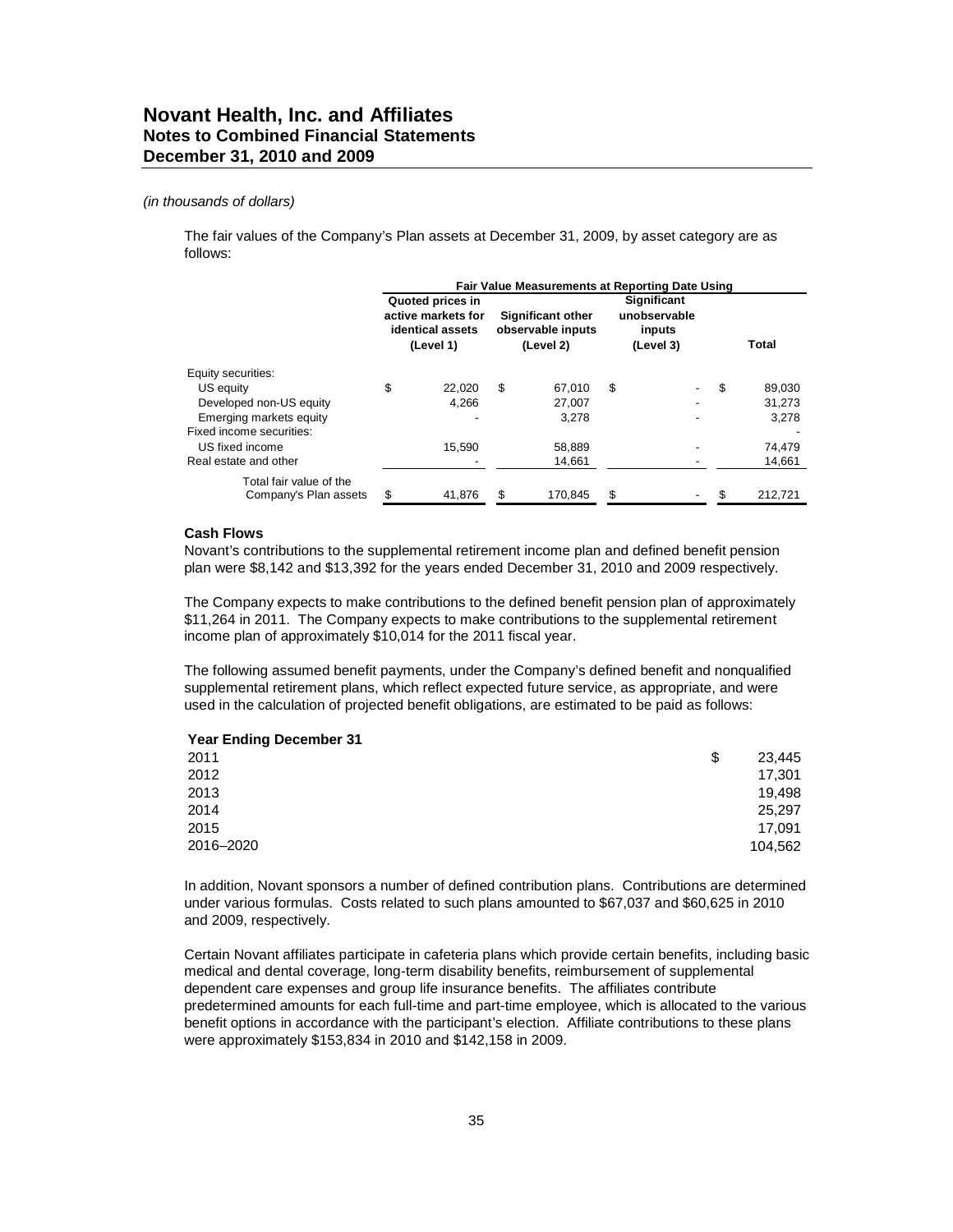#### *(in thousands of dollars)*

The fair values of the Company's Plan assets at December 31, 2009, by asset category are as follows:

|                                                  | Fair Value Measurements at Reporting Date Using |                                                                         |    |                                                            |    |                                                           |     |         |  |
|--------------------------------------------------|-------------------------------------------------|-------------------------------------------------------------------------|----|------------------------------------------------------------|----|-----------------------------------------------------------|-----|---------|--|
|                                                  |                                                 | Quoted prices in<br>active markets for<br>identical assets<br>(Level 1) |    | <b>Significant other</b><br>observable inputs<br>(Level 2) |    | <b>Significant</b><br>unobservable<br>inputs<br>(Level 3) |     | Total   |  |
| Equity securities:                               |                                                 |                                                                         |    |                                                            |    |                                                           |     |         |  |
| US equity                                        | \$                                              | 22.020                                                                  | \$ | 67.010                                                     | \$ |                                                           | \$  | 89,030  |  |
| Developed non-US equity                          |                                                 | 4.266                                                                   |    | 27,007                                                     |    |                                                           |     | 31,273  |  |
| Emerging markets equity                          |                                                 |                                                                         |    | 3.278                                                      |    |                                                           |     | 3,278   |  |
| Fixed income securities:                         |                                                 |                                                                         |    |                                                            |    |                                                           |     |         |  |
| US fixed income                                  |                                                 | 15.590                                                                  |    | 58,889                                                     |    |                                                           |     | 74,479  |  |
| Real estate and other                            |                                                 |                                                                         |    | 14,661                                                     |    |                                                           |     | 14,661  |  |
| Total fair value of the<br>Company's Plan assets | \$                                              | 41,876                                                                  | \$ | 170,845                                                    | \$ |                                                           | \$. | 212,721 |  |

#### **Cash Flows**

Novant's contributions to the supplemental retirement income plan and defined benefit pension plan were \$8,142 and \$13,392 for the years ended December 31, 2010 and 2009 respectively.

The Company expects to make contributions to the defined benefit pension plan of approximately \$11,264 in 2011. The Company expects to make contributions to the supplemental retirement income plan of approximately \$10,014 for the 2011 fiscal year.

The following assumed benefit payments, under the Company's defined benefit and nonqualified supplemental retirement plans, which reflect expected future service, as appropriate, and were used in the calculation of projected benefit obligations, are estimated to be paid as follows:

| S | 23,445  |
|---|---------|
|   | 17,301  |
|   | 19,498  |
|   | 25,297  |
|   | 17,091  |
|   | 104,562 |
|   |         |

In addition, Novant sponsors a number of defined contribution plans. Contributions are determined under various formulas. Costs related to such plans amounted to \$67,037 and \$60,625 in 2010 and 2009, respectively.

Certain Novant affiliates participate in cafeteria plans which provide certain benefits, including basic medical and dental coverage, long-term disability benefits, reimbursement of supplemental dependent care expenses and group life insurance benefits. The affiliates contribute predetermined amounts for each full-time and part-time employee, which is allocated to the various benefit options in accordance with the participant's election. Affiliate contributions to these plans were approximately \$153,834 in 2010 and \$142,158 in 2009.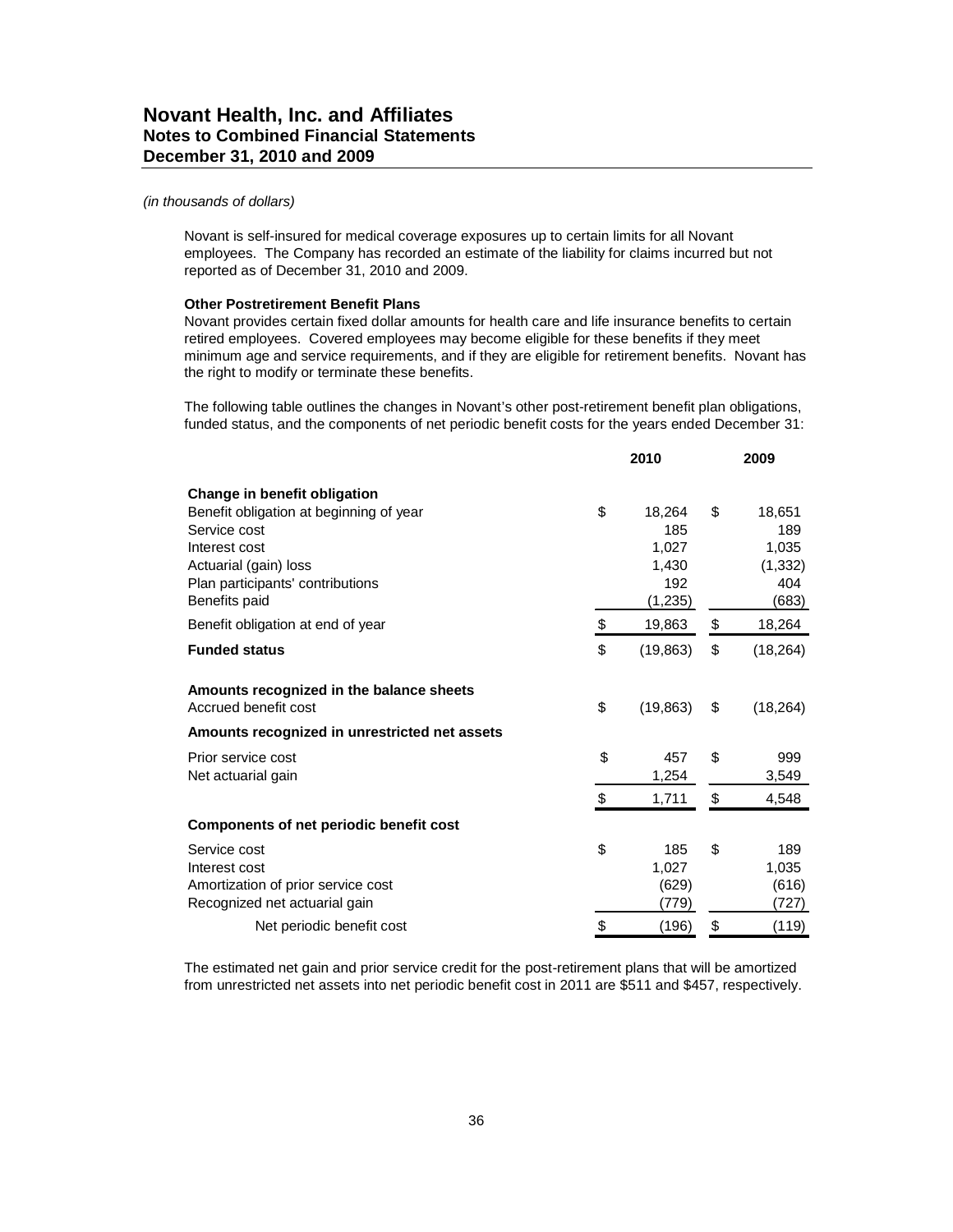Novant is self-insured for medical coverage exposures up to certain limits for all Novant employees. The Company has recorded an estimate of the liability for claims incurred but not reported as of December 31, 2010 and 2009.

#### **Other Postretirement Benefit Plans**

Novant provides certain fixed dollar amounts for health care and life insurance benefits to certain retired employees. Covered employees may become eligible for these benefits if they meet minimum age and service requirements, and if they are eligible for retirement benefits. Novant has the right to modify or terminate these benefits.

The following table outlines the changes in Novant's other post-retirement benefit plan obligations, funded status, and the components of net periodic benefit costs for the years ended December 31:

|                                               | 2010            | 2009            |  |
|-----------------------------------------------|-----------------|-----------------|--|
| Change in benefit obligation                  |                 |                 |  |
| Benefit obligation at beginning of year       | \$<br>18,264    | \$<br>18,651    |  |
| Service cost                                  | 185             | 189             |  |
| Interest cost                                 | 1,027           | 1,035           |  |
| Actuarial (gain) loss                         | 1,430           | (1, 332)        |  |
| Plan participants' contributions              | 192             | 404             |  |
| Benefits paid                                 | (1, 235)        | (683)           |  |
| Benefit obligation at end of year             | \$<br>19,863    | \$<br>18,264    |  |
| <b>Funded status</b>                          | \$<br>(19, 863) | \$<br>(18, 264) |  |
| Amounts recognized in the balance sheets      |                 |                 |  |
| Accrued benefit cost                          | \$<br>(19, 863) | \$<br>(18, 264) |  |
| Amounts recognized in unrestricted net assets |                 |                 |  |
| Prior service cost                            | \$<br>457       | \$<br>999       |  |
| Net actuarial gain                            | 1,254           | 3,549           |  |
|                                               | \$<br>1,711     | \$<br>4,548     |  |
| Components of net periodic benefit cost       |                 |                 |  |
| Service cost                                  | \$<br>185       | \$<br>189       |  |
| Interest cost                                 | 1,027           | 1,035           |  |
| Amortization of prior service cost            | (629)           | (616)           |  |
| Recognized net actuarial gain                 | (779)           | (727)           |  |
| Net periodic benefit cost                     | \$<br>(196)     | \$<br>(119)     |  |

The estimated net gain and prior service credit for the post-retirement plans that will be amortized from unrestricted net assets into net periodic benefit cost in 2011 are \$511 and \$457, respectively.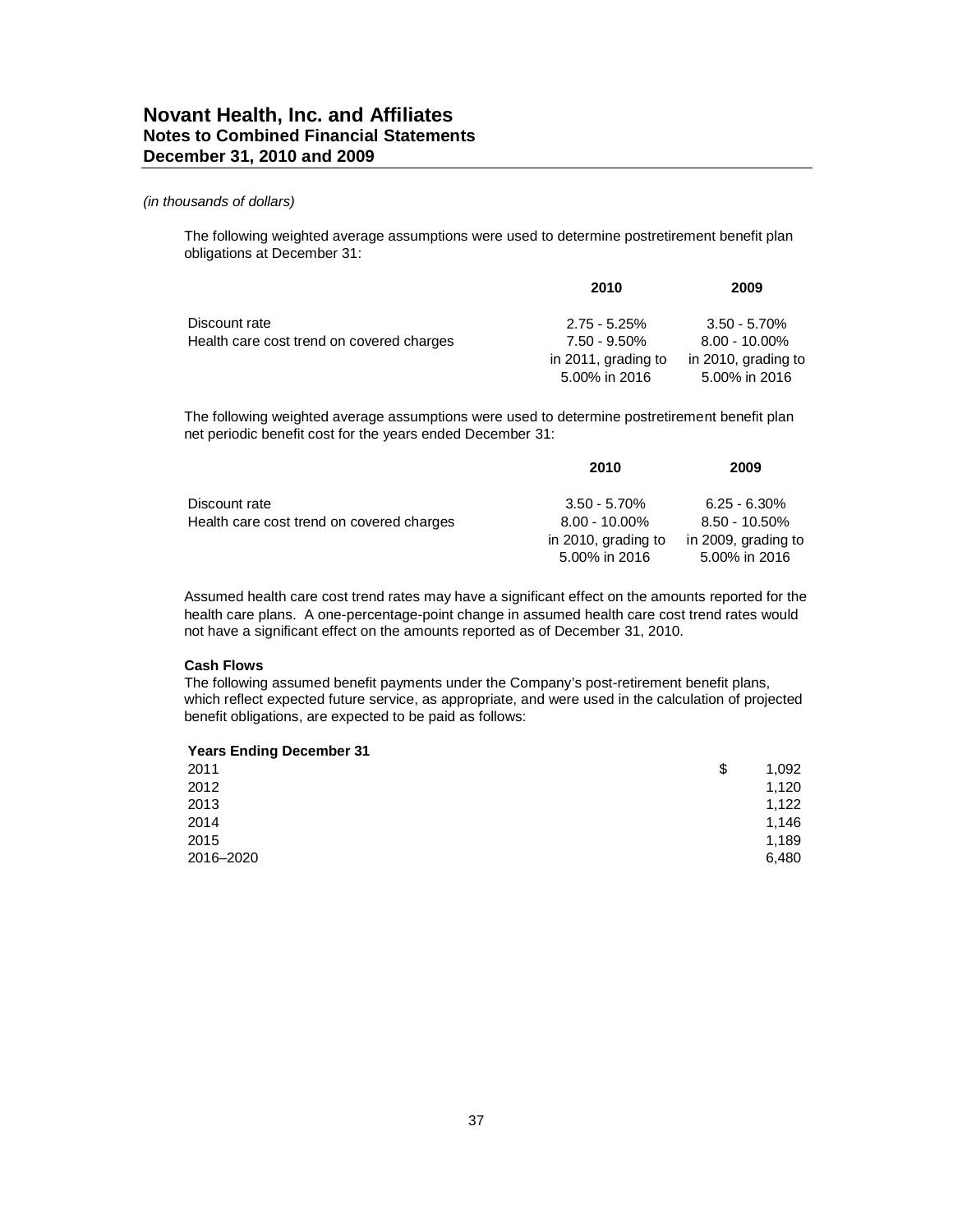The following weighted average assumptions were used to determine postretirement benefit plan obligations at December 31:

|                                           | 2010                | 2009                |  |
|-------------------------------------------|---------------------|---------------------|--|
| Discount rate                             | $2.75 - 5.25\%$     | $3.50 - 5.70\%$     |  |
| Health care cost trend on covered charges | 7.50 - 9.50%        | $8.00 - 10.00\%$    |  |
|                                           | in 2011, grading to | in 2010, grading to |  |
|                                           | 5.00% in 2016       | 5.00% in 2016       |  |

The following weighted average assumptions were used to determine postretirement benefit plan net periodic benefit cost for the years ended December 31:

|                                           | 2010                                 | 2009                                 |  |
|-------------------------------------------|--------------------------------------|--------------------------------------|--|
| Discount rate                             | $3.50 - 5.70\%$                      | $6.25 - 6.30\%$                      |  |
| Health care cost trend on covered charges | $8.00 - 10.00\%$                     | $8.50 - 10.50\%$                     |  |
|                                           | in 2010, grading to<br>5.00% in 2016 | in 2009, grading to<br>5.00% in 2016 |  |

Assumed health care cost trend rates may have a significant effect on the amounts reported for the health care plans. A one-percentage-point change in assumed health care cost trend rates would not have a significant effect on the amounts reported as of December 31, 2010.

#### **Cash Flows**

The following assumed benefit payments under the Company's post-retirement benefit plans, which reflect expected future service, as appropriate, and were used in the calculation of projected benefit obligations, are expected to be paid as follows:

| 2011      | \$<br>1,092 |
|-----------|-------------|
| 2012      | 1,120       |
| 2013      | 1,122       |
| 2014      | 1,146       |
| 2015      | 1,189       |
| 2016-2020 | 6,480       |
|           |             |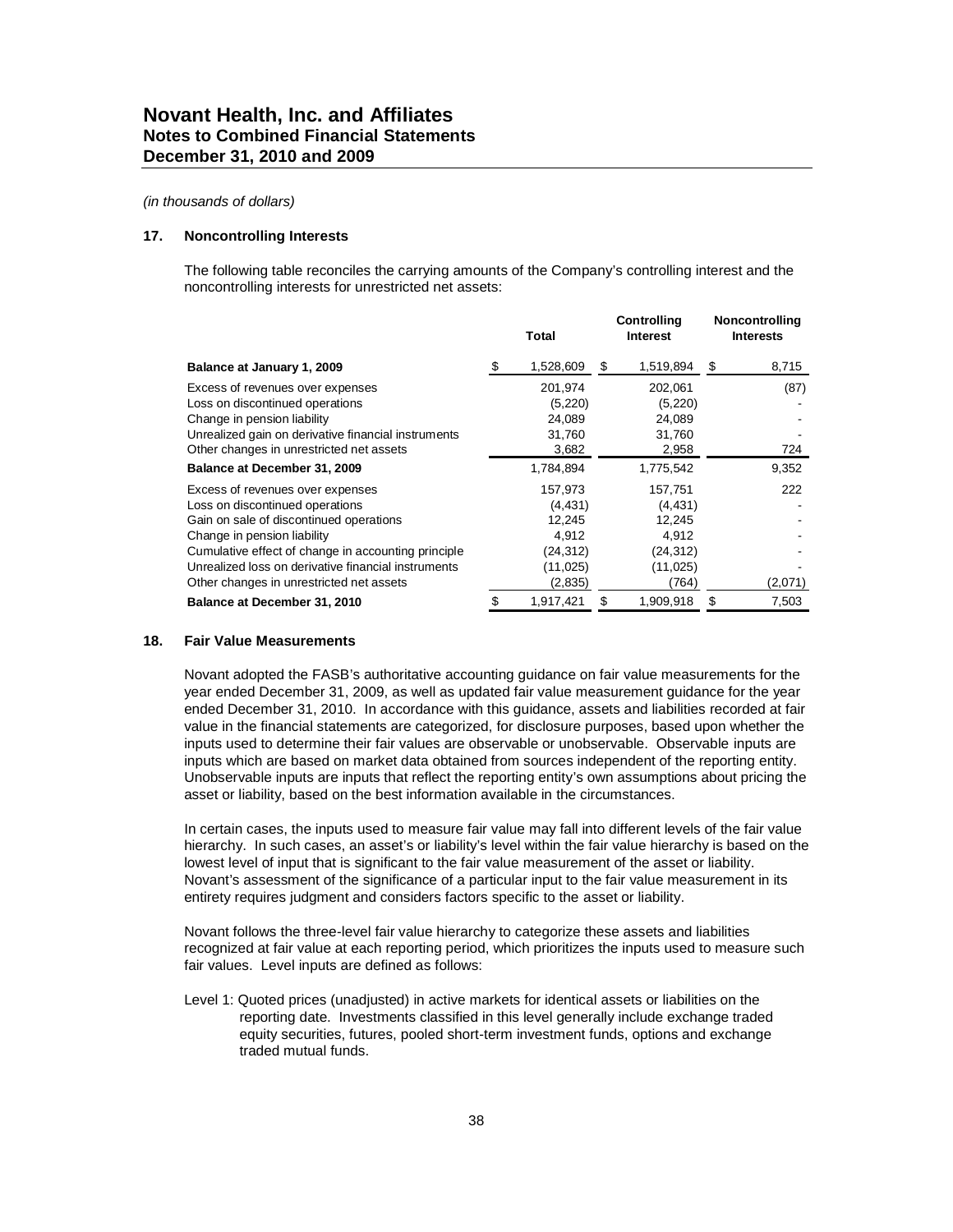#### **17. Noncontrolling Interests**

The following table reconciles the carrying amounts of the Company's controlling interest and the noncontrolling interests for unrestricted net assets:

|                                                     |    | <b>Total</b> | Controlling<br><b>Interest</b> | <b>Noncontrolling</b><br><b>Interests</b> |         |
|-----------------------------------------------------|----|--------------|--------------------------------|-------------------------------------------|---------|
| Balance at January 1, 2009                          | £. | 1,528,609    | \$<br>1,519,894                | \$                                        | 8,715   |
| Excess of revenues over expenses                    |    | 201,974      | 202,061                        |                                           | (87)    |
| Loss on discontinued operations                     |    | (5,220)      | (5,220)                        |                                           |         |
| Change in pension liability                         |    | 24,089       | 24,089                         |                                           |         |
| Unrealized gain on derivative financial instruments |    | 31,760       | 31,760                         |                                           |         |
| Other changes in unrestricted net assets            |    | 3,682        | 2,958                          |                                           | 724     |
| Balance at December 31, 2009                        |    | 1,784,894    | 1,775,542                      |                                           | 9,352   |
| Excess of revenues over expenses                    |    | 157,973      | 157,751                        |                                           | 222     |
| Loss on discontinued operations                     |    | (4, 431)     | (4, 431)                       |                                           |         |
| Gain on sale of discontinued operations             |    | 12,245       | 12,245                         |                                           |         |
| Change in pension liability                         |    | 4,912        | 4,912                          |                                           |         |
| Cumulative effect of change in accounting principle |    | (24,312)     | (24, 312)                      |                                           |         |
| Unrealized loss on derivative financial instruments |    | (11,025)     | (11, 025)                      |                                           |         |
| Other changes in unrestricted net assets            |    | (2,835)      | (764)                          |                                           | (2,071) |
| Balance at December 31, 2010                        |    | 1,917,421    | \$<br>1,909,918                | S                                         | 7,503   |

#### **18. Fair Value Measurements**

Novant adopted the FASB's authoritative accounting guidance on fair value measurements for the year ended December 31, 2009, as well as updated fair value measurement guidance for the year ended December 31, 2010. In accordance with this guidance, assets and liabilities recorded at fair value in the financial statements are categorized, for disclosure purposes, based upon whether the inputs used to determine their fair values are observable or unobservable. Observable inputs are inputs which are based on market data obtained from sources independent of the reporting entity. Unobservable inputs are inputs that reflect the reporting entity's own assumptions about pricing the asset or liability, based on the best information available in the circumstances.

In certain cases, the inputs used to measure fair value may fall into different levels of the fair value hierarchy. In such cases, an asset's or liability's level within the fair value hierarchy is based on the lowest level of input that is significant to the fair value measurement of the asset or liability. Novant's assessment of the significance of a particular input to the fair value measurement in its entirety requires judgment and considers factors specific to the asset or liability.

Novant follows the three-level fair value hierarchy to categorize these assets and liabilities recognized at fair value at each reporting period, which prioritizes the inputs used to measure such fair values. Level inputs are defined as follows:

Level 1: Quoted prices (unadjusted) in active markets for identical assets or liabilities on the reporting date. Investments classified in this level generally include exchange traded equity securities, futures, pooled short-term investment funds, options and exchange traded mutual funds.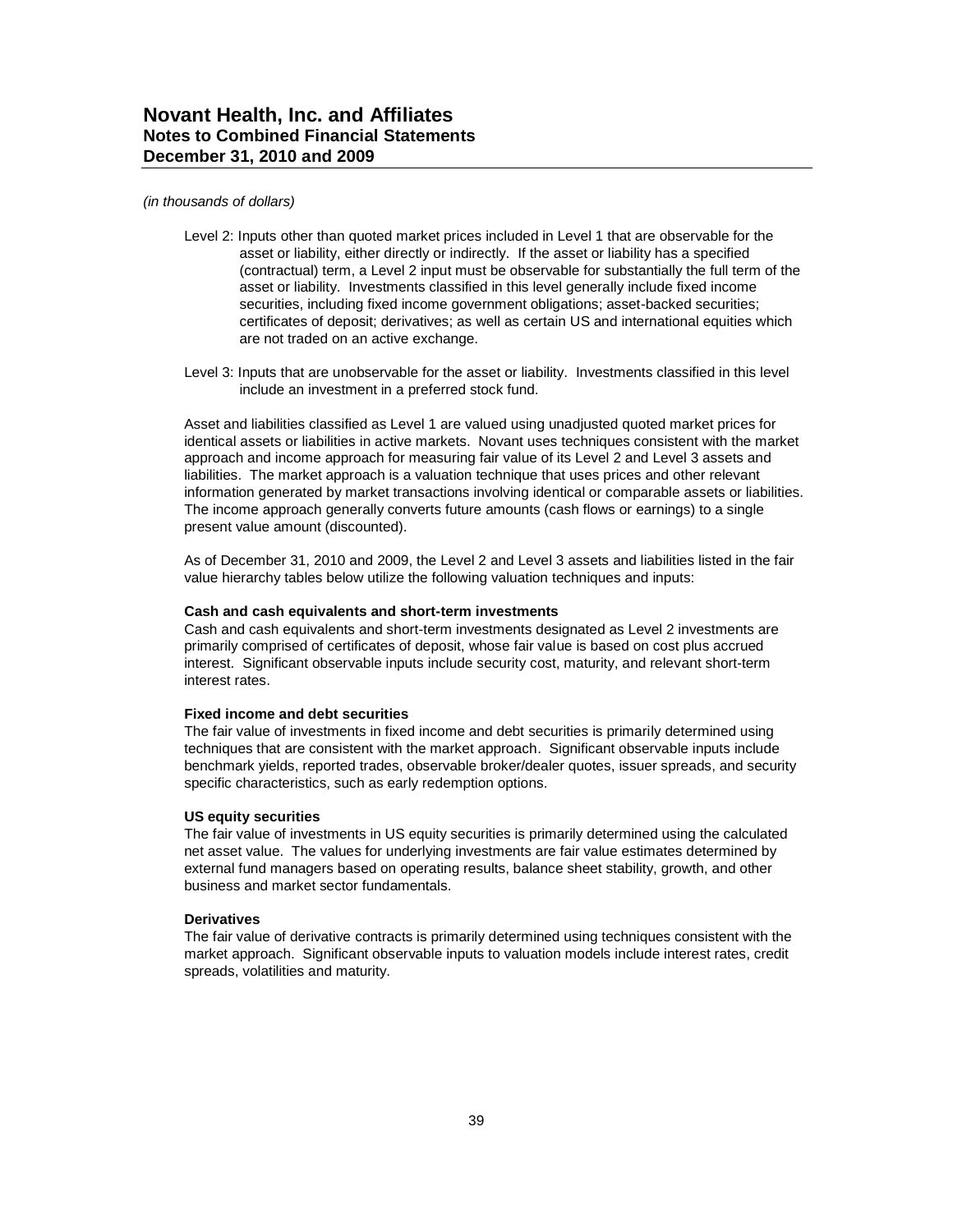- Level 2: Inputs other than quoted market prices included in Level 1 that are observable for the asset or liability, either directly or indirectly. If the asset or liability has a specified (contractual) term, a Level 2 input must be observable for substantially the full term of the asset or liability. Investments classified in this level generally include fixed income securities, including fixed income government obligations; asset-backed securities; certificates of deposit; derivatives; as well as certain US and international equities which are not traded on an active exchange.
- Level 3: Inputs that are unobservable for the asset or liability. Investments classified in this level include an investment in a preferred stock fund.

Asset and liabilities classified as Level 1 are valued using unadjusted quoted market prices for identical assets or liabilities in active markets. Novant uses techniques consistent with the market approach and income approach for measuring fair value of its Level 2 and Level 3 assets and liabilities. The market approach is a valuation technique that uses prices and other relevant information generated by market transactions involving identical or comparable assets or liabilities. The income approach generally converts future amounts (cash flows or earnings) to a single present value amount (discounted).

As of December 31, 2010 and 2009, the Level 2 and Level 3 assets and liabilities listed in the fair value hierarchy tables below utilize the following valuation techniques and inputs:

#### **Cash and cash equivalents and short-term investments**

Cash and cash equivalents and short-term investments designated as Level 2 investments are primarily comprised of certificates of deposit, whose fair value is based on cost plus accrued interest. Significant observable inputs include security cost, maturity, and relevant short-term interest rates.

#### **Fixed income and debt securities**

The fair value of investments in fixed income and debt securities is primarily determined using techniques that are consistent with the market approach. Significant observable inputs include benchmark yields, reported trades, observable broker/dealer quotes, issuer spreads, and security specific characteristics, such as early redemption options.

#### **US equity securities**

The fair value of investments in US equity securities is primarily determined using the calculated net asset value. The values for underlying investments are fair value estimates determined by external fund managers based on operating results, balance sheet stability, growth, and other business and market sector fundamentals.

#### **Derivatives**

The fair value of derivative contracts is primarily determined using techniques consistent with the market approach. Significant observable inputs to valuation models include interest rates, credit spreads, volatilities and maturity.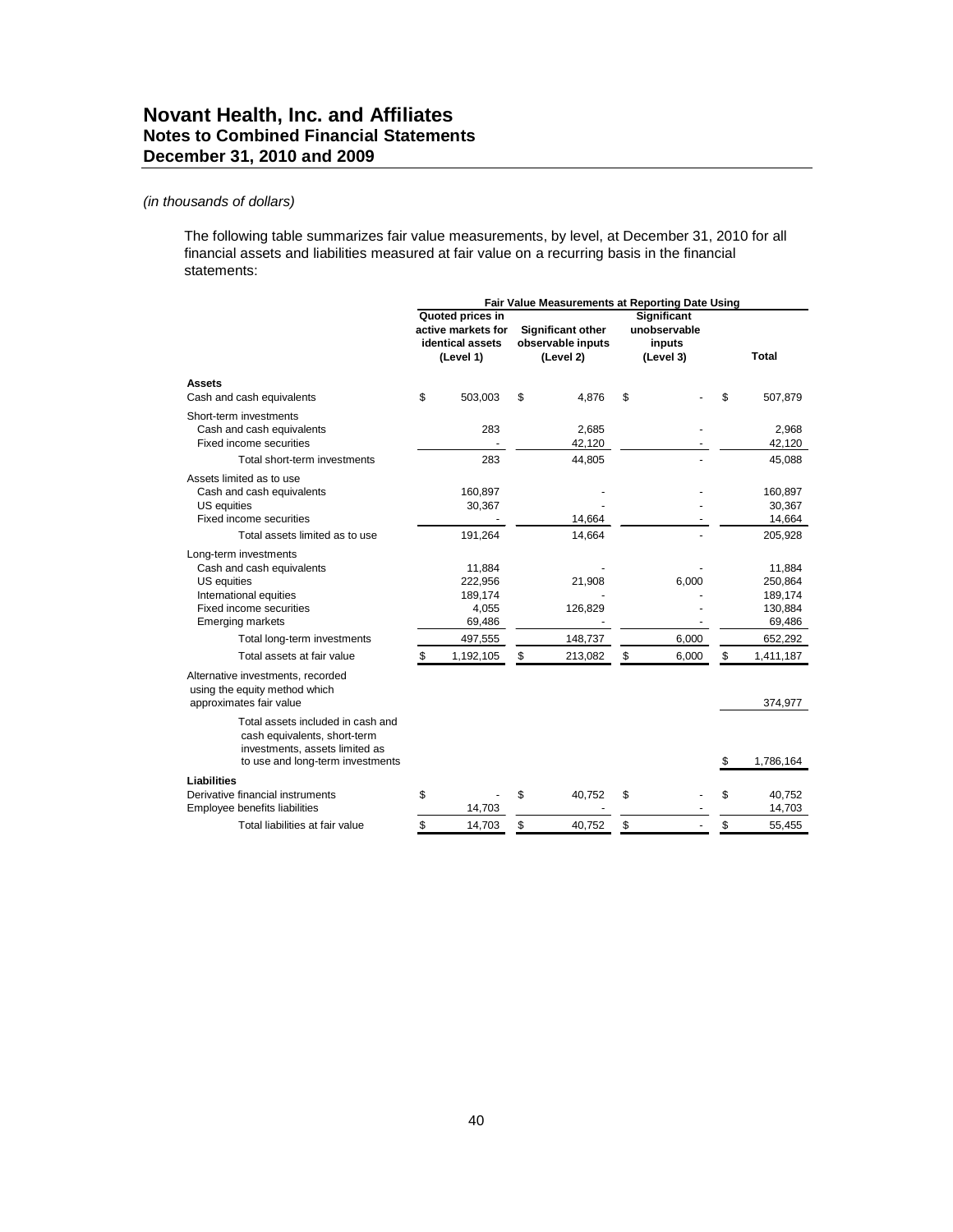### *(in thousands of dollars)*

The following table summarizes fair value measurements, by level, at December 31, 2010 for all financial assets and liabilities measured at fair value on a recurring basis in the financial statements:

|                                   | Fair Value Measurements at Reporting Date Using |                    |             |                   |    |              |    |              |
|-----------------------------------|-------------------------------------------------|--------------------|-------------|-------------------|----|--------------|----|--------------|
|                                   |                                                 | Quoted prices in   | Significant |                   |    |              |    |              |
|                                   |                                                 | active markets for |             | Significant other |    | unobservable |    |              |
|                                   |                                                 | identical assets   |             | observable inputs |    | inputs       |    |              |
|                                   |                                                 | (Level 1)          |             | (Level 2)         |    | (Level 3)    |    | <b>Total</b> |
|                                   |                                                 |                    |             |                   |    |              |    |              |
| <b>Assets</b>                     |                                                 |                    |             |                   |    |              |    |              |
| Cash and cash equivalents         | \$                                              | 503,003            | \$          | 4,876             | \$ |              | \$ | 507,879      |
| Short-term investments            |                                                 |                    |             |                   |    |              |    |              |
| Cash and cash equivalents         |                                                 | 283                |             | 2,685             |    |              |    | 2,968        |
| Fixed income securities           |                                                 |                    |             | 42,120            |    |              |    | 42,120       |
| Total short-term investments      |                                                 | 283                |             | 44,805            |    |              |    | 45,088       |
| Assets limited as to use          |                                                 |                    |             |                   |    |              |    |              |
| Cash and cash equivalents         |                                                 | 160,897            |             |                   |    |              |    | 160,897      |
| US equities                       |                                                 | 30,367             |             |                   |    |              |    | 30,367       |
| Fixed income securities           |                                                 |                    |             | 14,664            |    |              |    | 14,664       |
| Total assets limited as to use    |                                                 | 191,264            |             | 14,664            |    |              |    | 205,928      |
| Long-term investments             |                                                 |                    |             |                   |    |              |    |              |
| Cash and cash equivalents         |                                                 | 11,884             |             |                   |    |              |    | 11,884       |
| US equities                       |                                                 | 222,956            |             | 21,908            |    | 6,000        |    | 250,864      |
| International equities            |                                                 | 189,174            |             |                   |    |              |    | 189,174      |
| Fixed income securities           |                                                 | 4,055              |             | 126,829           |    |              |    | 130,884      |
| <b>Emerging markets</b>           |                                                 | 69,486             |             |                   |    |              |    | 69,486       |
| Total long-term investments       |                                                 | 497,555            |             | 148,737           |    | 6,000        |    | 652,292      |
| Total assets at fair value        | S                                               | 1,192,105          | \$          | 213,082           | \$ | 6,000        | \$ | 1,411,187    |
| Alternative investments, recorded |                                                 |                    |             |                   |    |              |    |              |
| using the equity method which     |                                                 |                    |             |                   |    |              |    |              |
| approximates fair value           |                                                 |                    |             |                   |    |              |    | 374,977      |
| Total assets included in cash and |                                                 |                    |             |                   |    |              |    |              |
| cash equivalents, short-term      |                                                 |                    |             |                   |    |              |    |              |
| investments, assets limited as    |                                                 |                    |             |                   |    |              |    |              |
| to use and long-term investments  |                                                 |                    |             |                   |    |              | \$ | 1,786,164    |
| Liabilities                       |                                                 |                    |             |                   |    |              |    |              |
| Derivative financial instruments  | \$                                              |                    | \$          | 40,752            | \$ |              | \$ | 40.752       |
| Employee benefits liabilities     |                                                 | 14,703             |             |                   |    |              |    | 14,703       |
| Total liabilities at fair value   | \$                                              | 14.703             | \$          | 40,752            | \$ |              | \$ | 55.455       |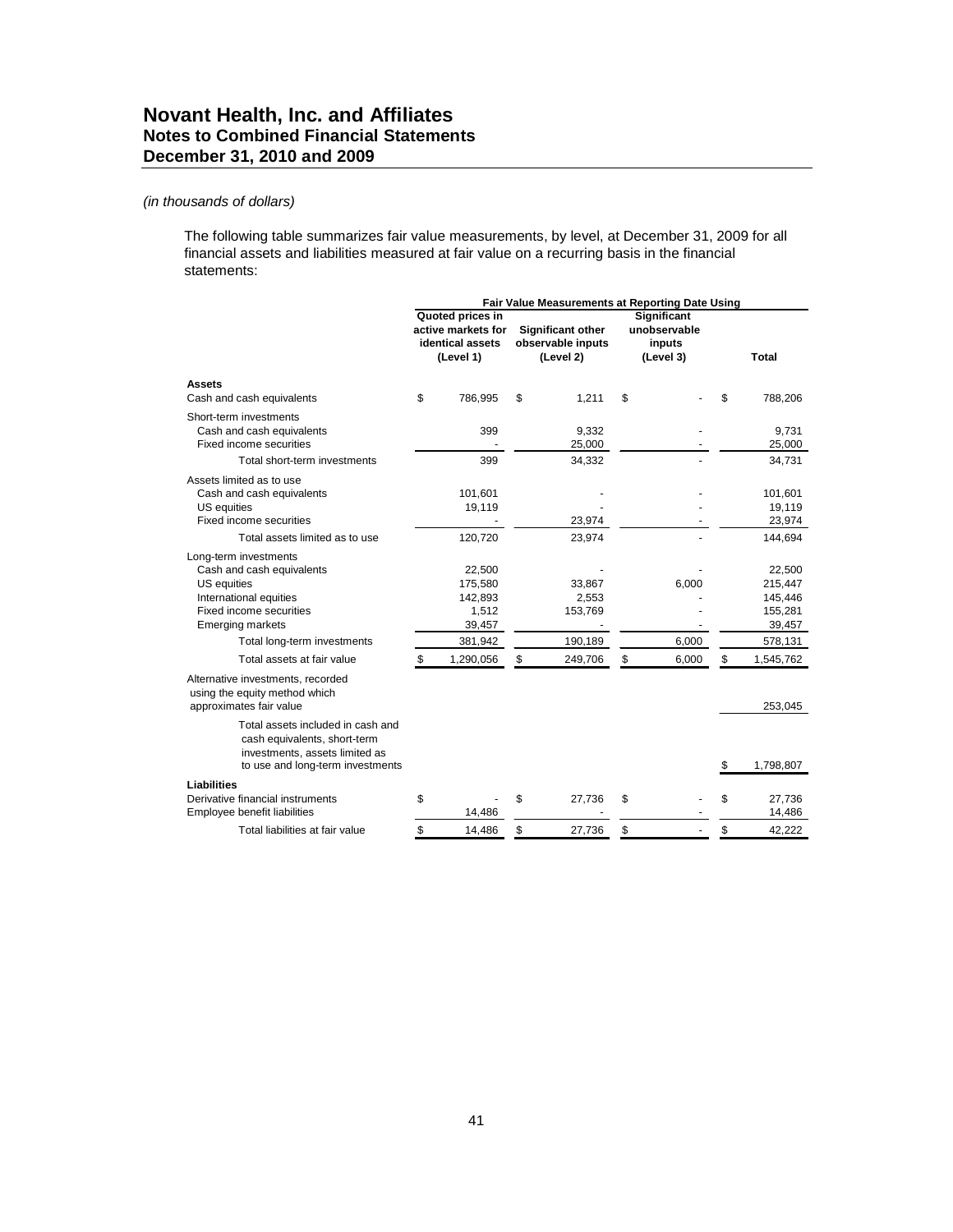The following table summarizes fair value measurements, by level, at December 31, 2009 for all financial assets and liabilities measured at fair value on a recurring basis in the financial statements:

|                                                                                                                                                                                  | Fair Value Measurements at Reporting Date Using |                                                                         |    |                                                            |    |                                                           |                                                              |
|----------------------------------------------------------------------------------------------------------------------------------------------------------------------------------|-------------------------------------------------|-------------------------------------------------------------------------|----|------------------------------------------------------------|----|-----------------------------------------------------------|--------------------------------------------------------------|
|                                                                                                                                                                                  |                                                 | Quoted prices in<br>active markets for<br>identical assets<br>(Level 1) |    | <b>Significant other</b><br>observable inputs<br>(Level 2) |    | <b>Significant</b><br>unobservable<br>inputs<br>(Level 3) | <b>Total</b>                                                 |
| Assets<br>Cash and cash equivalents                                                                                                                                              | \$                                              | 786,995                                                                 | \$ | 1,211                                                      | \$ |                                                           | 788,206                                                      |
| Short-term investments<br>Cash and cash equivalents<br>Fixed income securities                                                                                                   |                                                 | 399                                                                     |    | 9,332<br>25,000                                            |    |                                                           | 9,731<br>25,000                                              |
| Total short-term investments                                                                                                                                                     |                                                 | 399                                                                     |    | 34,332                                                     |    |                                                           | 34,731                                                       |
| Assets limited as to use<br>Cash and cash equivalents<br>US equities<br>Fixed income securities<br>Total assets limited as to use                                                |                                                 | 101,601<br>19,119<br>120,720                                            |    | 23,974<br>23,974                                           |    |                                                           | 101,601<br>19,119<br>23,974<br>144,694                       |
| Long-term investments<br>Cash and cash equivalents<br>US equities<br>International equities<br>Fixed income securities<br><b>Emerging markets</b><br>Total long-term investments |                                                 | 22,500<br>175,580<br>142,893<br>1,512<br>39,457<br>381,942              |    | 33,867<br>2,553<br>153,769<br>$\blacksquare$<br>190,189    |    | 6,000<br>6,000                                            | 22,500<br>215,447<br>145,446<br>155,281<br>39,457<br>578,131 |
| Total assets at fair value                                                                                                                                                       | \$                                              | 1,290,056                                                               | \$ | 249,706                                                    | \$ | 6,000                                                     | \$<br>1,545,762                                              |
| Alternative investments, recorded<br>using the equity method which<br>approximates fair value<br>Total assets included in cash and                                               |                                                 |                                                                         |    |                                                            |    |                                                           | 253,045                                                      |
| cash equivalents, short-term<br>investments, assets limited as<br>to use and long-term investments                                                                               |                                                 |                                                                         |    |                                                            |    |                                                           | 1,798,807                                                    |
| <b>Liabilities</b><br>Derivative financial instruments<br>Employee benefit liabilities                                                                                           | \$                                              | 14,486                                                                  | \$ | 27,736                                                     | \$ |                                                           | \$<br>27,736<br>14,486                                       |
| Total liabilities at fair value                                                                                                                                                  | \$                                              | 14.486                                                                  | \$ | 27.736                                                     | \$ |                                                           | \$<br>42.222                                                 |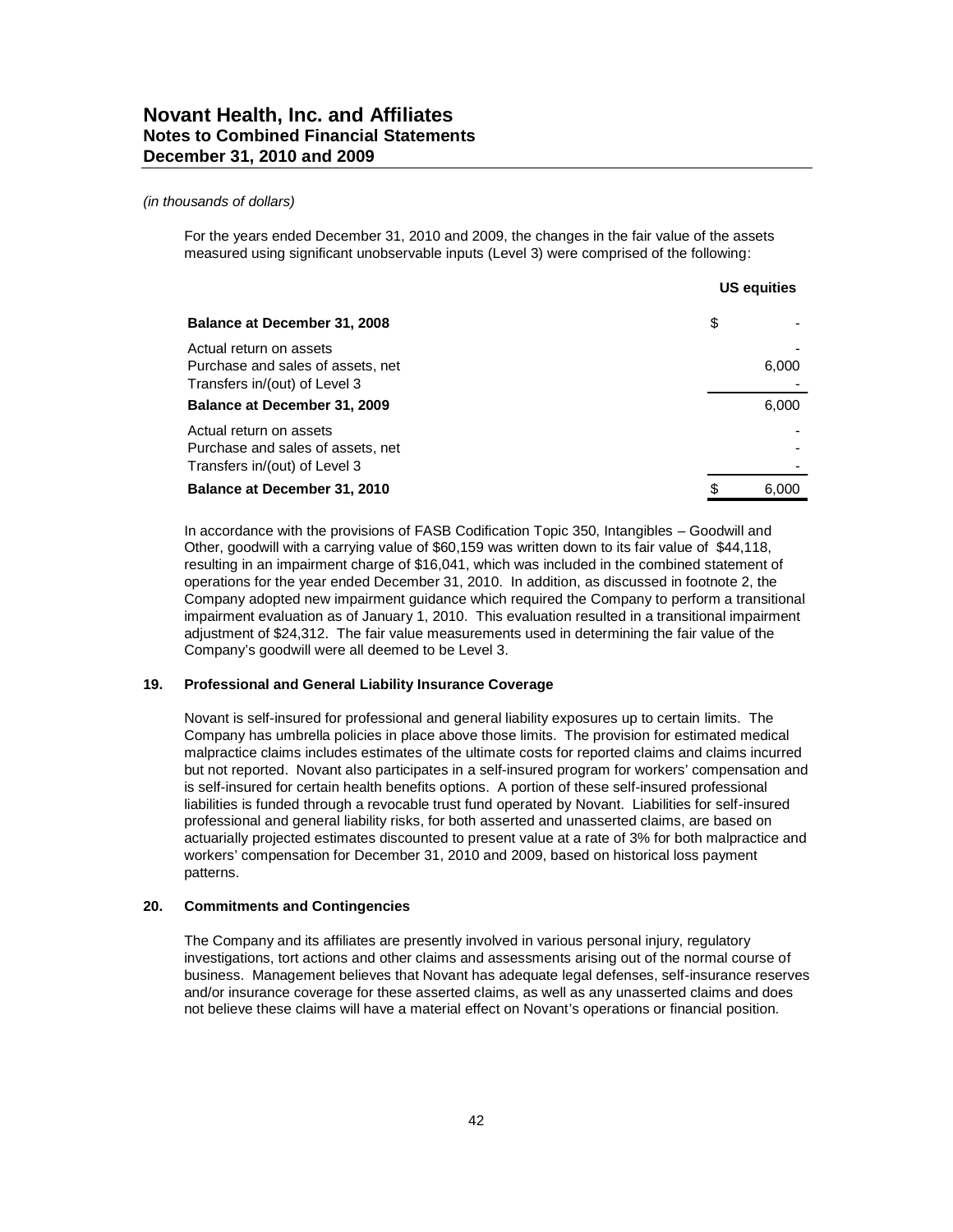For the years ended December 31, 2010 and 2009, the changes in the fair value of the assets measured using significant unobservable inputs (Level 3) were comprised of the following:

|                                                                                               | <b>US equities</b> |       |  |
|-----------------------------------------------------------------------------------------------|--------------------|-------|--|
| Balance at December 31, 2008                                                                  | \$                 |       |  |
| Actual return on assets<br>Purchase and sales of assets, net<br>Transfers in/(out) of Level 3 |                    | 6,000 |  |
| Balance at December 31, 2009                                                                  |                    | 6,000 |  |
| Actual return on assets<br>Purchase and sales of assets, net<br>Transfers in/(out) of Level 3 |                    |       |  |
| Balance at December 31, 2010                                                                  | \$                 | 6.000 |  |

In accordance with the provisions of FASB Codification Topic 350, Intangibles – Goodwill and Other, goodwill with a carrying value of \$60,159 was written down to its fair value of \$44,118, resulting in an impairment charge of \$16,041, which was included in the combined statement of operations for the year ended December 31, 2010. In addition, as discussed in footnote 2, the Company adopted new impairment guidance which required the Company to perform a transitional impairment evaluation as of January 1, 2010. This evaluation resulted in a transitional impairment adjustment of \$24,312. The fair value measurements used in determining the fair value of the Company's goodwill were all deemed to be Level 3.

#### **19. Professional and General Liability Insurance Coverage**

Novant is self-insured for professional and general liability exposures up to certain limits. The Company has umbrella policies in place above those limits. The provision for estimated medical malpractice claims includes estimates of the ultimate costs for reported claims and claims incurred but not reported. Novant also participates in a self-insured program for workers' compensation and is self-insured for certain health benefits options. A portion of these self-insured professional liabilities is funded through a revocable trust fund operated by Novant. Liabilities for self-insured professional and general liability risks, for both asserted and unasserted claims, are based on actuarially projected estimates discounted to present value at a rate of 3% for both malpractice and workers' compensation for December 31, 2010 and 2009, based on historical loss payment patterns.

#### **20. Commitments and Contingencies**

The Company and its affiliates are presently involved in various personal injury, regulatory investigations, tort actions and other claims and assessments arising out of the normal course of business. Management believes that Novant has adequate legal defenses, self-insurance reserves and/or insurance coverage for these asserted claims, as well as any unasserted claims and does not believe these claims will have a material effect on Novant's operations or financial position.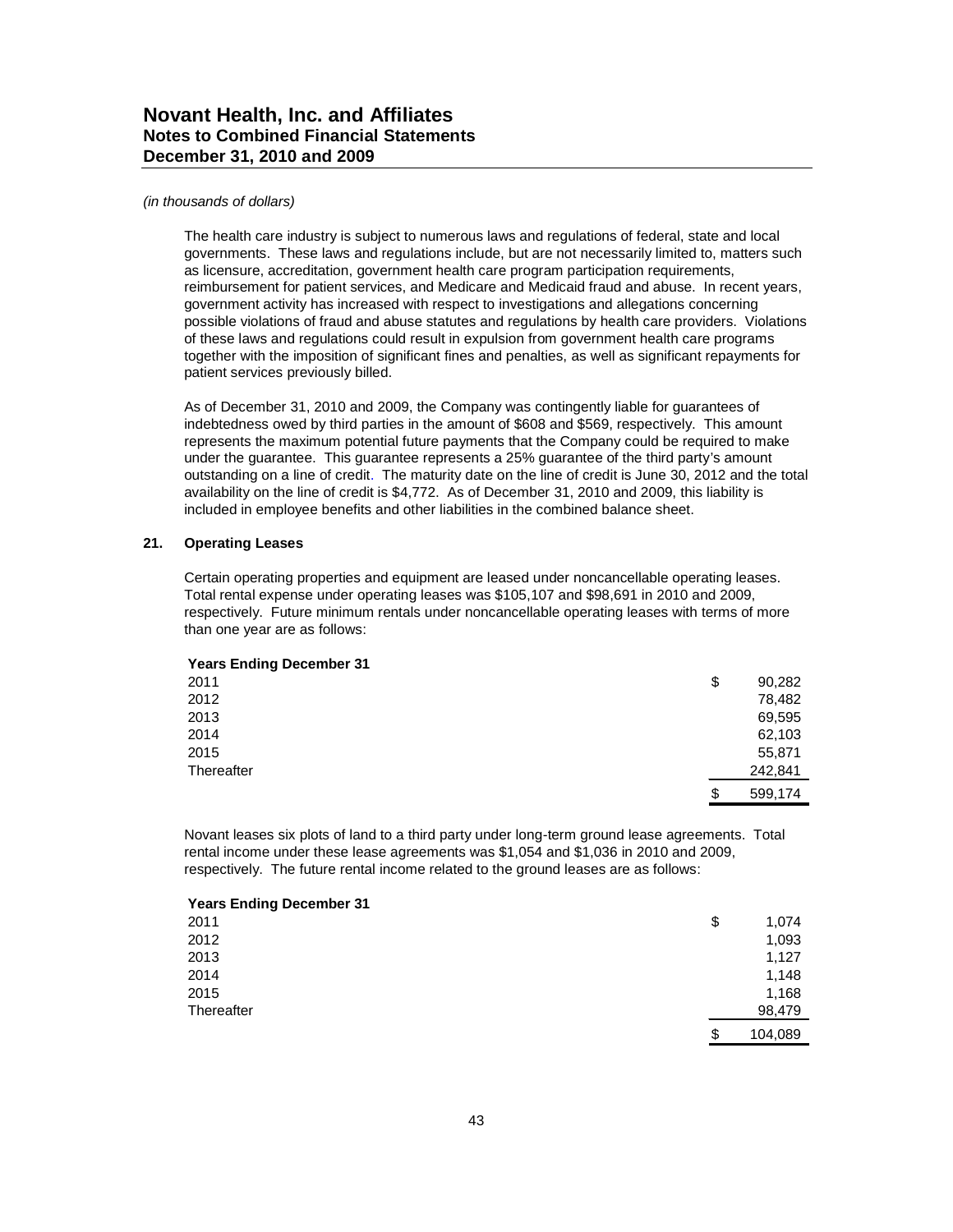#### *(in thousands of dollars)*

The health care industry is subject to numerous laws and regulations of federal, state and local governments. These laws and regulations include, but are not necessarily limited to, matters such as licensure, accreditation, government health care program participation requirements, reimbursement for patient services, and Medicare and Medicaid fraud and abuse. In recent years, government activity has increased with respect to investigations and allegations concerning possible violations of fraud and abuse statutes and regulations by health care providers. Violations of these laws and regulations could result in expulsion from government health care programs together with the imposition of significant fines and penalties, as well as significant repayments for patient services previously billed.

As of December 31, 2010 and 2009, the Company was contingently liable for guarantees of indebtedness owed by third parties in the amount of \$608 and \$569, respectively. This amount represents the maximum potential future payments that the Company could be required to make under the guarantee. This guarantee represents a 25% guarantee of the third party's amount outstanding on a line of credit. The maturity date on the line of credit is June 30, 2012 and the total availability on the line of credit is \$4,772. As of December 31, 2010 and 2009, this liability is included in employee benefits and other liabilities in the combined balance sheet.

#### **21. Operating Leases**

Certain operating properties and equipment are leased under noncancellable operating leases. Total rental expense under operating leases was \$105,107 and \$98,691 in 2010 and 2009, respectively. Future minimum rentals under noncancellable operating leases with terms of more than one year are as follows:

#### **Years Ending December 31**

| 2011       | \$<br>90,282  |
|------------|---------------|
| 2012       | 78,482        |
| 2013       | 69,595        |
| 2014       | 62,103        |
| 2015       | 55,871        |
| Thereafter | 242,841       |
|            | \$<br>599,174 |

Novant leases six plots of land to a third party under long-term ground lease agreements. Total rental income under these lease agreements was \$1,054 and \$1,036 in 2010 and 2009, respectively. The future rental income related to the ground leases are as follows:

| <b>Years Ending December 31</b> |               |
|---------------------------------|---------------|
| 2011                            | \$<br>1,074   |
| 2012                            | 1,093         |
| 2013                            | 1,127         |
| 2014                            | 1,148         |
| 2015                            | 1,168         |
| Thereafter                      | 98,479        |
|                                 | \$<br>104,089 |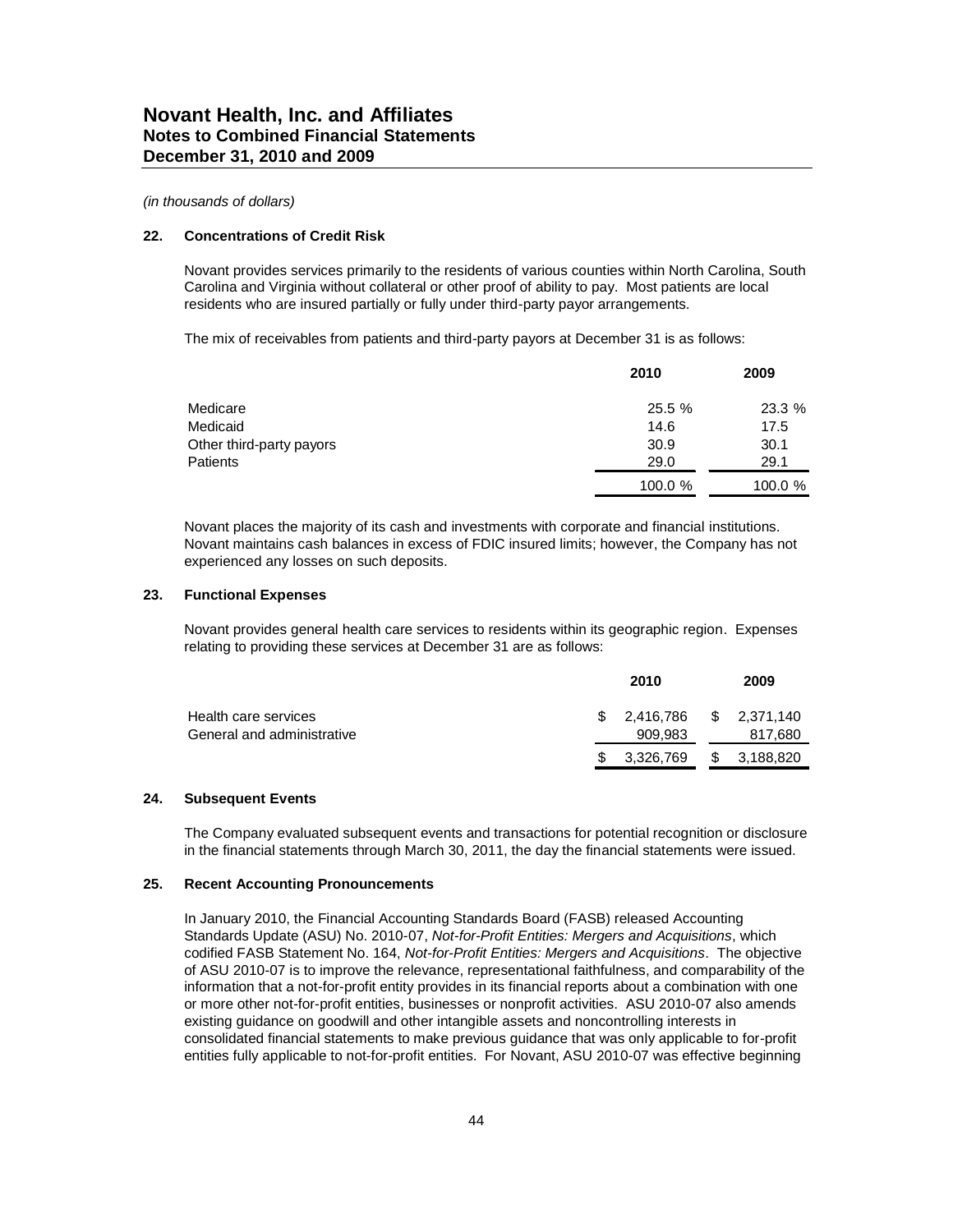#### **22. Concentrations of Credit Risk**

Novant provides services primarily to the residents of various counties within North Carolina, South Carolina and Virginia without collateral or other proof of ability to pay. Most patients are local residents who are insured partially or fully under third-party payor arrangements.

The mix of receivables from patients and third-party payors at December 31 is as follows:

|                          | 2010    | 2009    |
|--------------------------|---------|---------|
| Medicare                 | 25.5 %  | 23.3 %  |
| Medicaid                 | 14.6    | 17.5    |
| Other third-party payors | 30.9    | 30.1    |
| Patients                 | 29.0    | 29.1    |
|                          | 100.0 % | 100.0 % |

Novant places the majority of its cash and investments with corporate and financial institutions. Novant maintains cash balances in excess of FDIC insured limits; however, the Company has not experienced any losses on such deposits.

#### **23. Functional Expenses**

Novant provides general health care services to residents within its geographic region. Expenses relating to providing these services at December 31 are as follows:

|                                                    | 2010                                 | 2009    |
|----------------------------------------------------|--------------------------------------|---------|
| Health care services<br>General and administrative | $$2,416,786$ $$2,371,140$<br>909.983 | 817,680 |
|                                                    | \$ 3,326,769 \$ 3,188,820            |         |

#### **24. Subsequent Events**

The Company evaluated subsequent events and transactions for potential recognition or disclosure in the financial statements through March 30, 2011, the day the financial statements were issued.

#### **25. Recent Accounting Pronouncements**

In January 2010, the Financial Accounting Standards Board (FASB) released Accounting Standards Update (ASU) No. 2010-07, *Not-for-Profit Entities: Mergers and Acquisitions*, which codified FASB Statement No. 164, *Not-for-Profit Entities: Mergers and Acquisitions*. The objective of ASU 2010-07 is to improve the relevance, representational faithfulness, and comparability of the information that a not-for-profit entity provides in its financial reports about a combination with one or more other not-for-profit entities, businesses or nonprofit activities. ASU 2010-07 also amends existing guidance on goodwill and other intangible assets and noncontrolling interests in consolidated financial statements to make previous guidance that was only applicable to for-profit entities fully applicable to not-for-profit entities. For Novant, ASU 2010-07 was effective beginning